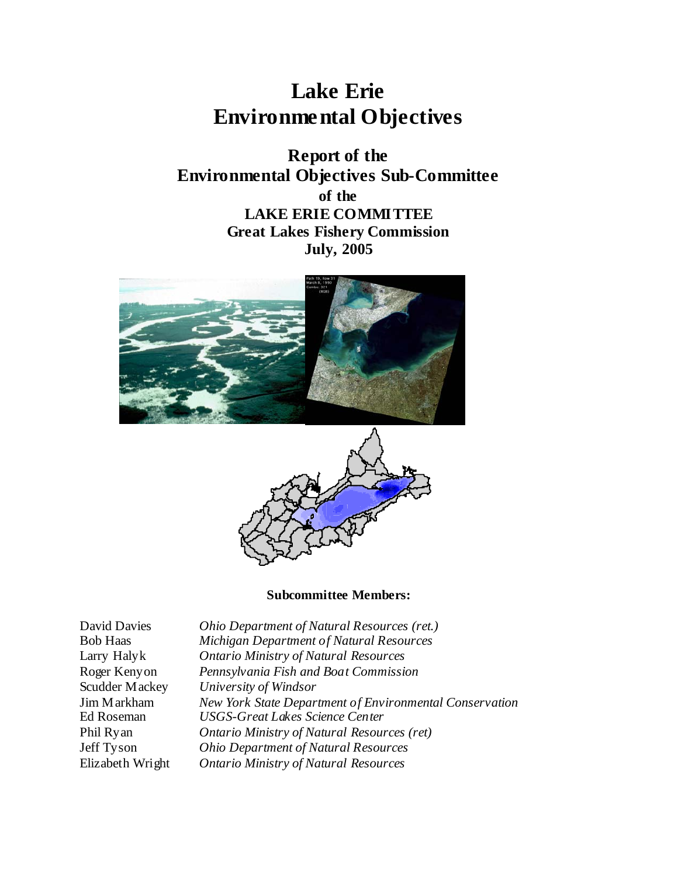# **Lake Erie Environmental Objectives**

**Report of the Environmental Objectives Sub-Committee of the LAKE ERIE COMMITTEE Great Lakes Fishery Commission July, 2005** 





#### **Subcommittee Members:**

| <b>David Davies</b> | Ohio Department of Natural Resources (ret.)             |
|---------------------|---------------------------------------------------------|
| <b>Bob Haas</b>     | Michigan Department of Natural Resources                |
| Larry Halyk         | <b>Ontario Ministry of Natural Resources</b>            |
| Roger Kenyon        | Pennsylvania Fish and Boat Commission                   |
| Scudder Mackey      | University of Windsor                                   |
| Jim Markham         | New York State Department of Environmental Conservation |
| Ed Roseman          | <b>USGS-Great Lakes Science Center</b>                  |
| Phil Ryan           | <b>Ontario Ministry of Natural Resources (ret)</b>      |
| Jeff Tyson          | <b>Ohio Department of Natural Resources</b>             |
| Elizabeth Wright    | <b>Ontario Ministry of Natural Resources</b>            |
|                     |                                                         |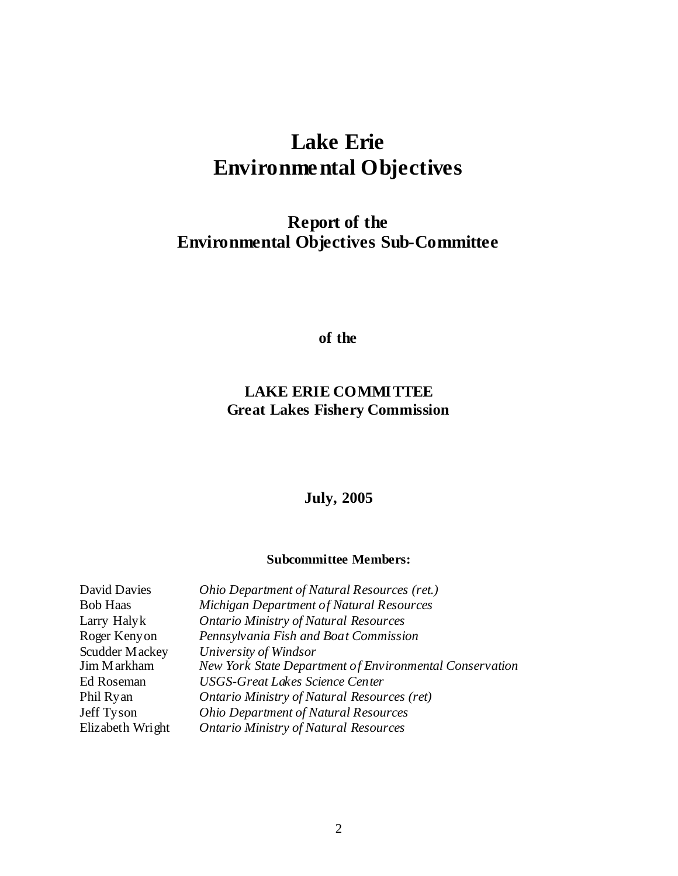# **Lake Erie Environmental Objectives**

# **Report of the Environmental Objectives Sub-Committee**

**of the** 

# **LAKE ERIE COMMITTEE Great Lakes Fishery Commission**

# **July, 2005**

#### **Subcommittee Members:**

| <b>David Davies</b> | Ohio Department of Natural Resources (ret.)             |
|---------------------|---------------------------------------------------------|
| <b>Bob Haas</b>     | Michigan Department of Natural Resources                |
| Larry Halyk         | <b>Ontario Ministry of Natural Resources</b>            |
| Roger Kenyon        | Pennsylvania Fish and Boat Commission                   |
| Scudder Mackey      | University of Windsor                                   |
| Jim Markham         | New York State Department of Environmental Conservation |
| Ed Roseman          | <b>USGS-Great Lakes Science Center</b>                  |
| Phil Ryan           | <b>Ontario Ministry of Natural Resources (ret)</b>      |
| Jeff Tyson          | <b>Ohio Department of Natural Resources</b>             |
| Elizabeth Wright    | <b>Ontario Ministry of Natural Resources</b>            |
|                     |                                                         |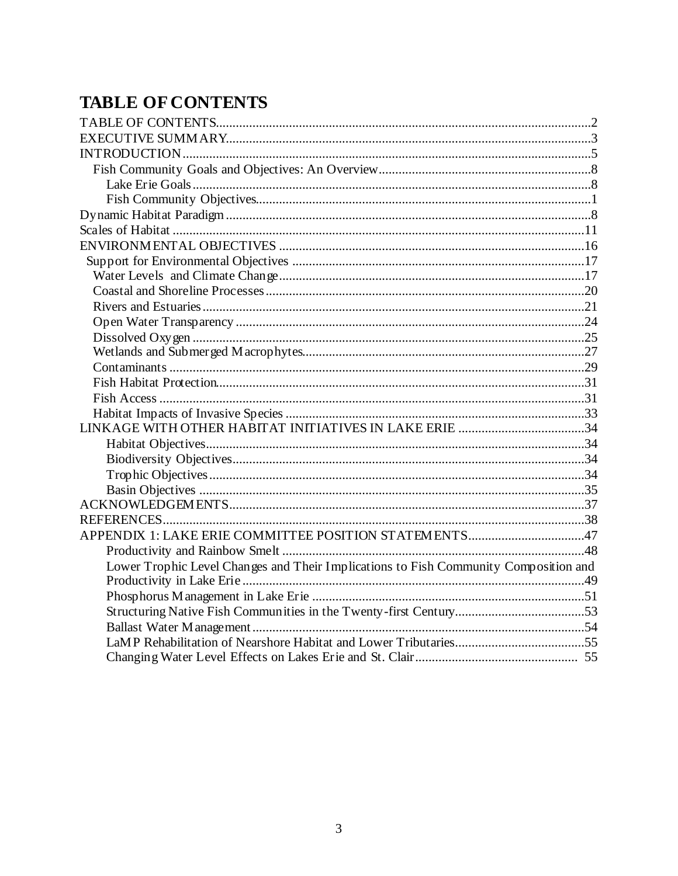# **TABLE OF CONTENTS**

| APPENDIX 1: LAKE ERIE COMMITTEE POSITION STATEMENTS47                                |  |
|--------------------------------------------------------------------------------------|--|
|                                                                                      |  |
| Lower Trophic Level Changes and Their Implications to Fish Community Composition and |  |
|                                                                                      |  |
|                                                                                      |  |
|                                                                                      |  |
|                                                                                      |  |
|                                                                                      |  |
|                                                                                      |  |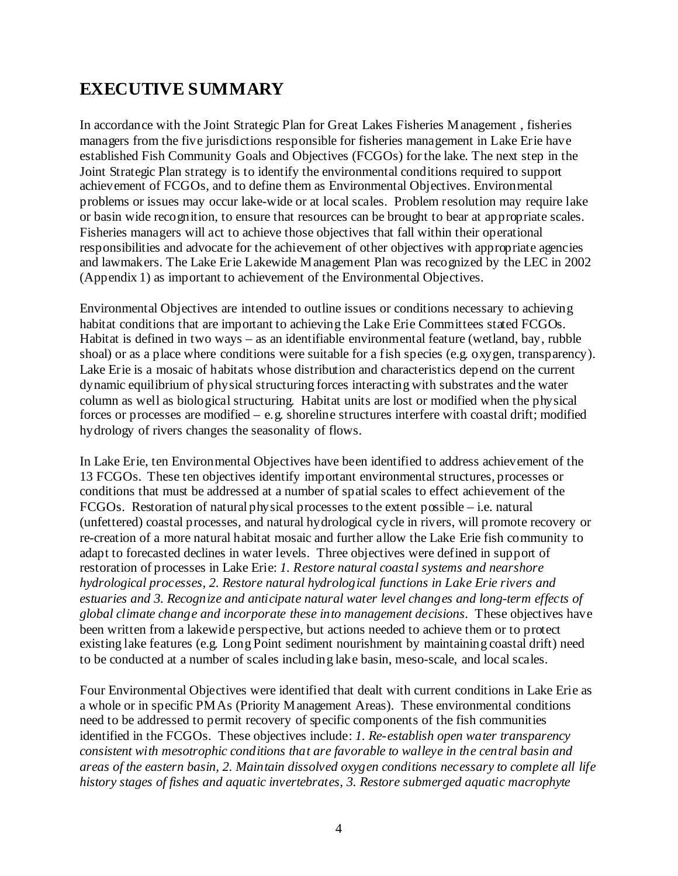# **EXECUTIVE SUMMARY**

In accordance with the Joint Strategic Plan for Great Lakes Fisheries Management , fisheries managers from the five jurisdictions responsible for fisheries management in Lake Erie have established Fish Community Goals and Objectives (FCGOs) for the lake. The next step in the Joint Strategic Plan strategy is to identify the environmental conditions required to support achievement of FCGOs, and to define them as Environmental Objectives. Environmental problems or issues may occur lake-wide or at local scales. Problem resolution may require lake or basin wide recognition, to ensure that resources can be brought to bear at appropriate scales. Fisheries managers will act to achieve those objectives that fall within their operational responsibilities and advocate for the achievement of other objectives with appropriate agencies and lawmakers. The Lake Erie Lakewide Management Plan was recognized by the LEC in 2002 (Appendix 1) as important to achievement of the Environmental Objectives.

Environmental Objectives are intended to outline issues or conditions necessary to achieving habitat conditions that are important to achieving the Lake Erie Committees stated FCGOs. Habitat is defined in two ways – as an identifiable environmental feature (wetland, bay, rubble shoal) or as a place where conditions were suitable for a fish species (e.g. oxygen, transparency). Lake Erie is a mosaic of habitats whose distribution and characteristics depend on the current dynamic equilibrium of physical structuring forces interacting with substrates and the water column as well as biological structuring. Habitat units are lost or modified when the physical forces or processes are modified – e.g. shoreline structures interfere with coastal drift; modified hydrology of rivers changes the seasonality of flows.

In Lake Erie, ten Environmental Objectives have been identified to address achievement of the 13 FCGOs. These ten objectives identify important environmental structures, processes or conditions that must be addressed at a number of spatial scales to effect achievement of the FCGOs. Restoration of natural physical processes to the extent possible – i.e. natural (unfettered) coastal processes, and natural hydrological cycle in rivers, will promote recovery or re-creation of a more natural habitat mosaic and further allow the Lake Erie fish community to adapt to forecasted declines in water levels. Three objectives were defined in support of restoration of processes in Lake Erie: *1. Restore natural coastal systems and nearshore hydrological processes, 2. Restore natural hydrological functions in Lake Erie rivers and estuaries and 3. Recognize and anticipate natural water level changes and long-term effects of global climate change and incorporate these into management decisions*.These objectives have been written from a lakewide perspective, but actions needed to achieve them or to protect existing lake features (e.g. Long Point sediment nourishment by maintaining coastal drift) need to be conducted at a number of scales including lake basin, meso-scale, and local scales.

Four Environmental Objectives were identified that dealt with current conditions in Lake Erie as a whole or in specific PMAs (Priority Management Areas). These environmental conditions need to be addressed to permit recovery of specific components of the fish communities identified in the FCGOs. These objectives include: *1. Re-establish open water transparency consistent with mesotrophic conditions that are favorable to walleye in the central basin and areas of the eastern basin, 2. Maintain dissolved oxygen conditions necessary to complete all life history stages of fishes and aquatic invertebrates, 3. Restore submerged aquatic macrophyte*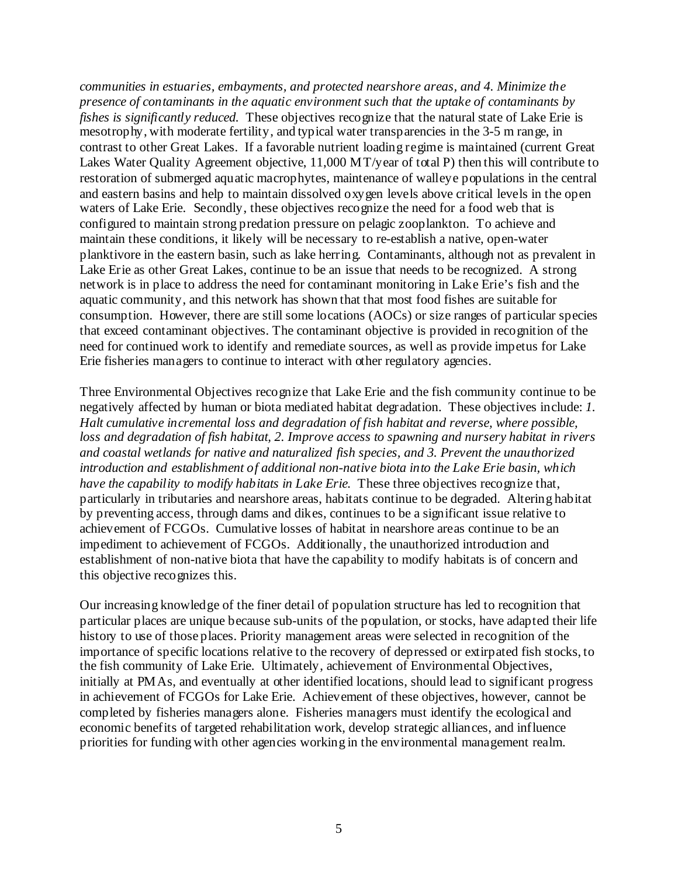*communities in estuaries, embayments, and protected nearshore areas, and 4. Minimize the presence of contaminants in the aquatic environment such that the uptake of contaminants by fishes is significantly reduced.* These objectives recognize that the natural state of Lake Erie is mesotrophy, with moderate fertility, and typical water transparencies in the 3-5 m range, in contrast to other Great Lakes. If a favorable nutrient loading regime is maintained (current Great Lakes Water Quality Agreement objective, 11,000 MT/year of total P) then this will contribute to restoration of submerged aquatic macrophytes, maintenance of walleye populations in the central and eastern basins and help to maintain dissolved oxygen levels above critical levels in the open waters of Lake Erie. Secondly, these objectives recognize the need for a food web that is configured to maintain strong predation pressure on pelagic zooplankton. To achieve and maintain these conditions, it likely will be necessary to re-establish a native, open-water planktivore in the eastern basin, such as lake herring. Contaminants, although not as prevalent in Lake Erie as other Great Lakes, continue to be an issue that needs to be recognized. A strong network is in place to address the need for contaminant monitoring in Lake Erie's fish and the aquatic community, and this network has shown that that most food fishes are suitable for consumption. However, there are still some locations (AOCs) or size ranges of particular species that exceed contaminant objectives. The contaminant objective is provided in recognition of the need for continued work to identify and remediate sources, as well as provide impetus for Lake Erie fisheries managers to continue to interact with other regulatory agencies.

Three Environmental Objectives recognize that Lake Erie and the fish community continue to be negatively affected by human or biota mediated habitat degradation. These objectives include: *1. Halt cumulative incremental loss and degradation of fish habitat and reverse, where possible, loss and degradation of fish habitat, 2. Improve access to spawning and nursery habitat in rivers and coastal wetlands for native and naturalized fish species, and 3. Prevent the unauthorized introduction and establishment of additional non-native biota into the Lake Erie basin, which have the capability to modify habitats in Lake Erie.* These three objectives recognize that, particularly in tributaries and nearshore areas, habitats continue to be degraded. Altering habitat by preventing access, through dams and dikes, continues to be a significant issue relative to achievement of FCGOs. Cumulative losses of habitat in nearshore areas continue to be an impediment to achievement of FCGOs. Additionally, the unauthorized introduction and establishment of non-native biota that have the capability to modify habitats is of concern and this objective recognizes this.

Our increasing knowledge of the finer detail of population structure has led to recognition that particular places are unique because sub-units of the population, or stocks, have adapted their life history to use of those places. Priority management areas were selected in recognition of the importance of specific locations relative to the recovery of depressed or extirpated fish stocks, to the fish community of Lake Erie. Ultimately, achievement of Environmental Objectives, initially at PMAs, and eventually at other identified locations, should lead to significant progress in achievement of FCGOs for Lake Erie. Achievement of these objectives, however, cannot be completed by fisheries managers alone. Fisheries managers must identify the ecological and economic benefits of targeted rehabilitation work, develop strategic alliances, and influence priorities for funding with other agencies working in the environmental management realm.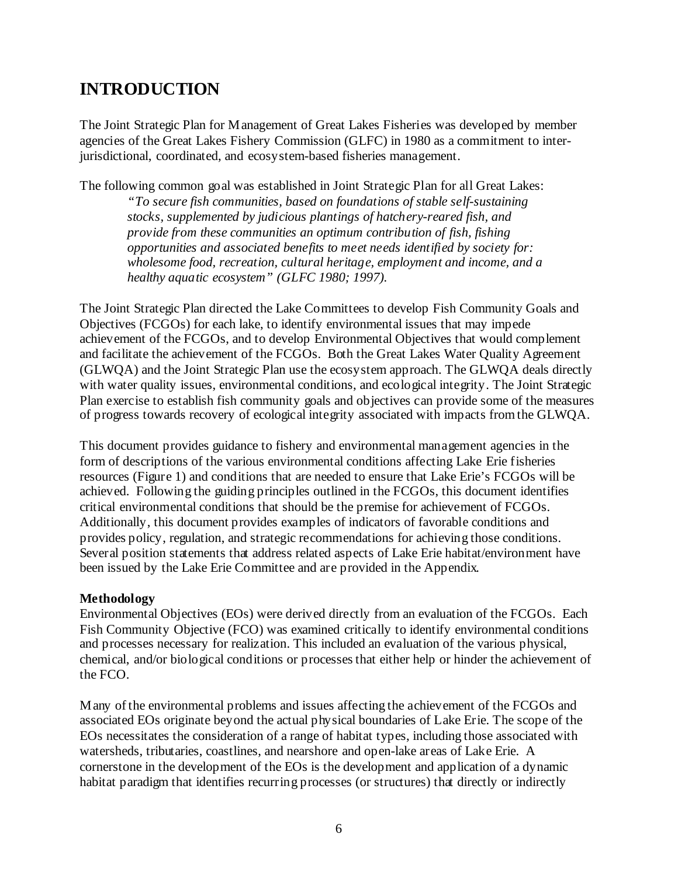# **INTRODUCTION**

The Joint Strategic Plan for Management of Great Lakes Fisheries was developed by member agencies of the Great Lakes Fishery Commission (GLFC) in 1980 as a commitment to interjurisdictional, coordinated, and ecosystem-based fisheries management.

The following common goal was established in Joint Strategic Plan for all Great Lakes:

*"To secure fish communities, based on foundations of stable self-sustaining stocks, supplemented by judicious plantings of hatchery-reared fish, and provide from these communities an optimum contribution of fish, fishing opportunities and associated benefits to meet needs identified by society for: wholesome food, recreation, cultural heritage, employment and income, and a healthy aquatic ecosystem" (GLFC 1980; 1997).* 

The Joint Strategic Plan directed the Lake Committees to develop Fish Community Goals and Objectives (FCGOs) for each lake, to identify environmental issues that may impede achievement of the FCGOs, and to develop Environmental Objectives that would complement and facilitate the achievement of the FCGOs. Both the Great Lakes Water Quality Agreement (GLWQA) and the Joint Strategic Plan use the ecosystem approach. The GLWQA deals directly with water quality issues, environmental conditions, and ecological integrity. The Joint Strategic Plan exercise to establish fish community goals and objectives can provide some of the measures of progress towards recovery of ecological integrity associated with impacts from the GLWQA.

This document provides guidance to fishery and environmental management agencies in the form of descriptions of the various environmental conditions affecting Lake Erie fisheries resources (Figure 1) and conditions that are needed to ensure that Lake Erie's FCGOs will be achieved. Following the guiding principles outlined in the FCGOs, this document identifies critical environmental conditions that should be the premise for achievement of FCGOs. Additionally, this document provides examples of indicators of favorable conditions and provides policy, regulation, and strategic recommendations for achieving those conditions. Several position statements that address related aspects of Lake Erie habitat/environment have been issued by the Lake Erie Committee and are provided in the Appendix.

# **Methodology**

Environmental Objectives (EOs) were derived directly from an evaluation of the FCGOs. Each Fish Community Objective (FCO) was examined critically to identify environmental conditions and processes necessary for realization. This included an evaluation of the various physical, chemical, and/or biological conditions or processes that either help or hinder the achievement of the FCO.

Many of the environmental problems and issues affecting the achievement of the FCGOs and associated EOs originate beyond the actual physical boundaries of Lake Erie. The scope of the EOs necessitates the consideration of a range of habitat types, including those associated with watersheds, tributaries, coastlines, and nearshore and open-lake areas of Lake Erie. A cornerstone in the development of the EOs is the development and application of a dynamic habitat paradigm that identifies recurring processes (or structures) that directly or indirectly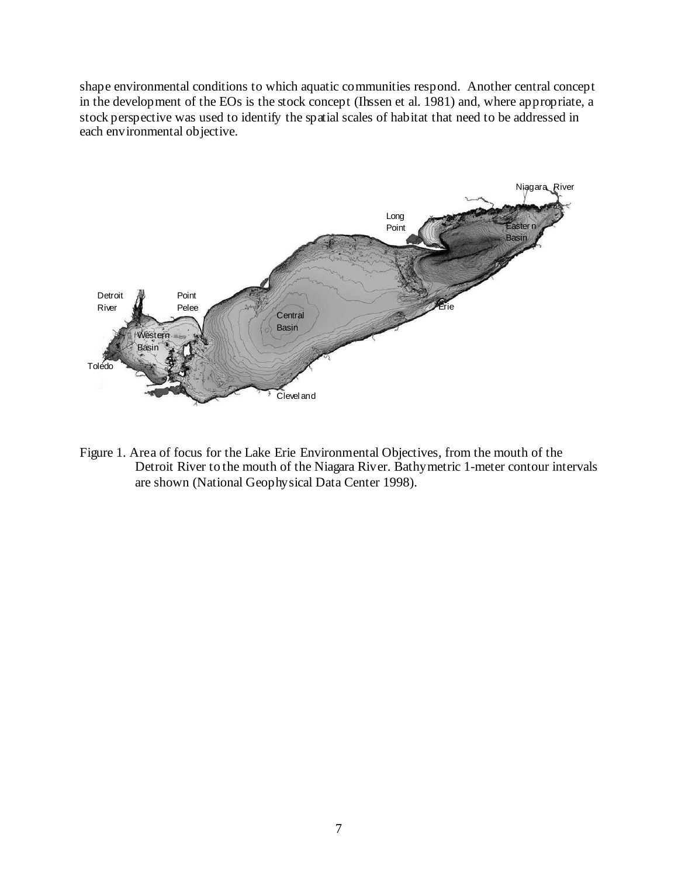shape environmental conditions to which aquatic communities respond. Another central concept in the development of the EOs is the stock concept (Ihssen et al. 1981) and, where appropriate, a stock perspective was used to identify the spatial scales of habitat that need to be addressed in each environmental objective.



Figure 1. Area of focus for the Lake Erie Environmental Objectives, from the mouth of the Detroit River to the mouth of the Niagara River. Bathymetric 1-meter contour intervals are shown (National Geophysical Data Center 1998).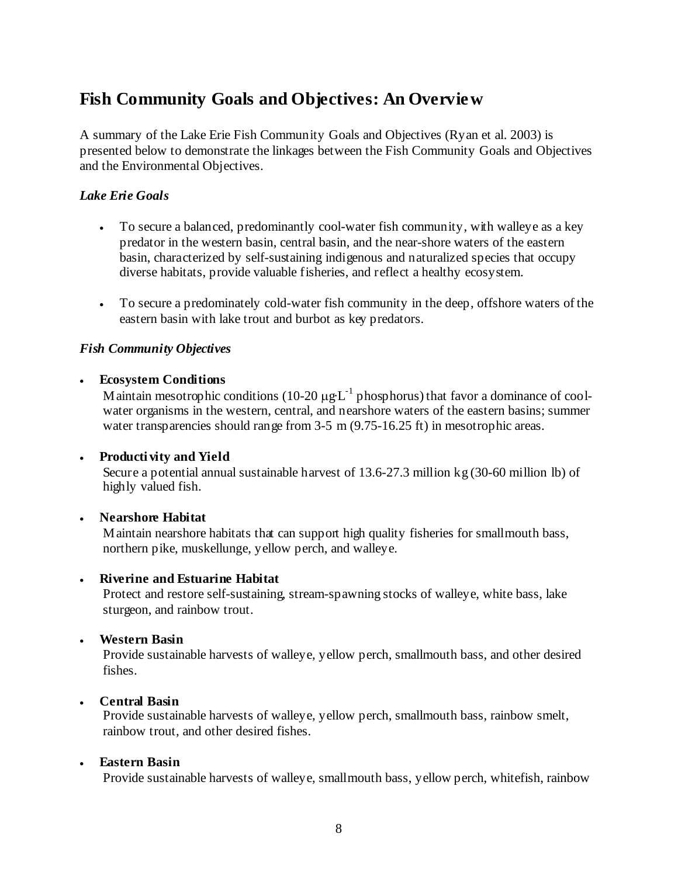# **Fish Community Goals and Objectives: An Overview**

A summary of the Lake Erie Fish Community Goals and Objectives (Ryan et al. 2003) is presented below to demonstrate the linkages between the Fish Community Goals and Objectives and the Environmental Objectives.

# *Lake Erie Goals*

- To secure a balanced, predominantly cool-water fish community, with walleye as a key predator in the western basin, central basin, and the near-shore waters of the eastern basin, characterized by self-sustaining indigenous and naturalized species that occupy diverse habitats, provide valuable fisheries, and reflect a healthy ecosystem.
- To secure a predominately cold-water fish community in the deep, offshore waters of the eastern basin with lake trout and burbot as key predators.

#### *Fish Community Objectives*

#### • **Ecosystem Conditions**

Maintain mesotrophic conditions (10-20  $\mu g \text{L}^{-1}$  phosphorus) that favor a dominance of coolwater organisms in the western, central, and nearshore waters of the eastern basins; summer water transparencies should range from 3-5 m (9.75-16.25 ft) in mesotrophic areas.

#### • **Producti vity and Yield**

Secure a potential annual sustainable harvest of 13.6-27.3 million kg (30-60 million lb) of highly valued fish.

#### • **Nearshore Habitat**

Maintain nearshore habitats that can support high quality fisheries for smallmouth bass, northern pike, muskellunge, yellow perch, and walleye.

#### • **Riverine and Estuarine Habitat**

Protect and restore self-sustaining, stream-spawning stocks of walleye, white bass, lake sturgeon, and rainbow trout.

#### • **Western Basin**

Provide sustainable harvests of walleye, yellow perch, smallmouth bass, and other desired fishes.

#### • **Central Basin**

Provide sustainable harvests of walleye, yellow perch, smallmouth bass, rainbow smelt, rainbow trout, and other desired fishes.

#### • **Eastern Basin**

Provide sustainable harvests of walleye, smallmouth bass, yellow perch, whitefish, rainbow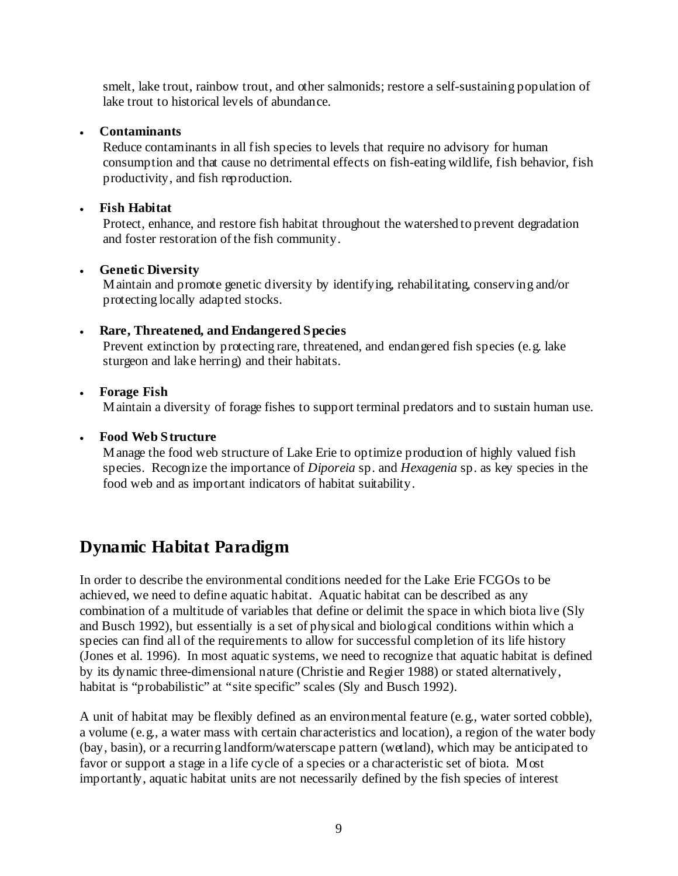smelt, lake trout, rainbow trout, and other salmonids; restore a self-sustaining population of lake trout to historical levels of abundance.

# • **Contaminants**

Reduce contaminants in all fish species to levels that require no advisory for human consumption and that cause no detrimental effects on fish-eating wildlife, fish behavior, fish productivity, and fish reproduction.

# • **Fish Habitat**

Protect, enhance, and restore fish habitat throughout the watershed to prevent degradation and foster restoration of the fish community.

# • **Genetic Diversity**

Maintain and promote genetic diversity by identifying, rehabilitating, conserving and/or protecting locally adapted stocks.

# • **Rare, Threatened, and Endangered Species**

Prevent extinction by protecting rare, threatened, and endangered fish species (e.g. lake sturgeon and lake herring) and their habitats.

# • **Forage Fish**

Maintain a diversity of forage fishes to support terminal predators and to sustain human use.

# • **Food Web Structure**

Manage the food web structure of Lake Erie to optimize production of highly valued fish species. Recognize the importance of *Diporeia* sp. and *Hexagenia* sp. as key species in the food web and as important indicators of habitat suitability.

# **Dynamic Habitat Paradigm**

In order to describe the environmental conditions needed for the Lake Erie FCGOs to be achieved, we need to define aquatic habitat. Aquatic habitat can be described as any combination of a multitude of variables that define or delimit the space in which biota live (Sly and Busch 1992), but essentially is a set of physical and biological conditions within which a species can find all of the requirements to allow for successful completion of its life history (Jones et al. 1996). In most aquatic systems, we need to recognize that aquatic habitat is defined by its dynamic three-dimensional nature (Christie and Regier 1988) or stated alternatively, habitat is "probabilistic" at "site specific" scales (Sly and Busch 1992).

A unit of habitat may be flexibly defined as an environmental feature (e.g., water sorted cobble), a volume (e.g., a water mass with certain characteristics and location), a region of the water body (bay, basin), or a recurring landform/waterscape pattern (wetland), which may be anticipated to favor or support a stage in a life cycle of a species or a characteristic set of biota. Most importantly, aquatic habitat units are not necessarily defined by the fish species of interest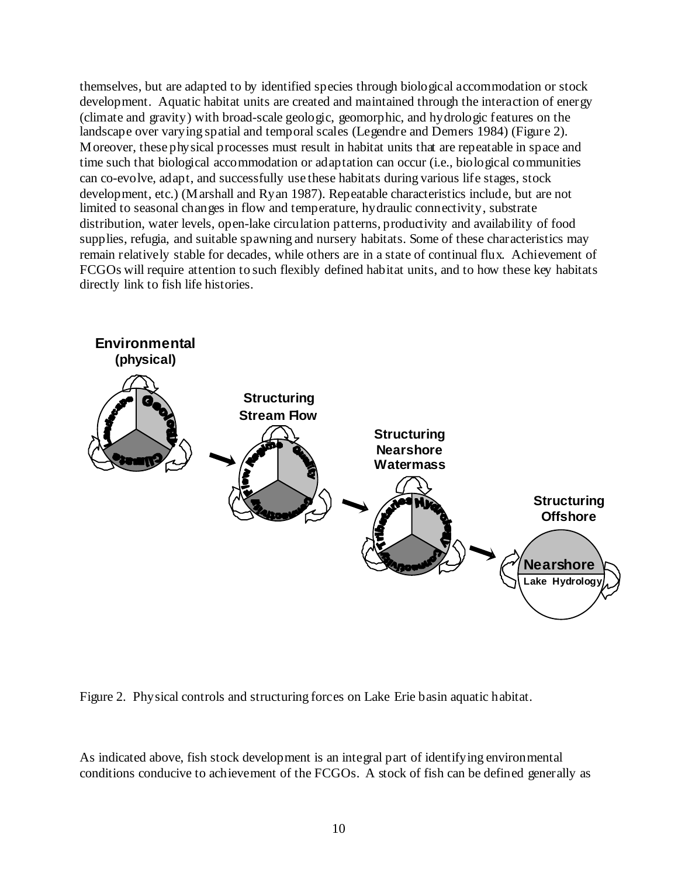themselves, but are adapted to by identified species through biological accommodation or stock development. Aquatic habitat units are created and maintained through the interaction of energy (climate and gravity) with broad-scale geologic, geomorphic, and hydrologic features on the landscape over varying spatial and temporal scales (Legendre and Demers 1984) (Figure 2). Moreover, these physical processes must result in habitat units that are repeatable in space and time such that biological accommodation or adaptation can occur (i.e., biological communities can co-evolve, adapt, and successfully use these habitats during various life stages, stock development, etc.) (Marshall and Ryan 1987). Repeatable characteristics include, but are not limited to seasonal changes in flow and temperature, hydraulic connectivity, substrate distribution, water levels, open-lake circulation patterns, productivity and availability of food supplies, refugia, and suitable spawning and nursery habitats. Some of these characteristics may remain relatively stable for decades, while others are in a state of continual flux. Achievement of FCGOs will require attention to such flexibly defined habitat units, and to how these key habitats directly link to fish life histories.





As indicated above, fish stock development is an integral part of identifying environmental conditions conducive to achievement of the FCGOs. A stock of fish can be defined generally as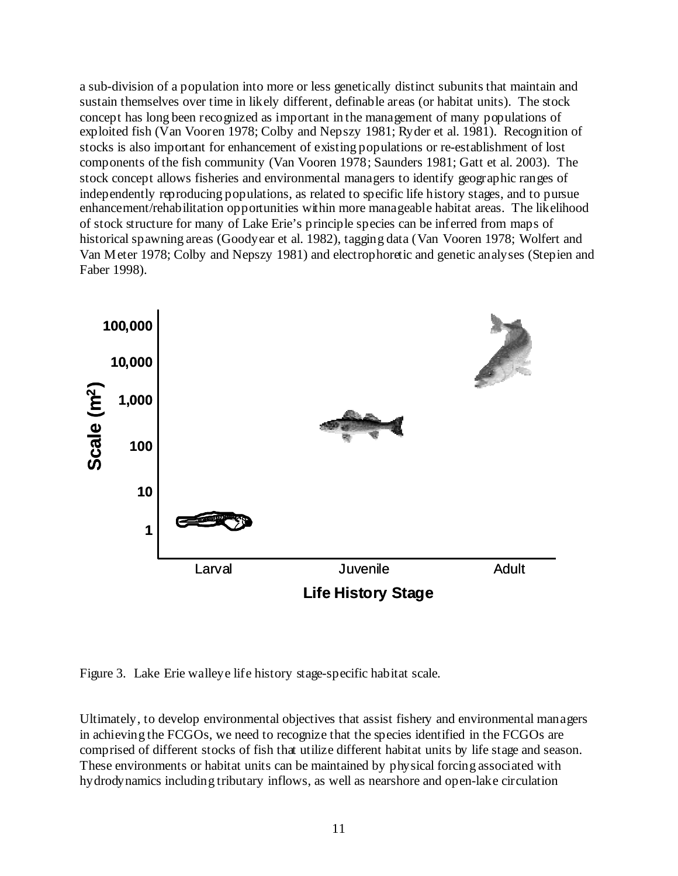a sub-division of a population into more or less genetically distinct subunits that maintain and sustain themselves over time in likely different, definable areas (or habitat units). The stock concept has long been recognized as important in the management of many populations of exploited fish (Van Vooren 1978; Colby and Nepszy 1981; Ryder et al. 1981). Recognition of stocks is also important for enhancement of existing populations or re-establishment of lost components of the fish community (Van Vooren 1978; Saunders 1981; Gatt et al. 2003). The stock concept allows fisheries and environmental managers to identify geographic ranges of independently reproducing populations, as related to specific life history stages, and to pursue enhancement/rehabilitation opportunities within more manageable habitat areas. The likelihood of stock structure for many of Lake Erie's principle species can be inferred from maps of historical spawning areas (Goodyear et al. 1982), tagging data (Van Vooren 1978; Wolfert and Van Meter 1978; Colby and Nepszy 1981) and electrophoretic and genetic analyses (Stepien and Faber 1998).



Figure 3. Lake Erie walleye life history stage-specific habitat scale.

Ultimately, to develop environmental objectives that assist fishery and environmental managers in achieving the FCGOs, we need to recognize that the species identified in the FCGOs are comprised of different stocks of fish that utilize different habitat units by life stage and season. These environments or habitat units can be maintained by physical forcing associated with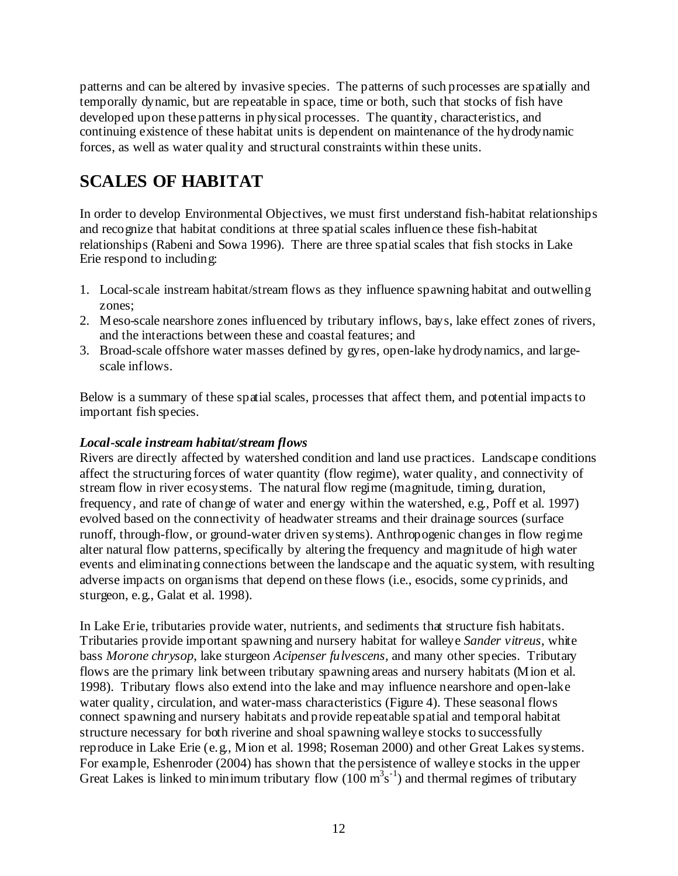patterns and can be altered by invasive species. The patterns of such processes are spatially and temporally dynamic, but are repeatable in space, time or both, such that stocks of fish have developed upon these patterns in physical processes. The quantity, characteristics, and continuing existence of these habitat units is dependent on maintenance of the hydrodynamic forces, as well as water quality and structural constraints within these units.

# **SCALES OF HABITAT**

In order to develop Environmental Objectives, we must first understand fish-habitat relationships and recognize that habitat conditions at three spatial scales influence these fish-habitat relationships (Rabeni and Sowa 1996). There are three spatial scales that fish stocks in Lake Erie respond to including:

- 1. Local-scale instream habitat/stream flows as they influence spawning habitat and outwelling zones;
- 2. Meso-scale nearshore zones influenced by tributary inflows, bays, lake effect zones of rivers, and the interactions between these and coastal features; and
- 3. Broad-scale offshore water masses defined by gyres, open-lake hydrodynamics, and largescale inflows.

Below is a summary of these spatial scales, processes that affect them, and potential impacts to important fish species.

# *Local-scale instream habitat/stream flows*

Rivers are directly affected by watershed condition and land use practices. Landscape conditions affect the structuring forces of water quantity (flow regime), water quality, and connectivity of stream flow in river ecosystems. The natural flow regime (magnitude, timing, duration, frequency, and rate of change of water and energy within the watershed, e.g., Poff et al. 1997) evolved based on the connectivity of headwater streams and their drainage sources (surface runoff, through-flow, or ground-water driven systems). Anthropogenic changes in flow regime alter natural flow patterns, specifically by altering the frequency and magnitude of high water events and eliminating connections between the landscape and the aquatic system, with resulting adverse impacts on organisms that depend on these flows (i.e., esocids, some cyprinids, and sturgeon, e.g., Galat et al. 1998).

In Lake Erie, tributaries provide water, nutrients, and sediments that structure fish habitats. Tributaries provide important spawning and nursery habitat for walleye *Sander vitreus*, white bass *Morone chrysop*, lake sturgeon *Acipenser fulvescens,* and many other species. Tributary flows are the primary link between tributary spawning areas and nursery habitats (Mion et al. 1998). Tributary flows also extend into the lake and may influence nearshore and open-lake water quality, circulation, and water-mass characteristics (Figure 4). These seasonal flows connect spawning and nursery habitats and provide repeatable spatial and temporal habitat structure necessary for both riverine and shoal spawning walleye stocks to successfully reproduce in Lake Erie (e.g., Mion et al. 1998; Roseman 2000) and other Great Lakes systems. For example, Eshenroder (2004) has shown that the persistence of walleye stocks in the upper Great Lakes is linked to minimum tributary flow  $(100 \text{ m}^3 \text{s}^{-1})$  and thermal regimes of tributary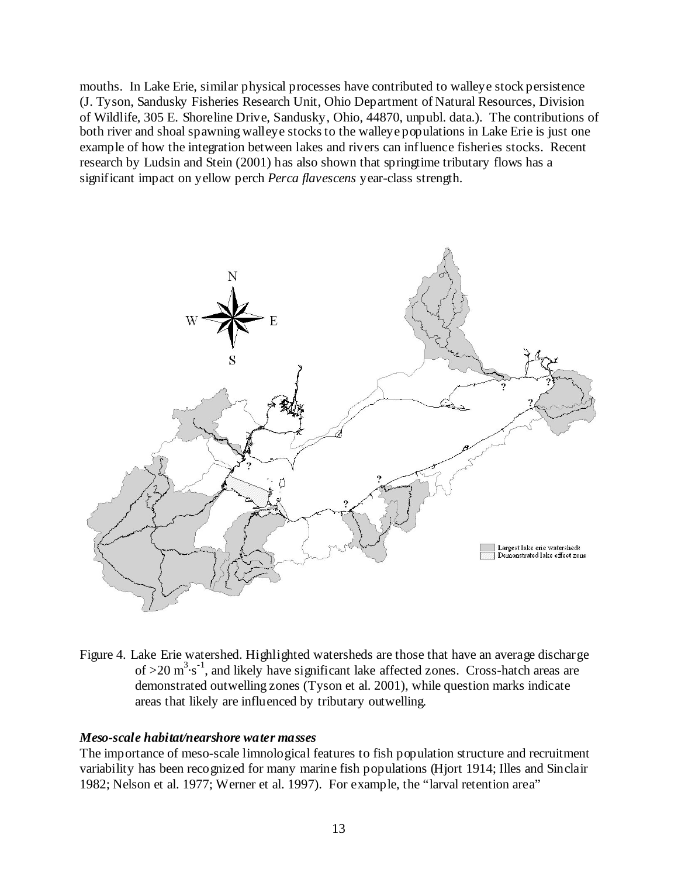mouths. In Lake Erie, similar physical processes have contributed to walleye stock persistence (J. Tyson, Sandusky Fisheries Research Unit, Ohio Department of Natural Resources, Division of Wildlife, 305 E. Shoreline Drive, Sandusky, Ohio, 44870, unpubl. data.). The contributions of both river and shoal spawning walleye stocks to the walleye populations in Lake Erie is just one example of how the integration between lakes and rivers can influence fisheries stocks. Recent research by Ludsin and Stein (2001) has also shown that springtime tributary flows has a significant impact on yellow perch *Perca flavescens* year-class strength.



Figure 4. Lake Erie watershed. Highlighted watersheds are those that have an average discharge of  $>$ 20 m<sup>3</sup> $\cdot$ s<sup>-1</sup>, and likely have significant lake affected zones. Cross-hatch areas are demonstrated outwelling zones (Tyson et al. 2001), while question marks indicate areas that likely are influenced by tributary outwelling.

#### *Meso-scale habitat/nearshore water masses*

The importance of meso-scale limnological features to fish population structure and recruitment variability has been recognized for many marine fish populations (Hjort 1914; Illes and Sinclair 1982; Nelson et al. 1977; Werner et al. 1997). For example, the "larval retention area"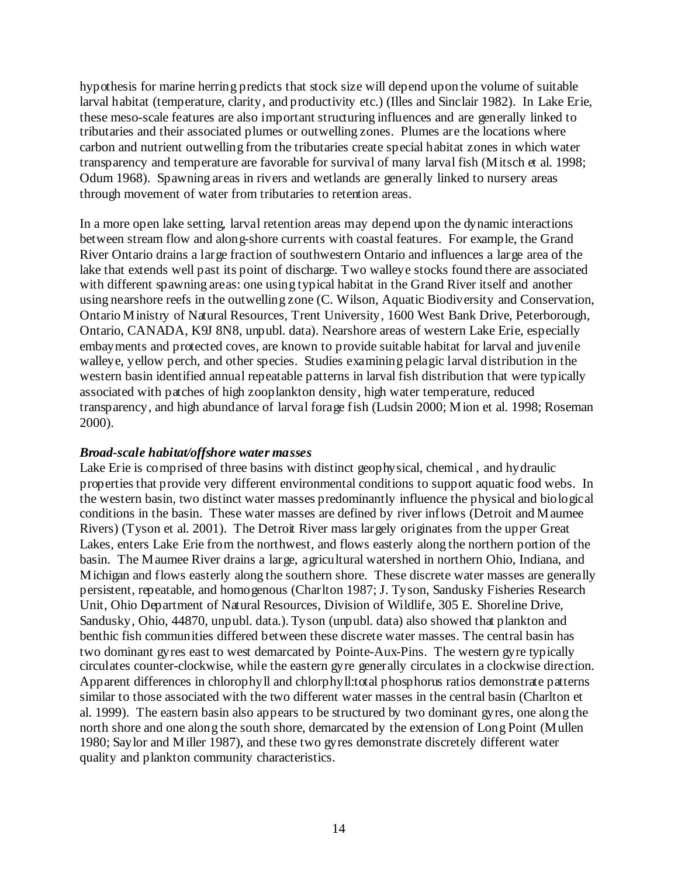hypothesis for marine herring predicts that stock size will depend upon the volume of suitable larval habitat (temperature, clarity, and productivity etc.) (Illes and Sinclair 1982). In Lake Erie, these meso-scale features are also important structuring influences and are generally linked to tributaries and their associated plumes or outwelling zones. Plumes are the locations where carbon and nutrient outwelling from the tributaries create special habitat zones in which water transparency and temperature are favorable for survival of many larval fish (Mitsch et al. 1998; Odum 1968). Spawning areas in rivers and wetlands are generally linked to nursery areas through movement of water from tributaries to retention areas.

In a more open lake setting, larval retention areas may depend upon the dynamic interactions between stream flow and along-shore currents with coastal features. For example, the Grand River Ontario drains a large fraction of southwestern Ontario and influences a large area of the lake that extends well past its point of discharge. Two walleye stocks found there are associated with different spawning areas: one using typical habitat in the Grand River itself and another using nearshore reefs in the outwelling zone (C. Wilson, Aquatic Biodiversity and Conservation, Ontario Ministry of Natural Resources, Trent University, 1600 West Bank Drive, Peterborough, Ontario, CANADA, K9J 8N8, unpubl. data). Nearshore areas of western Lake Erie, especially embayments and protected coves, are known to provide suitable habitat for larval and juvenile walleye, yellow perch, and other species. Studies examining pelagic larval distribution in the western basin identified annual repeatable patterns in larval fish distribution that were typically associated with patches of high zooplankton density, high water temperature, reduced transparency, and high abundance of larval forage fish (Ludsin 2000; Mion et al. 1998; Roseman 2000).

#### *Broad-scale habitat/offshore water masses*

Lake Erie is comprised of three basins with distinct geophysical, chemical, and hydraulic properties that provide very different environmental conditions to support aquatic food webs. In the western basin, two distinct water masses predominantly influence the physical and biological conditions in the basin. These water masses are defined by river inflows (Detroit and Maumee Rivers) (Tyson et al. 2001). The Detroit River mass largely originates from the upper Great Lakes, enters Lake Erie from the northwest, and flows easterly along the northern portion of the basin. The Maumee River drains a large, agricultural watershed in northern Ohio, Indiana, and Michigan and flows easterly along the southern shore. These discrete water masses are generally persistent, repeatable, and homogenous (Charlton 1987; J. Tyson, Sandusky Fisheries Research Unit, Ohio Department of Natural Resources, Division of Wildlife, 305 E. Shoreline Drive, Sandusky, Ohio, 44870, unpubl. data.). Tyson (unpubl. data) also showed that plankton and benthic fish communities differed between these discrete water masses. The central basin has two dominant gyres east to west demarcated by Pointe-Aux-Pins. The western gyre typically circulates counter-clockwise, while the eastern gyre generally circulates in a clockwise direction. Apparent differences in chlorophyll and chlorphyll:total phosphorus ratios demonstrate patterns similar to those associated with the two different water masses in the central basin (Charlton et al. 1999). The eastern basin also appears to be structured by two dominant gyres, one along the north shore and one along the south shore, demarcated by the extension of Long Point (Mullen 1980; Saylor and Miller 1987), and these two gyres demonstrate discretely different water quality and plankton community characteristics.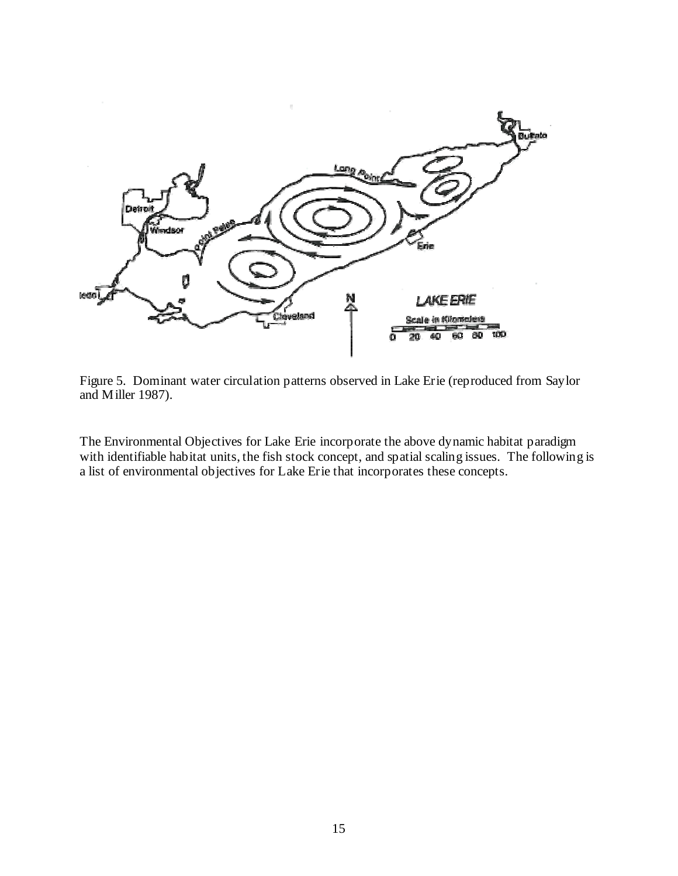

Figure 5. Dominant water circulation patterns observed in Lake Erie (reproduced from Saylor and Miller 1987).

The Environmental Objectives for Lake Erie incorporate the above dynamic habitat paradigm with identifiable habitat units, the fish stock concept, and spatial scaling issues. The following is a list of environmental objectives for Lake Erie that incorporates these concepts.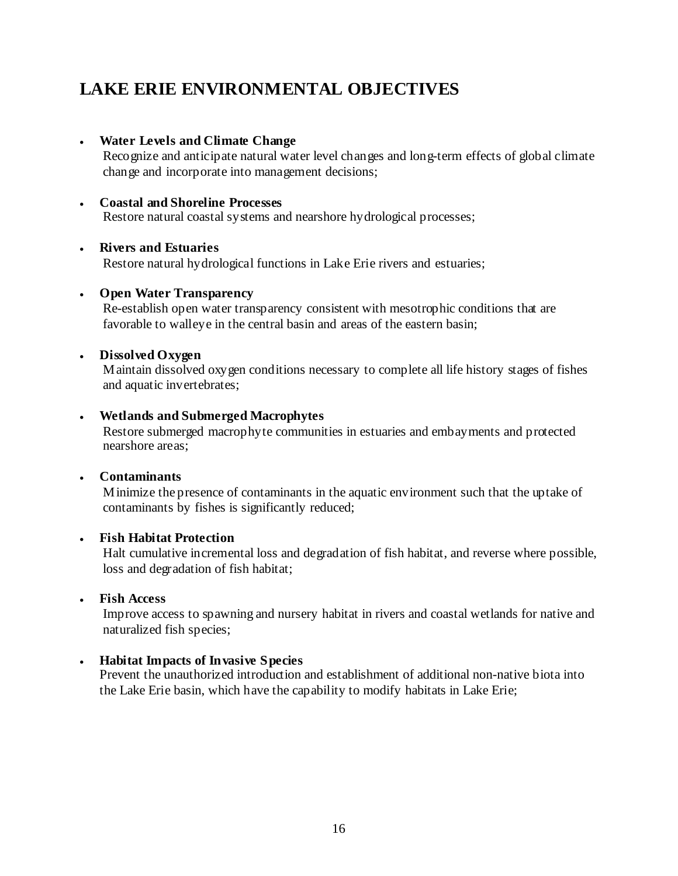# **LAKE ERIE ENVIRONMENTAL OBJECTIVES**

# • **Water Levels and Climate Change**

Recognize and anticipate natural water level changes and long-term effects of global climate change and incorporate into management decisions;

# • **Coastal and Shoreline Processes**

Restore natural coastal systems and nearshore hydrological processes;

### • **Rivers and Estuaries**

Restore natural hydrological functions in Lake Erie rivers and estuaries;

### • **Open Water Transparency**

Re-establish open water transparency consistent with mesotrophic conditions that are favorable to walleye in the central basin and areas of the eastern basin;

### • **Dissolved Oxygen**

Maintain dissolved oxygen conditions necessary to complete all life history stages of fishes and aquatic invertebrates;

### • **Wetlands and Submerged Macrophytes**

Restore submerged macrophyte communities in estuaries and embayments and protected nearshore areas;

#### • **Contaminants**

Minimize the presence of contaminants in the aquatic environment such that the uptake of contaminants by fishes is significantly reduced;

#### • **Fish Habitat Protection**

Halt cumulative incremental loss and degradation of fish habitat, and reverse where possible, loss and degradation of fish habitat;

# • **Fish Access**

Improve access to spawning and nursery habitat in rivers and coastal wetlands for native and naturalized fish species;

# • **Habitat Impacts of Invasive Species**

Prevent the unauthorized introduction and establishment of additional non-native biota into the Lake Erie basin, which have the capability to modify habitats in Lake Erie;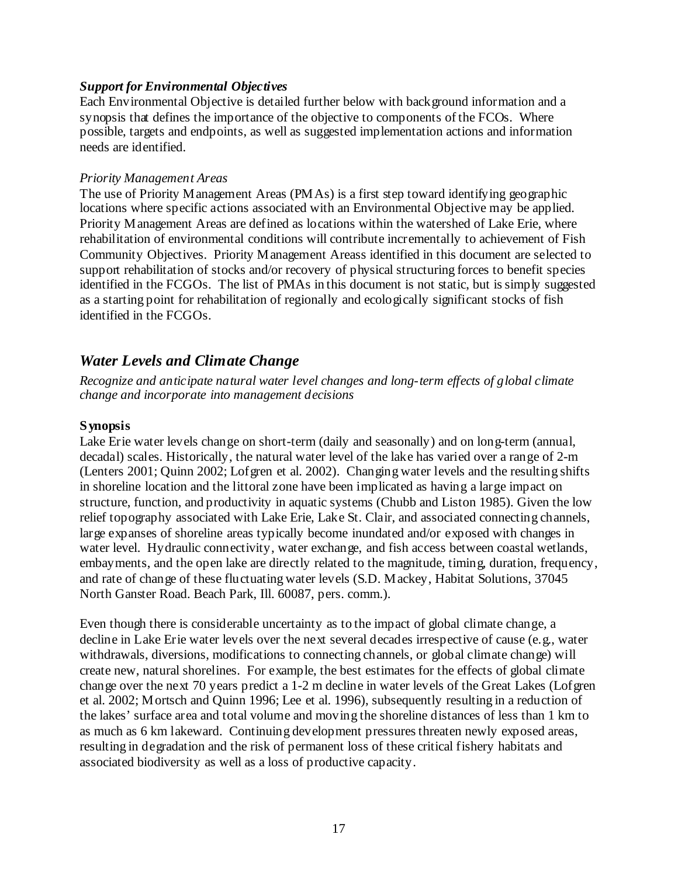#### *Support for Environmental Objectives*

Each Environmental Objective is detailed further below with background information and a synopsis that defines the importance of the objective to components of the FCOs. Where possible, targets and endpoints, as well as suggested implementation actions and information needs are identified.

#### *Priority Management Areas*

The use of Priority Management Areas (PMAs) is a first step toward identifying geographic locations where specific actions associated with an Environmental Objective may be applied. Priority Management Areas are defined as locations within the watershed of Lake Erie, where rehabilitation of environmental conditions will contribute incrementally to achievement of Fish Community Objectives. Priority Management Areass identified in this document are selected to support rehabilitation of stocks and/or recovery of physical structuring forces to benefit species identified in the FCGOs. The list of PMAs in this document is not static, but is simply suggested as a starting point for rehabilitation of regionally and ecologically significant stocks of fish identified in the FCGOs.

# *Water Levels and Climate Change*

*Recognize and anticipate natural water level changes and long-term effects of global climate change and incorporate into management decisions* 

#### **Synopsis**

Lake Erie water levels change on short-term (daily and seasonally) and on long-term (annual, decadal) scales. Historically, the natural water level of the lake has varied over a range of 2-m (Lenters 2001; Quinn 2002; Lofgren et al. 2002). Changing water levels and the resulting shifts in shoreline location and the littoral zone have been implicated as having a large impact on structure, function, and productivity in aquatic systems (Chubb and Liston 1985). Given the low relief topography associated with Lake Erie, Lake St. Clair, and associated connecting channels, large expanses of shoreline areas typically become inundated and/or exposed with changes in water level. Hydraulic connectivity, water exchange, and fish access between coastal wetlands, embayments, and the open lake are directly related to the magnitude, timing, duration, frequency, and rate of change of these fluctuating water levels (S.D. Mackey, Habitat Solutions, 37045 North Ganster Road. Beach Park, Ill. 60087, pers. comm.).

Even though there is considerable uncertainty as to the impact of global climate change, a decline in Lake Erie water levels over the next several decades irrespective of cause (e.g., water withdrawals, diversions, modifications to connecting channels, or global climate change) will create new, natural shorelines. For example, the best estimates for the effects of global climate change over the next 70 years predict a 1-2 m decline in water levels of the Great Lakes (Lofgren et al. 2002; Mortsch and Quinn 1996; Lee et al. 1996), subsequently resulting in a reduction of the lakes' surface area and total volume and moving the shoreline distances of less than 1 km to as much as 6 km lakeward. Continuing development pressures threaten newly exposed areas, resulting in degradation and the risk of permanent loss of these critical fishery habitats and associated biodiversity as well as a loss of productive capacity.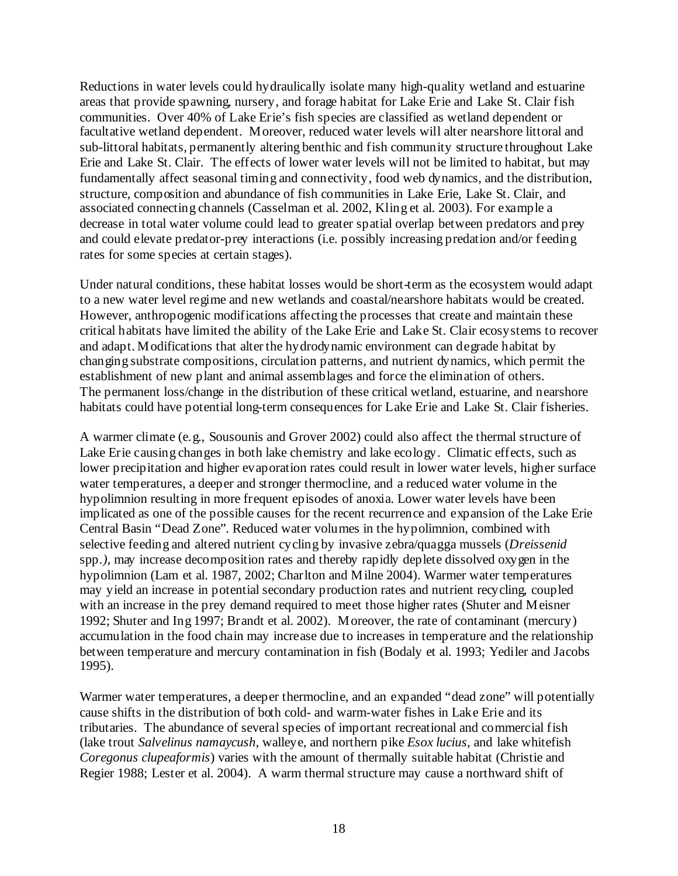Reductions in water levels could hydraulically isolate many high-quality wetland and estuarine areas that provide spawning, nursery, and forage habitat for Lake Erie and Lake St. Clair fish communities. Over 40% of Lake Erie's fish species are classified as wetland dependent or facultative wetland dependent. Moreover, reduced water levels will alter nearshore littoral and sub-littoral habitats, permanently altering benthic and fish community structure throughout Lake Erie and Lake St. Clair. The effects of lower water levels will not be limited to habitat, but may fundamentally affect seasonal timing and connectivity, food web dynamics, and the distribution, structure, composition and abundance of fish communities in Lake Erie, Lake St. Clair, and associated connecting channels (Casselman et al. 2002, Kling et al. 2003). For example a decrease in total water volume could lead to greater spatial overlap between predators and prey and could elevate predator-prey interactions (i.e. possibly increasing predation and/or feeding rates for some species at certain stages).

Under natural conditions, these habitat losses would be short-term as the ecosystem would adapt to a new water level regime and new wetlands and coastal/nearshore habitats would be created. However, anthropogenic modifications affecting the processes that create and maintain these critical habitats have limited the ability of the Lake Erie and Lake St. Clair ecosystems to recover and adapt. Modifications that alter the hydrodynamic environment can degrade habitat by changing substrate compositions, circulation patterns, and nutrient dynamics, which permit the establishment of new plant and animal assemblages and force the elimination of others. The permanent loss/change in the distribution of these critical wetland, estuarine, and nearshore habitats could have potential long-term consequences for Lake Erie and Lake St. Clair fisheries.

A warmer climate (e.g., Sousounis and Grover 2002) could also affect the thermal structure of Lake Erie causing changes in both lake chemistry and lake ecology. Climatic effects, such as lower precipitation and higher evaporation rates could result in lower water levels, higher surface water temperatures, a deeper and stronger thermocline, and a reduced water volume in the hypolimnion resulting in more frequent episodes of anoxia. Lower water levels have been implicated as one of the possible causes for the recent recurrence and expansion of the Lake Erie Central Basin "Dead Zone". Reduced water volumes in the hypolimnion, combined with selective feeding and altered nutrient cycling by invasive zebra/quagga mussels (*Dreissenid*  spp*.)*, may increase decomposition rates and thereby rapidly deplete dissolved oxygen in the hypolimnion (Lam et al. 1987, 2002; Charlton and Milne 2004). Warmer water temperatures may yield an increase in potential secondary production rates and nutrient recycling, coupled with an increase in the prey demand required to meet those higher rates (Shuter and Meisner 1992; Shuter and Ing 1997; Brandt et al. 2002). Moreover, the rate of contaminant (mercury) accumulation in the food chain may increase due to increases in temperature and the relationship between temperature and mercury contamination in fish (Bodaly et al. 1993; Yediler and Jacobs 1995).

Warmer water temperatures, a deeper thermocline, and an expanded "dead zone" will potentially cause shifts in the distribution of both cold- and warm-water fishes in Lake Erie and its tributaries. The abundance of several species of important recreational and commercial fish (lake trout *Salvelinus namaycush*, walleye, and northern pike *Esox lucius*, and lake whitefish *Coregonus clupeaformis*) varies with the amount of thermally suitable habitat (Christie and Regier 1988; Lester et al. 2004). A warm thermal structure may cause a northward shift of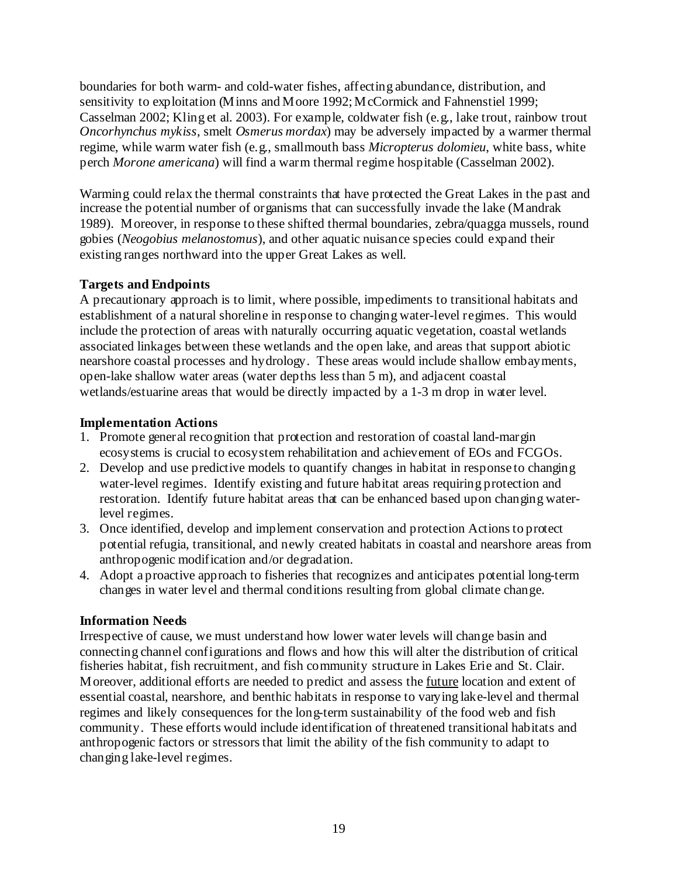boundaries for both warm- and cold-water fishes, affecting abundance, distribution, and sensitivity to exploitation (Minns and Moore 1992; McCormick and Fahnenstiel 1999; Casselman 2002; Kling et al. 2003). For example, coldwater fish (e.g., lake trout, rainbow trout *Oncorhynchus mykiss*, smelt *Osmerus mordax*) may be adversely impacted by a warmer thermal regime, while warm water fish (e.g., smallmouth bass *Micropterus dolomieu*, white bass, white perch *Morone americana*) will find a warm thermal regime hospitable (Casselman 2002).

Warming could relax the thermal constraints that have protected the Great Lakes in the past and increase the potential number of organisms that can successfully invade the lake (Mandrak 1989). Moreover, in response to these shifted thermal boundaries, zebra/quagga mussels, round gobies (*Neogobius melanostomus*), and other aquatic nuisance species could expand their existing ranges northward into the upper Great Lakes as well.

# **Targets and Endpoints**

A precautionary approach is to limit, where possible, impediments to transitional habitats and establishment of a natural shoreline in response to changing water-level regimes. This would include the protection of areas with naturally occurring aquatic vegetation, coastal wetlands associated linkages between these wetlands and the open lake, and areas that support abiotic nearshore coastal processes and hydrology. These areas would include shallow embayments, open-lake shallow water areas (water depths less than 5 m), and adjacent coastal wetlands/estuarine areas that would be directly impacted by a 1-3 m drop in water level.

#### **Implementation Actions**

- 1. Promote general recognition that protection and restoration of coastal land-margin ecosystems is crucial to ecosystem rehabilitation and achievement of EOs and FCGOs.
- 2. Develop and use predictive models to quantify changes in habitat in response to changing water-level regimes. Identify existing and future habitat areas requiring protection and restoration. Identify future habitat areas that can be enhanced based upon changing waterlevel regimes.
- 3. Once identified, develop and implement conservation and protection Actions to protect potential refugia, transitional, and newly created habitats in coastal and nearshore areas from anthropogenic modification and/or degradation.
- 4. Adopt a proactive approach to fisheries that recognizes and anticipates potential long-term changes in water level and thermal conditions resulting from global climate change.

# **Information Needs**

Irrespective of cause, we must understand how lower water levels will change basin and connecting channel configurations and flows and how this will alter the distribution of critical fisheries habitat, fish recruitment, and fish community structure in Lakes Erie and St. Clair. Moreover, additional efforts are needed to predict and assess the future location and extent of essential coastal, nearshore, and benthic habitats in response to varying lake-level and thermal regimes and likely consequences for the long-term sustainability of the food web and fish community. These efforts would include identification of threatened transitional habitats and anthropogenic factors or stressors that limit the ability of the fish community to adapt to changing lake-level regimes.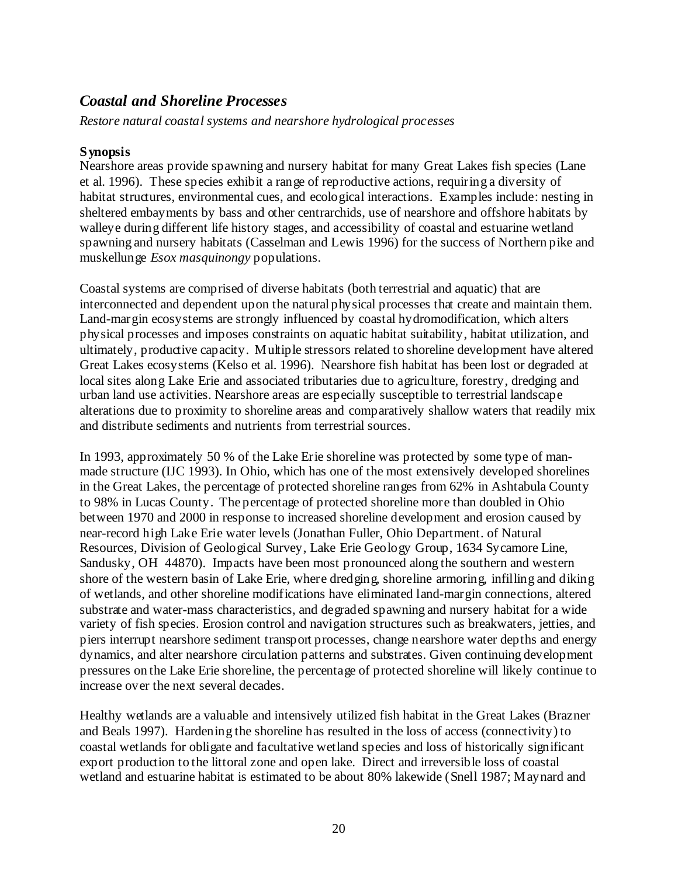# *Coastal and Shoreline Processes*

*Restore natural coastal systems and nearshore hydrological processes* 

# **Synopsis**

Nearshore areas provide spawning and nursery habitat for many Great Lakes fish species (Lane et al. 1996). These species exhibit a range of reproductive actions, requiring a diversity of habitat structures, environmental cues, and ecological interactions. Examples include: nesting in sheltered embayments by bass and other centrarchids, use of nearshore and offshore habitats by walleye during different life history stages, and accessibility of coastal and estuarine wetland spawning and nursery habitats (Casselman and Lewis 1996) for the success of Northern pike and muskellunge *Esox masquinongy* populations.

Coastal systems are comprised of diverse habitats (both terrestrial and aquatic) that are interconnected and dependent upon the natural physical processes that create and maintain them. Land-margin ecosystems are strongly influenced by coastal hydromodification, which alters physical processes and imposes constraints on aquatic habitat suitability, habitat utilization, and ultimately, productive capacity. Multiple stressors related to shoreline development have altered Great Lakes ecosystems (Kelso et al. 1996). Nearshore fish habitat has been lost or degraded at local sites along Lake Erie and associated tributaries due to agriculture, forestry, dredging and urban land use activities. Nearshore areas are especially susceptible to terrestrial landscape alterations due to proximity to shoreline areas and comparatively shallow waters that readily mix and distribute sediments and nutrients from terrestrial sources.

In 1993, approximately 50 % of the Lake Erie shoreline was protected by some type of manmade structure (IJC 1993). In Ohio, which has one of the most extensively developed shorelines in the Great Lakes, the percentage of protected shoreline ranges from 62% in Ashtabula County to 98% in Lucas County. The percentage of protected shoreline more than doubled in Ohio between 1970 and 2000 in response to increased shoreline development and erosion caused by near-record high Lake Erie water levels (Jonathan Fuller, Ohio Department. of Natural Resources, Division of Geological Survey, Lake Erie Geology Group, 1634 Sycamore Line, Sandusky, OH 44870). Impacts have been most pronounced along the southern and western shore of the western basin of Lake Erie, where dredging, shoreline armoring, infilling and diking of wetlands, and other shoreline modifications have eliminated land-margin connections, altered substrate and water-mass characteristics, and degraded spawning and nursery habitat for a wide variety of fish species. Erosion control and navigation structures such as breakwaters, jetties, and piers interrupt nearshore sediment transport processes, change nearshore water depths and energy dynamics, and alter nearshore circulation patterns and substrates. Given continuing development pressures on the Lake Erie shoreline, the percentage of protected shoreline will likely continue to increase over the next several decades.

Healthy wetlands are a valuable and intensively utilized fish habitat in the Great Lakes (Brazner and Beals 1997). Hardening the shoreline has resulted in the loss of access (connectivity) to coastal wetlands for obligate and facultative wetland species and loss of historically significant export production to the littoral zone and open lake. Direct and irreversible loss of coastal wetland and estuarine habitat is estimated to be about 80% lakewide (Snell 1987; Maynard and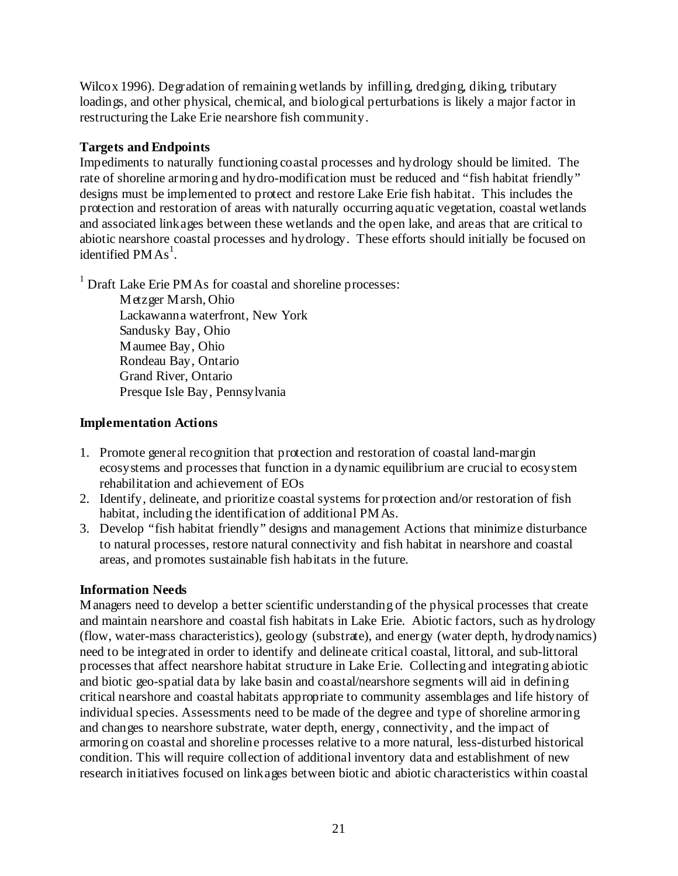Wilcox 1996). Degradation of remaining wetlands by infilling, dredging, diking, tributary loadings, and other physical, chemical, and biological perturbations is likely a major factor in restructuring the Lake Erie nearshore fish community.

## **Targets and Endpoints**

Impediments to naturally functioning coastal processes and hydrology should be limited. The rate of shoreline armoring and hydro-modification must be reduced and "fish habitat friendly" designs must be implemented to protect and restore Lake Erie fish habitat. This includes the protection and restoration of areas with naturally occurring aquatic vegetation, coastal wetlands and associated linkages between these wetlands and the open lake, and areas that are critical to abiotic nearshore coastal processes and hydrology. These efforts should initially be focused on identified  $PMAs<sup>1</sup>$ .

<sup>1</sup> Draft Lake Erie PMAs for coastal and shoreline processes:

Metzger Marsh, Ohio Lackawanna waterfront, New York Sandusky Bay, Ohio Maumee Bay, Ohio Rondeau Bay, Ontario Grand River, Ontario Presque Isle Bay, Pennsylvania

# **Implementation Actions**

- 1. Promote general recognition that protection and restoration of coastal land-margin ecosystems and processes that function in a dynamic equilibrium are crucial to ecosystem rehabilitation and achievement of EOs
- 2. Identify, delineate, and prioritize coastal systems for protection and/or restoration of fish habitat, including the identification of additional PMAs.
- 3. Develop "fish habitat friendly" designs and management Actions that minimize disturbance to natural processes, restore natural connectivity and fish habitat in nearshore and coastal areas, and promotes sustainable fish habitats in the future.

# **Information Needs**

Managers need to develop a better scientific understanding of the physical processes that create and maintain nearshore and coastal fish habitats in Lake Erie. Abiotic factors, such as hydrology (flow, water-mass characteristics), geology (substrate), and energy (water depth, hydrodynamics) need to be integrated in order to identify and delineate critical coastal, littoral, and sub-littoral processes that affect nearshore habitat structure in Lake Erie. Collecting and integrating abiotic and biotic geo-spatial data by lake basin and coastal/nearshore segments will aid in defining critical nearshore and coastal habitats appropriate to community assemblages and life history of individual species. Assessments need to be made of the degree and type of shoreline armoring and changes to nearshore substrate, water depth, energy, connectivity, and the impact of armoring on coastal and shoreline processes relative to a more natural, less-disturbed historical condition. This will require collection of additional inventory data and establishment of new research initiatives focused on linkages between biotic and abiotic characteristics within coastal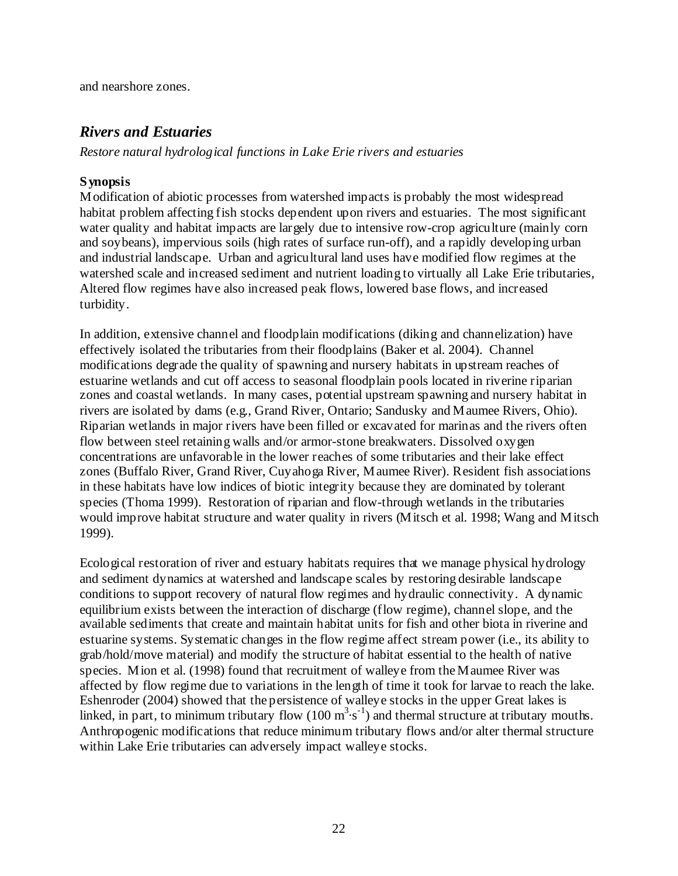and nearshore zones.

# *Rivers and Estuaries*

*Restore natural hydrological functions in Lake Erie rivers and estuaries* 

# **Synopsis**

Modification of abiotic processes from watershed impacts is probably the most widespread habitat problem affecting fish stocks dependent upon rivers and estuaries. The most significant water quality and habitat impacts are largely due to intensive row-crop agriculture (mainly corn and soybeans), impervious soils (high rates of surface run-off), and a rapidly developing urban and industrial landscape. Urban and agricultural land uses have modified flow regimes at the watershed scale and increased sediment and nutrient loading to virtually all Lake Erie tributaries, Altered flow regimes have also increased peak flows, lowered base flows, and increased turbidity.

In addition, extensive channel and floodplain modifications (diking and channelization) have effectively isolated the tributaries from their floodplains (Baker et al. 2004). Channel modifications degrade the quality of spawning and nursery habitats in upstream reaches of estuarine wetlands and cut off access to seasonal floodplain pools located in riverine riparian zones and coastal wetlands. In many cases, potential upstream spawning and nursery habitat in rivers are isolated by dams (e.g., Grand River, Ontario; Sandusky and Maumee Rivers, Ohio). Riparian wetlands in major rivers have been filled or excavated for marinas and the rivers often flow between steel retaining walls and/or armor-stone breakwaters. Dissolved oxygen concentrations are unfavorable in the lower reaches of some tributaries and their lake effect zones (Buffalo River, Grand River, Cuyahoga River, Maumee River). Resident fish associations in these habitats have low indices of biotic integrity because they are dominated by tolerant species (Thoma 1999). Restoration of riparian and flow-through wetlands in the tributaries would improve habitat structure and water quality in rivers (Mitsch et al. 1998; Wang and Mitsch 1999).

Ecological restoration of river and estuary habitats requires that we manage physical hydrology and sediment dynamics at watershed and landscape scales by restoring desirable landscape conditions to support recovery of natural flow regimes and hydraulic connectivity. A dynamic equilibrium exists between the interaction of discharge (flow regime), channel slope, and the available sediments that create and maintain habitat units for fish and other biota in riverine and estuarine systems. Systematic changes in the flow regime affect stream power (i.e., its ability to grab/hold/move material) and modify the structure of habitat essential to the health of native species. Mion et al. (1998) found that recruitment of walleye from the Maumee River was affected by flow regime due to variations in the length of time it took for larvae to reach the lake. Eshenroder (2004) showed that the persistence of walleye stocks in the upper Great lakes is linked, in part, to minimum tributary flow  $(100 \text{ m}^3 \cdot \text{s}^{-1})$  and thermal structure at tributary mouths. Anthropogenic modifications that reduce minimum tributary flows and/or alter thermal structure within Lake Erie tributaries can adversely impact walleye stocks.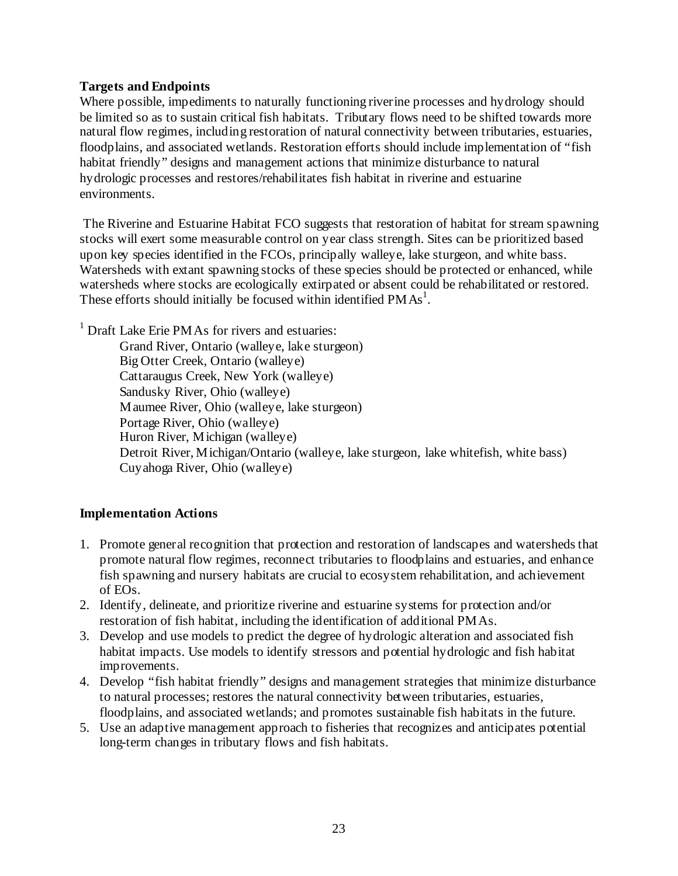## **Targets and Endpoints**

Where possible, impediments to naturally functioning riverine processes and hydrology should be limited so as to sustain critical fish habitats. Tributary flows need to be shifted towards more natural flow regimes, including restoration of natural connectivity between tributaries, estuaries, floodplains, and associated wetlands. Restoration efforts should include implementation of "fish habitat friendly" designs and management actions that minimize disturbance to natural hydrologic processes and restores/rehabilitates fish habitat in riverine and estuarine environments.

 The Riverine and Estuarine Habitat FCO suggests that restoration of habitat for stream spawning stocks will exert some measurable control on year class strength. Sites can be prioritized based upon key species identified in the FCOs, principally walleye, lake sturgeon, and white bass. Watersheds with extant spawning stocks of these species should be protected or enhanced, while watersheds where stocks are ecologically extirpated or absent could be rehabilitated or restored. These efforts should initially be focused within identified  $PMAs<sup>1</sup>$ .

<sup>1</sup> Draft Lake Erie PMAs for rivers and estuaries:

Grand River, Ontario (walleye, lake sturgeon) Big Otter Creek, Ontario (walleye) Cattaraugus Creek, New York (walleye) Sandusky River, Ohio (walleye) Maumee River, Ohio (walleye, lake sturgeon) Portage River, Ohio (walleye) Huron River, Michigan (walleye) Detroit River, Michigan/Ontario (walleye, lake sturgeon, lake whitefish, white bass) Cuyahoga River, Ohio (walleye)

# **Implementation Actions**

- 1. Promote general recognition that protection and restoration of landscapes and watersheds that promote natural flow regimes, reconnect tributaries to floodplains and estuaries, and enhance fish spawning and nursery habitats are crucial to ecosystem rehabilitation, and achievement of EOs.
- 2. Identify, delineate, and prioritize riverine and estuarine systems for protection and/or restoration of fish habitat, including the identification of additional PMAs.
- 3. Develop and use models to predict the degree of hydrologic alteration and associated fish habitat impacts. Use models to identify stressors and potential hydrologic and fish habitat improvements.
- 4. Develop "fish habitat friendly" designs and management strategies that minimize disturbance to natural processes; restores the natural connectivity between tributaries, estuaries, floodplains, and associated wetlands; and promotes sustainable fish habitats in the future.
- 5. Use an adaptive management approach to fisheries that recognizes and anticipates potential long-term changes in tributary flows and fish habitats.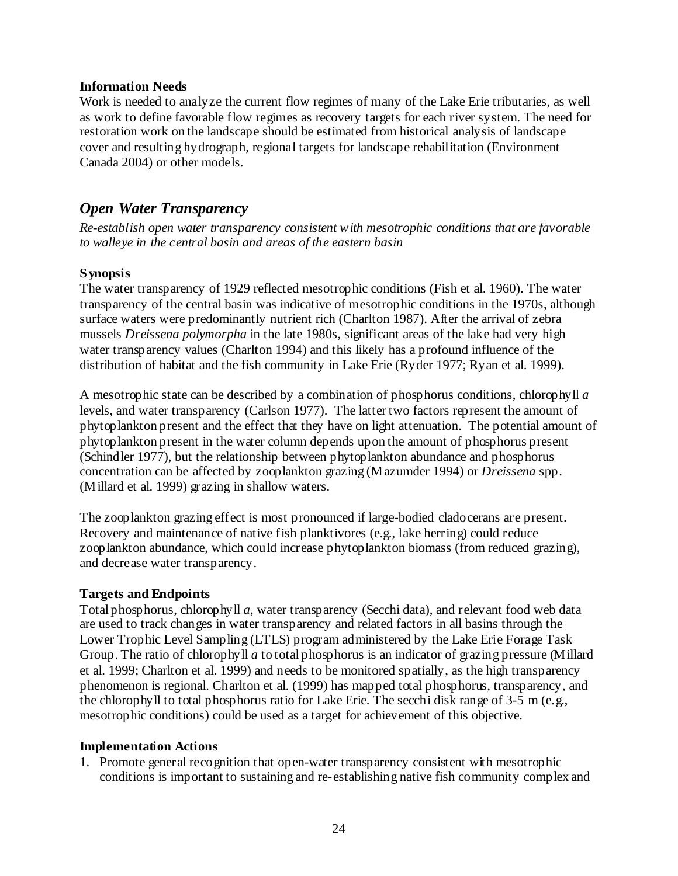#### **Information Needs**

Work is needed to analyze the current flow regimes of many of the Lake Erie tributaries, as well as work to define favorable flow regimes as recovery targets for each river system. The need for restoration work on the landscape should be estimated from historical analysis of landscape cover and resulting hydrograph, regional targets for landscape rehabilitation (Environment Canada 2004) or other models.

# *Open Water Transparency*

*Re-establish open water transparency consistent with mesotrophic conditions that are favorable to walleye in the central basin and areas of the eastern basin* 

# **Synopsis**

The water transparency of 1929 reflected mesotrophic conditions (Fish et al. 1960). The water transparency of the central basin was indicative of mesotrophic conditions in the 1970s, although surface waters were predominantly nutrient rich (Charlton 1987). After the arrival of zebra mussels *Dreissena polymorpha* in the late 1980s, significant areas of the lake had very high water transparency values (Charlton 1994) and this likely has a profound influence of the distribution of habitat and the fish community in Lake Erie (Ryder 1977; Ryan et al. 1999).

A mesotrophic state can be described by a combination of phosphorus conditions, chlorophyll *a* levels, and water transparency (Carlson 1977). The latter two factors represent the amount of phytoplankton present and the effect that they have on light attenuation. The potential amount of phytoplankton present in the water column depends upon the amount of phosphorus present (Schindler 1977), but the relationship between phytoplankton abundance and phosphorus concentration can be affected by zooplankton grazing (Mazumder 1994) or *Dreissena* spp. (Millard et al. 1999) grazing in shallow waters.

The zooplankton grazing effect is most pronounced if large-bodied cladocerans are present. Recovery and maintenance of native fish planktivores (e.g., lake herring) could reduce zooplankton abundance, which could increase phytoplankton biomass (from reduced grazing), and decrease water transparency.

# **Targets and Endpoints**

Total phosphorus, chlorophyll *a*, water transparency (Secchi data), and relevant food web data are used to track changes in water transparency and related factors in all basins through the Lower Trophic Level Sampling (LTLS) program administered by the Lake Erie Forage Task Group. The ratio of chlorophyll *a* to total phosphorus is an indicator of grazing pressure (Millard et al. 1999; Charlton et al. 1999) and needs to be monitored spatially, as the high transparency phenomenon is regional. Charlton et al. (1999) has mapped total phosphorus, transparency, and the chlorophyll to total phosphorus ratio for Lake Erie. The secchi disk range of 3-5 m (e.g., mesotrophic conditions) could be used as a target for achievement of this objective.

# **Implementation Actions**

1. Promote general recognition that open-water transparency consistent with mesotrophic conditions is important to sustaining and re-establishing native fish community complex and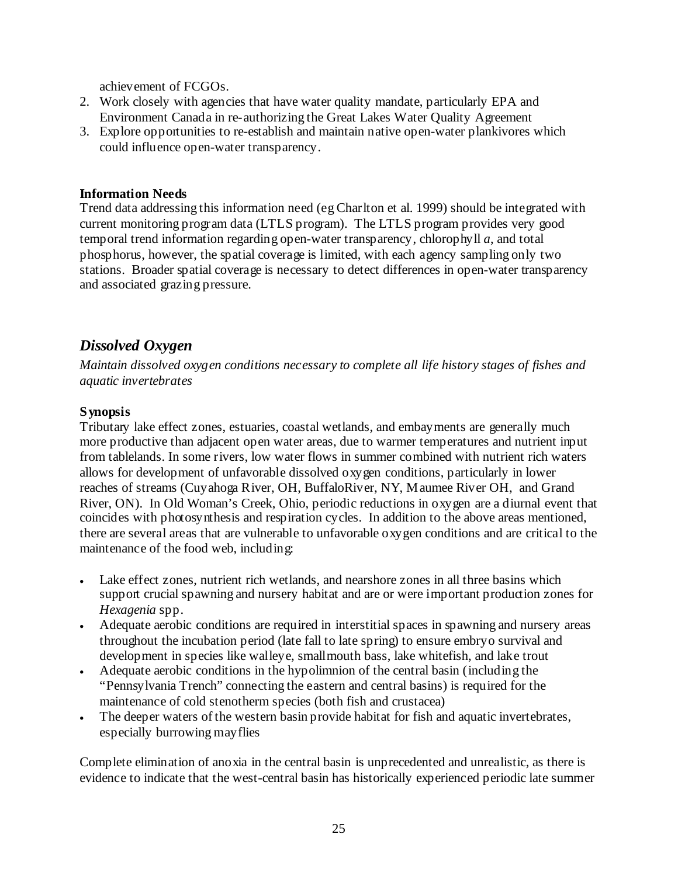achievement of FCGOs.

- 2. Work closely with agencies that have water quality mandate, particularly EPA and Environment Canada in re-authorizing the Great Lakes Water Quality Agreement
- 3. Explore opportunities to re-establish and maintain native open-water plankivores which could influence open-water transparency.

### **Information Needs**

Trend data addressing this information need (eg Charlton et al. 1999) should be integrated with current monitoring program data (LTLS program). The LTLS program provides very good temporal trend information regarding open-water transparency, chlorophyll *a*, and total phosphorus, however, the spatial coverage is limited, with each agency sampling only two stations. Broader spatial coverage is necessary to detect differences in open-water transparency and associated grazing pressure.

# *Dissolved Oxygen*

*Maintain dissolved oxygen conditions necessary to complete all life history stages of fishes and aquatic invertebrates* 

# **Synopsis**

Tributary lake effect zones, estuaries, coastal wetlands, and embayments are generally much more productive than adjacent open water areas, due to warmer temperatures and nutrient input from tablelands. In some rivers, low water flows in summer combined with nutrient rich waters allows for development of unfavorable dissolved oxygen conditions, particularly in lower reaches of streams (Cuyahoga River, OH, BuffaloRiver, NY, Maumee River OH, and Grand River, ON). In Old Woman's Creek, Ohio, periodic reductions in oxygen are a diurnal event that coincides with photosynthesis and respiration cycles. In addition to the above areas mentioned, there are several areas that are vulnerable to unfavorable oxygen conditions and are critical to the maintenance of the food web, including:

- Lake effect zones, nutrient rich wetlands, and nearshore zones in all three basins which support crucial spawning and nursery habitat and are or were important production zones for *Hexagenia* spp.
- Adequate aerobic conditions are required in interstitial spaces in spawning and nursery areas throughout the incubation period (late fall to late spring) to ensure embryo survival and development in species like walleye, smallmouth bass, lake whitefish, and lake trout
- Adequate aerobic conditions in the hypolimnion of the central basin (including the "Pennsylvania Trench" connecting the eastern and central basins) is required for the maintenance of cold stenotherm species (both fish and crustacea)
- The deeper waters of the western basin provide habitat for fish and aquatic invertebrates, especially burrowing mayflies

Complete elimination of anoxia in the central basin is unprecedented and unrealistic, as there is evidence to indicate that the west-central basin has historically experienced periodic late summer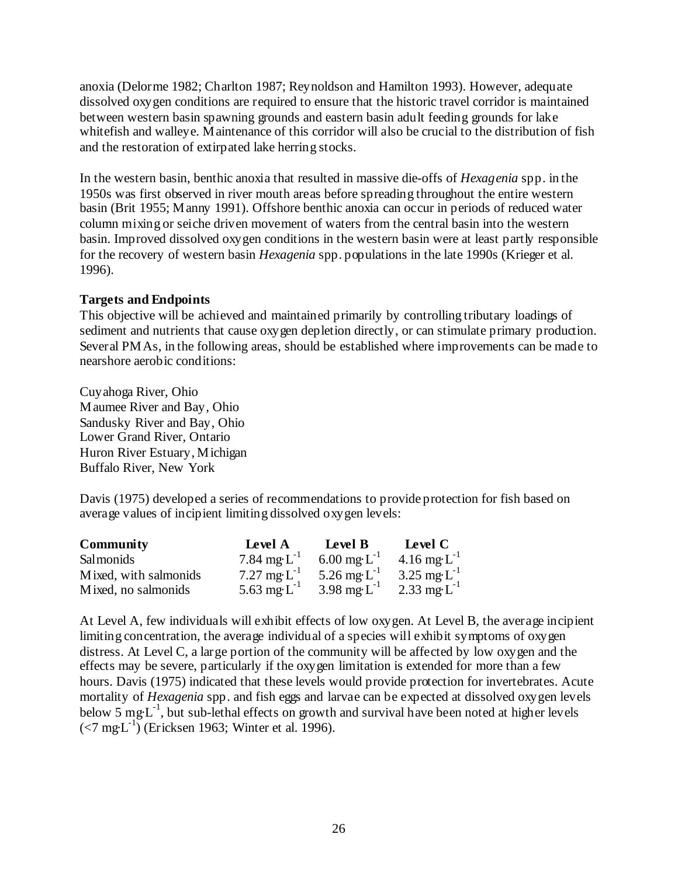anoxia (Delorme 1982; Charlton 1987; Reynoldson and Hamilton 1993). However, adequate dissolved oxygen conditions are required to ensure that the historic travel corridor is maintained between western basin spawning grounds and eastern basin adult feeding grounds for lake whitefish and walleye. Maintenance of this corridor will also be crucial to the distribution of fish and the restoration of extirpated lake herring stocks.

In the western basin, benthic anoxia that resulted in massive die-offs of *Hexagenia* spp. in the 1950s was first observed in river mouth areas before spreading throughout the entire western basin (Brit 1955; Manny 1991). Offshore benthic anoxia can occur in periods of reduced water column mixing or seiche driven movement of waters from the central basin into the western basin. Improved dissolved oxygen conditions in the western basin were at least partly responsible for the recovery of western basin *Hexagenia* spp. populations in the late 1990s (Krieger et al. 1996).

### **Targets and Endpoints**

This objective will be achieved and maintained primarily by controlling tributary loadings of sediment and nutrients that cause oxygen depletion directly, or can stimulate primary production. Several PMAs, in the following areas, should be established where improvements can be made to nearshore aerobic conditions:

Cuyahoga River, Ohio Maumee River and Bay, Ohio Sandusky River and Bay, Ohio Lower Grand River, Ontario Huron River Estuary, Michigan Buffalo River, New York

Davis (1975) developed a series of recommendations to provide protection for fish based on average values of incipient limiting dissolved oxygen levels:

| <b>Community</b>      | Level A           | Level B                        | Level C           |
|-----------------------|-------------------|--------------------------------|-------------------|
| <b>Salmonids</b>      | 7.84 mg· $L^{-1}$ | $6.00 \text{ mg} \cdot L^{-1}$ | 4.16 mg· $L^{-1}$ |
| Mixed, with salmonids | 7.27 mg $L^{-1}$  | 5.26 mg $L^{-1}$               | 3.25 mg· $L^{-1}$ |
| Mixed, no salmonids   | 5.63 mg $L^{-1}$  | $3.98 \text{ mg} \cdot L^{-1}$ | 2.33 mg $L^{-1}$  |

At Level A, few individuals will exhibit effects of low oxygen. At Level B, the average incipient limiting concentration, the average individual of a species will exhibit symptoms of oxygen distress. At Level C, a large portion of the community will be affected by low oxygen and the effects may be severe, particularly if the oxygen limitation is extended for more than a few hours. Davis (1975) indicated that these levels would provide protection for invertebrates. Acute mortality of *Hexagenia* spp. and fish eggs and larvae can be expected at dissolved oxygen levels below  $5 \text{ mg} \cdot L^{-1}$ , but sub-lethal effects on growth and survival have been noted at higher levels  $(<7 \text{ mg·L}^{-1})$  (Ericksen 1963; Winter et al. 1996).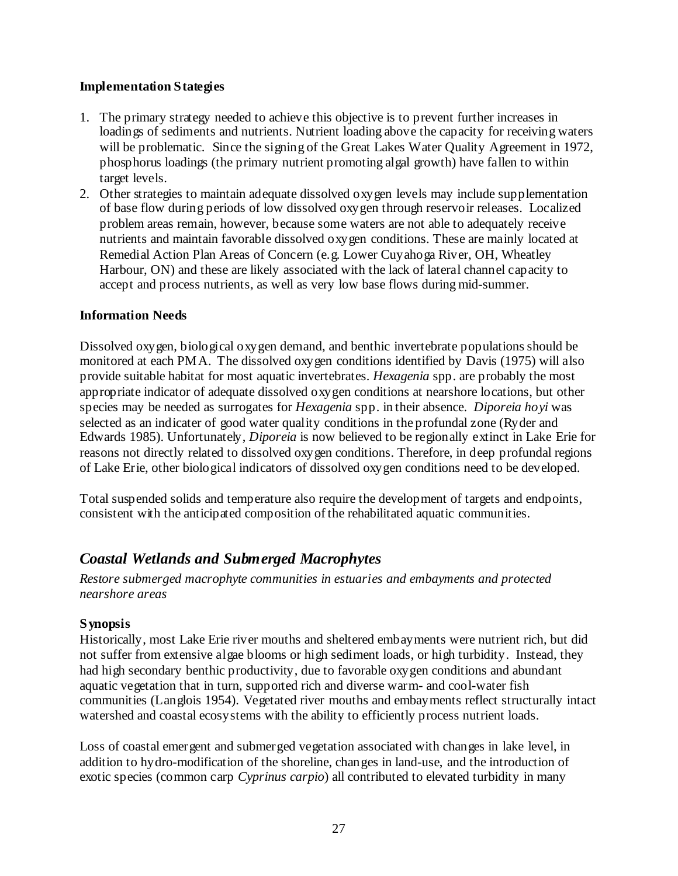### **Implementation Stategies**

- 1. The primary strategy needed to achieve this objective is to prevent further increases in loadings of sediments and nutrients. Nutrient loading above the capacity for receiving waters will be problematic. Since the signing of the Great Lakes Water Quality Agreement in 1972, phosphorus loadings (the primary nutrient promoting algal growth) have fallen to within target levels.
- 2. Other strategies to maintain adequate dissolved oxygen levels may include supplementation of base flow during periods of low dissolved oxygen through reservoir releases. Localized problem areas remain, however, because some waters are not able to adequately receive nutrients and maintain favorable dissolved oxygen conditions. These are mainly located at Remedial Action Plan Areas of Concern (e.g. Lower Cuyahoga River, OH, Wheatley Harbour, ON) and these are likely associated with the lack of lateral channel capacity to accept and process nutrients, as well as very low base flows during mid-summer.

### **Information Needs**

Dissolved oxygen, biological oxygen demand, and benthic invertebrate populations should be monitored at each PMA. The dissolved oxygen conditions identified by Davis (1975) will also provide suitable habitat for most aquatic invertebrates. *Hexagenia* spp. are probably the most appropriate indicator of adequate dissolved oxygen conditions at nearshore locations, but other species may be needed as surrogates for *Hexagenia* spp. in their absence. *Diporeia hoyi* was selected as an indicater of good water quality conditions in the profundal zone (Ryder and Edwards 1985). Unfortunately, *Diporeia* is now believed to be regionally extinct in Lake Erie for reasons not directly related to dissolved oxygen conditions. Therefore, in deep profundal regions of Lake Erie, other biological indicators of dissolved oxygen conditions need to be developed.

Total suspended solids and temperature also require the development of targets and endpoints, consistent with the anticipated composition of the rehabilitated aquatic communities.

# *Coastal Wetlands and Submerged Macrophytes*

*Restore submerged macrophyte communities in estuaries and embayments and protected nearshore areas* 

#### **Synopsis**

Historically, most Lake Erie river mouths and sheltered embayments were nutrient rich, but did not suffer from extensive algae blooms or high sediment loads, or high turbidity. Instead, they had high secondary benthic productivity, due to favorable oxygen conditions and abundant aquatic vegetation that in turn, supported rich and diverse warm- and cool-water fish communities (Langlois 1954). Vegetated river mouths and embayments reflect structurally intact watershed and coastal ecosystems with the ability to efficiently process nutrient loads.

Loss of coastal emergent and submerged vegetation associated with changes in lake level, in addition to hydro-modification of the shoreline, changes in land-use, and the introduction of exotic species (common carp *Cyprinus carpio*) all contributed to elevated turbidity in many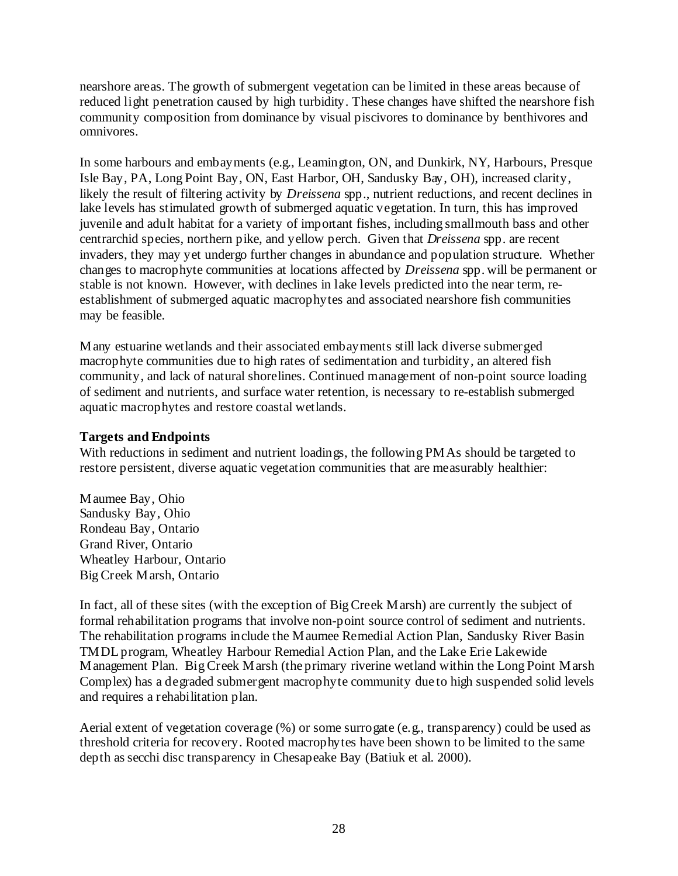nearshore areas. The growth of submergent vegetation can be limited in these areas because of reduced light penetration caused by high turbidity. These changes have shifted the nearshore fish community composition from dominance by visual piscivores to dominance by benthivores and omnivores.

In some harbours and embayments (e.g., Leamington, ON, and Dunkirk, NY, Harbours, Presque Isle Bay, PA, Long Point Bay, ON, East Harbor, OH, Sandusky Bay, OH), increased clarity, likely the result of filtering activity by *Dreissena* spp., nutrient reductions, and recent declines in lake levels has stimulated growth of submerged aquatic vegetation. In turn, this has improved juvenile and adult habitat for a variety of important fishes, including smallmouth bass and other centrarchid species, northern pike, and yellow perch. Given that *Dreissena* spp. are recent invaders, they may yet undergo further changes in abundance and population structure. Whether changes to macrophyte communities at locations affected by *Dreissena* spp. will be permanent or stable is not known. However, with declines in lake levels predicted into the near term, reestablishment of submerged aquatic macrophytes and associated nearshore fish communities may be feasible.

Many estuarine wetlands and their associated embayments still lack diverse submerged macrophyte communities due to high rates of sedimentation and turbidity, an altered fish community, and lack of natural shorelines. Continued management of non-point source loading of sediment and nutrients, and surface water retention, is necessary to re-establish submerged aquatic macrophytes and restore coastal wetlands.

#### **Targets and Endpoints**

With reductions in sediment and nutrient loadings, the following PMAs should be targeted to restore persistent, diverse aquatic vegetation communities that are measurably healthier:

Maumee Bay, Ohio Sandusky Bay, Ohio Rondeau Bay, Ontario Grand River, Ontario Wheatley Harbour, Ontario Big Creek Marsh, Ontario

In fact, all of these sites (with the exception of Big Creek Marsh) are currently the subject of formal rehabilitation programs that involve non-point source control of sediment and nutrients. The rehabilitation programs include the Maumee Remedial Action Plan, Sandusky River Basin TMDL program, Wheatley Harbour Remedial Action Plan, and the Lake Erie Lakewide Management Plan. Big Creek Marsh (the primary riverine wetland within the Long Point Marsh Complex) has a degraded submergent macrophyte community due to high suspended solid levels and requires a rehabilitation plan.

Aerial extent of vegetation coverage (%) or some surrogate (e.g., transparency) could be used as threshold criteria for recovery. Rooted macrophytes have been shown to be limited to the same depth as secchi disc transparency in Chesapeake Bay (Batiuk et al. 2000).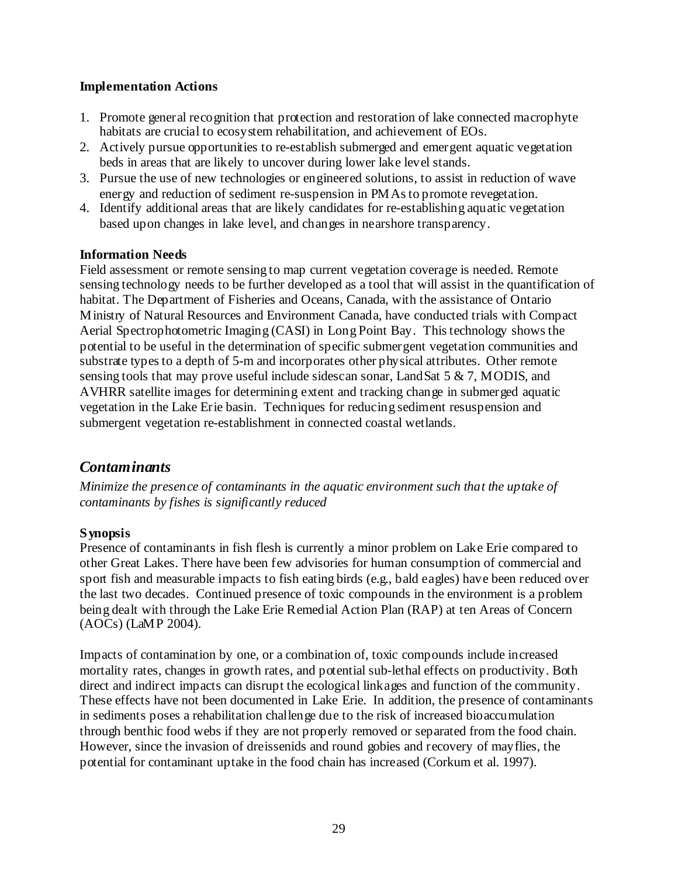#### **Implementation Actions**

- 1. Promote general recognition that protection and restoration of lake connected macrophyte habitats are crucial to ecosystem rehabilitation, and achievement of EOs.
- 2. Actively pursue opportunities to re-establish submerged and emergent aquatic vegetation beds in areas that are likely to uncover during lower lake level stands.
- 3. Pursue the use of new technologies or engineered solutions, to assist in reduction of wave energy and reduction of sediment re-suspension in PMAs to promote revegetation.
- 4. Identify additional areas that are likely candidates for re-establishing aquatic vegetation based upon changes in lake level, and changes in nearshore transparency.

# **Information Needs**

Field assessment or remote sensing to map current vegetation coverage is needed. Remote sensing technology needs to be further developed as a tool that will assist in the quantification of habitat. The Department of Fisheries and Oceans, Canada, with the assistance of Ontario Ministry of Natural Resources and Environment Canada, have conducted trials with Compact Aerial Spectrophotometric Imaging (CASI) in Long Point Bay. This technology shows the potential to be useful in the determination of specific submergent vegetation communities and substrate types to a depth of 5-m and incorporates other physical attributes. Other remote sensing tools that may prove useful include sidescan sonar, LandSat 5 & 7, MODIS, and AVHRR satellite images for determining extent and tracking change in submerged aquatic vegetation in the Lake Erie basin. Techniques for reducing sediment resuspension and submergent vegetation re-establishment in connected coastal wetlands.

# *Contaminants*

*Minimize the presence of contaminants in the aquatic environment such that the uptake of contaminants by fishes is significantly reduced* 

# **Synopsis**

Presence of contaminants in fish flesh is currently a minor problem on Lake Erie compared to other Great Lakes. There have been few advisories for human consumption of commercial and sport fish and measurable impacts to fish eating birds (e.g., bald eagles) have been reduced over the last two decades. Continued presence of toxic compounds in the environment is a problem being dealt with through the Lake Erie Remedial Action Plan (RAP) at ten Areas of Concern (AOCs) (LaMP 2004).

Impacts of contamination by one, or a combination of, toxic compounds include increased mortality rates, changes in growth rates, and potential sub-lethal effects on productivity. Both direct and indirect impacts can disrupt the ecological linkages and function of the community. These effects have not been documented in Lake Erie. In addition, the presence of contaminants in sediments poses a rehabilitation challenge due to the risk of increased bioaccumulation through benthic food webs if they are not properly removed or separated from the food chain. However, since the invasion of dreissenids and round gobies and recovery of mayflies, the potential for contaminant uptake in the food chain has increased (Corkum et al. 1997).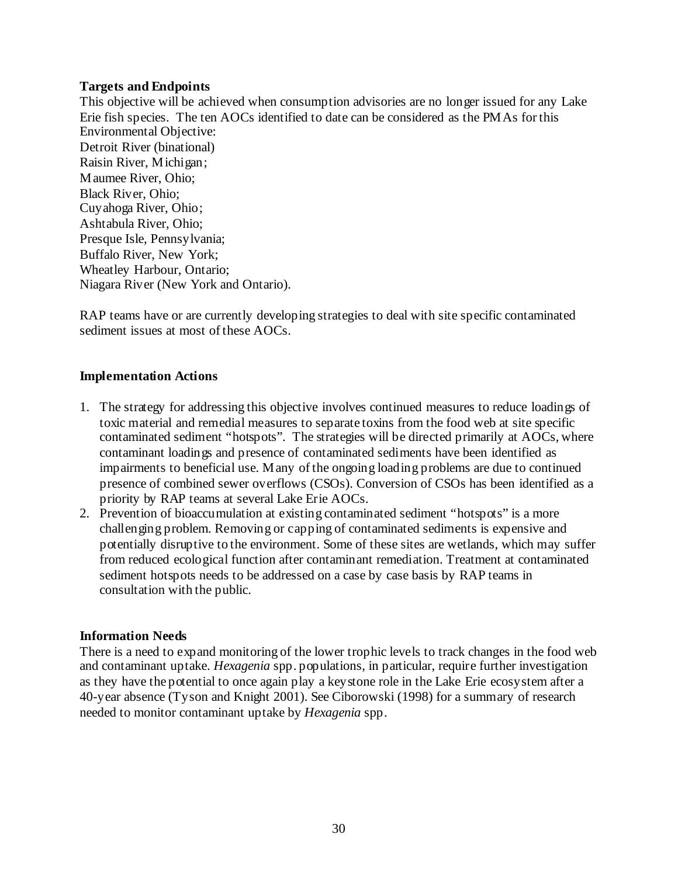### **Targets and Endpoints**

This objective will be achieved when consumption advisories are no longer issued for any Lake Erie fish species. The ten AOCs identified to date can be considered as the PMAs for this Environmental Objective: Detroit River (binational) Raisin River, Michigan; Maumee River, Ohio; Black River, Ohio; Cuyahoga River, Ohio; Ashtabula River, Ohio; Presque Isle, Pennsylvania; Buffalo River, New York; Wheatley Harbour, Ontario; Niagara River (New York and Ontario).

RAP teams have or are currently developing strategies to deal with site specific contaminated sediment issues at most of these AOCs.

### **Implementation Actions**

- 1. The strategy for addressing this objective involves continued measures to reduce loadings of toxic material and remedial measures to separate toxins from the food web at site specific contaminated sediment "hotspots". The strategies will be directed primarily at AOCs, where contaminant loadings and presence of contaminated sediments have been identified as impairments to beneficial use. Many of the ongoing loading problems are due to continued presence of combined sewer overflows (CSOs). Conversion of CSOs has been identified as a priority by RAP teams at several Lake Erie AOCs.
- 2. Prevention of bioaccumulation at existing contaminated sediment "hotspots" is a more challenging problem. Removing or capping of contaminated sediments is expensive and potentially disruptive to the environment. Some of these sites are wetlands, which may suffer from reduced ecological function after contaminant remediation. Treatment at contaminated sediment hotspots needs to be addressed on a case by case basis by RAP teams in consultation with the public.

# **Information Needs**

There is a need to expand monitoring of the lower trophic levels to track changes in the food web and contaminant uptake. *Hexagenia* spp. populations, in particular, require further investigation as they have the potential to once again play a keystone role in the Lake Erie ecosystem after a 40-year absence (Tyson and Knight 2001). See Ciborowski (1998) for a summary of research needed to monitor contaminant uptake by *Hexagenia* spp.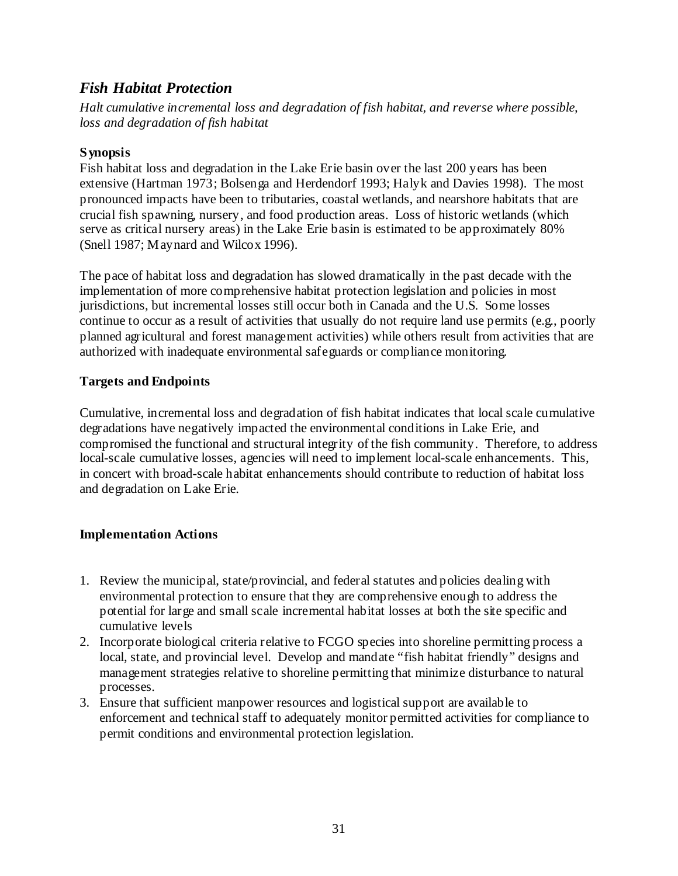# *Fish Habitat Protection*

*Halt cumulative incremental loss and degradation of fish habitat, and reverse where possible, loss and degradation of fish habitat* 

# **Synopsis**

Fish habitat loss and degradation in the Lake Erie basin over the last 200 years has been extensive (Hartman 1973; Bolsenga and Herdendorf 1993; Halyk and Davies 1998). The most pronounced impacts have been to tributaries, coastal wetlands, and nearshore habitats that are crucial fish spawning, nursery, and food production areas. Loss of historic wetlands (which serve as critical nursery areas) in the Lake Erie basin is estimated to be approximately 80% (Snell 1987; Maynard and Wilcox 1996).

The pace of habitat loss and degradation has slowed dramatically in the past decade with the implementation of more comprehensive habitat protection legislation and policies in most jurisdictions, but incremental losses still occur both in Canada and the U.S. Some losses continue to occur as a result of activities that usually do not require land use permits (e.g., poorly planned agricultural and forest management activities) while others result from activities that are authorized with inadequate environmental safeguards or compliance monitoring.

# **Targets and Endpoints**

Cumulative, incremental loss and degradation of fish habitat indicates that local scale cumulative degradations have negatively impacted the environmental conditions in Lake Erie, and compromised the functional and structural integrity of the fish community. Therefore, to address local-scale cumulative losses, agencies will need to implement local-scale enhancements. This, in concert with broad-scale habitat enhancements should contribute to reduction of habitat loss and degradation on Lake Erie.

# **Implementation Actions**

- 1. Review the municipal, state/provincial, and federal statutes and policies dealing with environmental protection to ensure that they are comprehensive enough to address the potential for large and small scale incremental habitat losses at both the site specific and cumulative levels
- 2. Incorporate biological criteria relative to FCGO species into shoreline permitting process a local, state, and provincial level. Develop and mandate "fish habitat friendly" designs and management strategies relative to shoreline permitting that minimize disturbance to natural processes.
- 3. Ensure that sufficient manpower resources and logistical support are available to enforcement and technical staff to adequately monitor permitted activities for compliance to permit conditions and environmental protection legislation.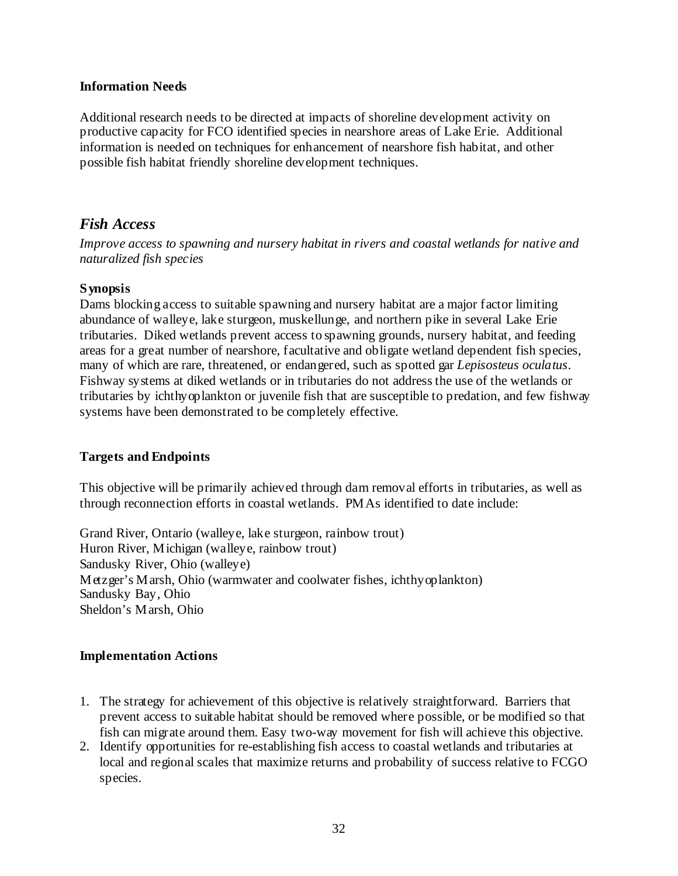#### **Information Needs**

Additional research needs to be directed at impacts of shoreline development activity on productive capacity for FCO identified species in nearshore areas of Lake Erie. Additional information is needed on techniques for enhancement of nearshore fish habitat, and other possible fish habitat friendly shoreline development techniques.

# *Fish Access*

*Improve access to spawning and nursery habitat in rivers and coastal wetlands for native and naturalized fish species* 

# **Synopsis**

Dams blocking access to suitable spawning and nursery habitat are a major factor limiting abundance of walleye, lake sturgeon, muskellunge, and northern pike in several Lake Erie tributaries. Diked wetlands prevent access to spawning grounds, nursery habitat, and feeding areas for a great number of nearshore, facultative and obligate wetland dependent fish species, many of which are rare, threatened, or endangered, such as spotted gar *Lepisosteus oculatus*. Fishway systems at diked wetlands or in tributaries do not address the use of the wetlands or tributaries by ichthyoplankton or juvenile fish that are susceptible to predation, and few fishway systems have been demonstrated to be completely effective.

# **Targets and Endpoints**

This objective will be primarily achieved through dam removal efforts in tributaries, as well as through reconnection efforts in coastal wetlands. PMAs identified to date include:

Grand River, Ontario (walleye, lake sturgeon, rainbow trout) Huron River, Michigan (walleye, rainbow trout) Sandusky River, Ohio (walleye) Metzger's Marsh, Ohio (warmwater and coolwater fishes, ichthyoplankton) Sandusky Bay, Ohio Sheldon's Marsh, Ohio

# **Implementation Actions**

- 1. The strategy for achievement of this objective is relatively straightforward. Barriers that prevent access to suitable habitat should be removed where possible, or be modified so that fish can migrate around them. Easy two-way movement for fish will achieve this objective.
- 2. Identify opportunities for re-establishing fish access to coastal wetlands and tributaries at local and regional scales that maximize returns and probability of success relative to FCGO species.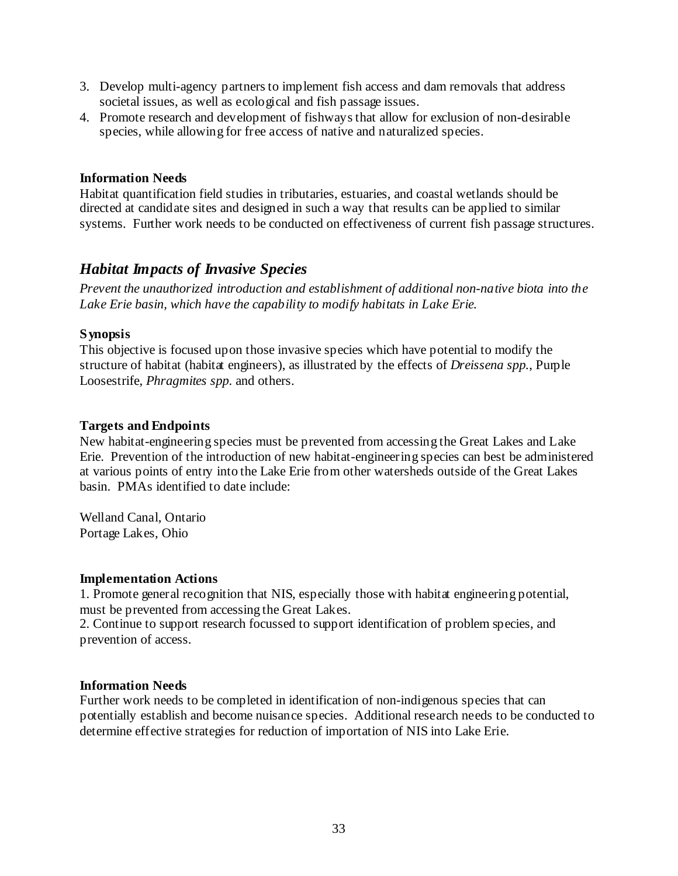- 3. Develop multi-agency partners to implement fish access and dam removals that address societal issues, as well as ecological and fish passage issues.
- 4. Promote research and development of fishways that allow for exclusion of non-desirable species, while allowing for free access of native and naturalized species.

### **Information Needs**

Habitat quantification field studies in tributaries, estuaries, and coastal wetlands should be directed at candidate sites and designed in such a way that results can be applied to similar systems. Further work needs to be conducted on effectiveness of current fish passage structures.

# *Habitat Impacts of Invasive Species*

*Prevent the unauthorized introduction and establishment of additional non-native biota into the Lake Erie basin, which have the capability to modify habitats in Lake Erie.* 

### **Synopsis**

This objective is focused upon those invasive species which have potential to modify the structure of habitat (habitat engineers), as illustrated by the effects of *Dreissena spp.*, Purple Loosestrife, *Phragmites spp.* and others.

### **Targets and Endpoints**

New habitat-engineering species must be prevented from accessing the Great Lakes and Lake Erie. Prevention of the introduction of new habitat-engineering species can best be administered at various points of entry into the Lake Erie from other watersheds outside of the Great Lakes basin. PMAs identified to date include:

Welland Canal, Ontario Portage Lakes, Ohio

#### **Implementation Actions**

1. Promote general recognition that NIS, especially those with habitat engineering potential, must be prevented from accessing the Great Lakes.

2. Continue to support research focussed to support identification of problem species, and prevention of access.

# **Information Needs**

Further work needs to be completed in identification of non-indigenous species that can potentially establish and become nuisance species. Additional research needs to be conducted to determine effective strategies for reduction of importation of NIS into Lake Erie.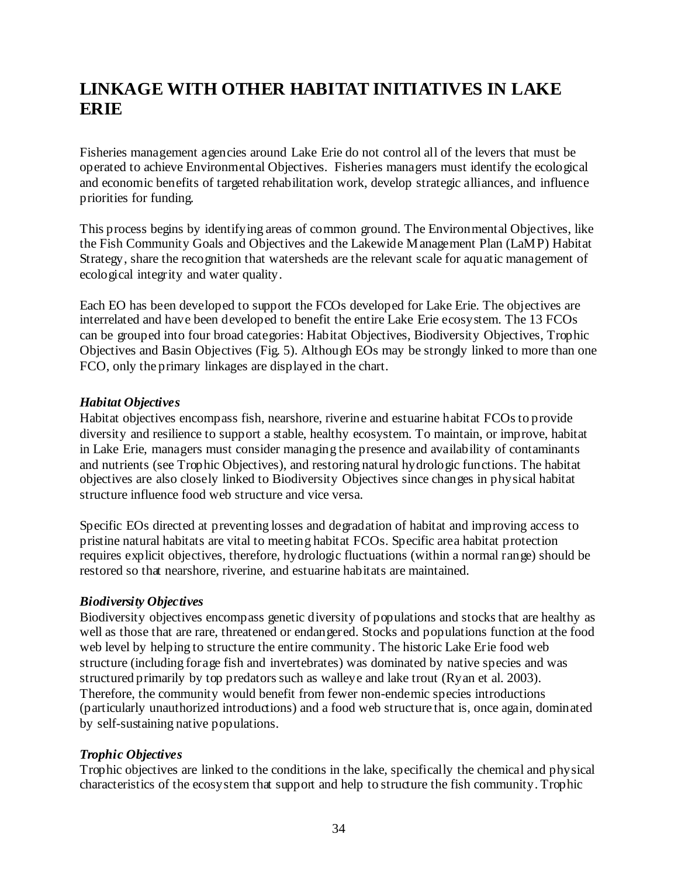# **LINKAGE WITH OTHER HABITAT INITIATIVES IN LAKE ERIE**

Fisheries management agencies around Lake Erie do not control all of the levers that must be operated to achieve Environmental Objectives. Fisheries managers must identify the ecological and economic benefits of targeted rehabilitation work, develop strategic alliances, and influence priorities for funding.

This process begins by identifying areas of common ground. The Environmental Objectives, like the Fish Community Goals and Objectives and the Lakewide Management Plan (LaMP) Habitat Strategy, share the recognition that watersheds are the relevant scale for aquatic management of ecological integrity and water quality.

Each EO has been developed to support the FCOs developed for Lake Erie. The objectives are interrelated and have been developed to benefit the entire Lake Erie ecosystem. The 13 FCOs can be grouped into four broad categories: Habitat Objectives, Biodiversity Objectives, Trophic Objectives and Basin Objectives (Fig. 5). Although EOs may be strongly linked to more than one FCO, only the primary linkages are displayed in the chart.

### *Habitat Objectives*

Habitat objectives encompass fish, nearshore, riverine and estuarine habitat FCOs to provide diversity and resilience to support a stable, healthy ecosystem. To maintain, or improve, habitat in Lake Erie, managers must consider managing the presence and availability of contaminants and nutrients (see Trophic Objectives), and restoring natural hydrologic functions. The habitat objectives are also closely linked to Biodiversity Objectives since changes in physical habitat structure influence food web structure and vice versa.

Specific EOs directed at preventing losses and degradation of habitat and improving access to pristine natural habitats are vital to meeting habitat FCOs. Specific area habitat protection requires explicit objectives, therefore, hydrologic fluctuations (within a normal range) should be restored so that nearshore, riverine, and estuarine habitats are maintained.

# *Biodiversity Objectives*

Biodiversity objectives encompass genetic diversity of populations and stocks that are healthy as well as those that are rare, threatened or endangered. Stocks and populations function at the food web level by helping to structure the entire community. The historic Lake Erie food web structure (including forage fish and invertebrates) was dominated by native species and was structured primarily by top predators such as walleye and lake trout (Ryan et al. 2003). Therefore, the community would benefit from fewer non-endemic species introductions (particularly unauthorized introductions) and a food web structure that is, once again, dominated by self-sustaining native populations.

#### *Trophic Objectives*

Trophic objectives are linked to the conditions in the lake, specifically the chemical and physical characteristics of the ecosystem that support and help to structure the fish community. Trophic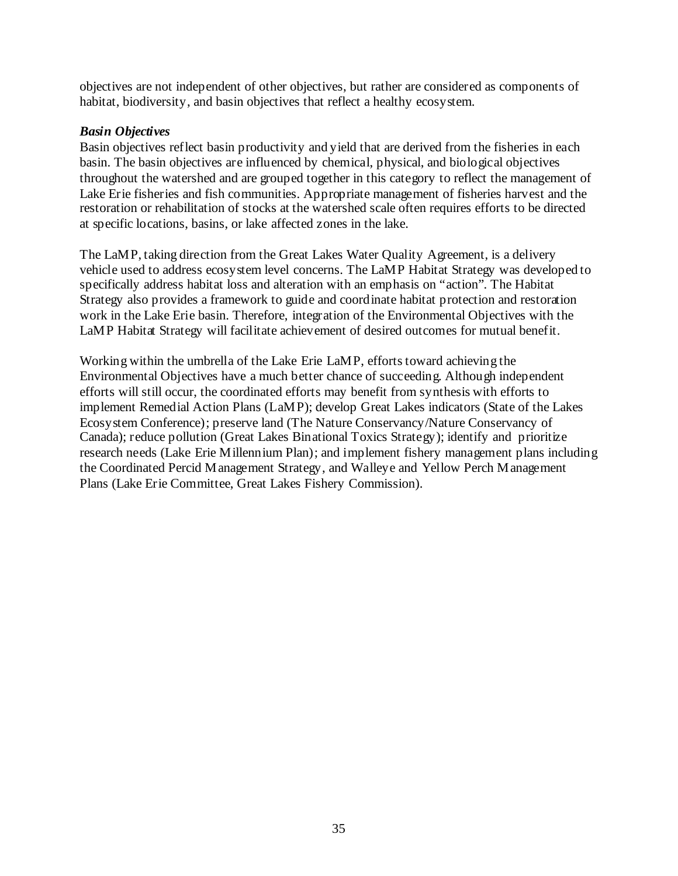objectives are not independent of other objectives, but rather are considered as components of habitat, biodiversity, and basin objectives that reflect a healthy ecosystem.

## *Basin Objectives*

Basin objectives reflect basin productivity and yield that are derived from the fisheries in each basin. The basin objectives are influenced by chemical, physical, and biological objectives throughout the watershed and are grouped together in this category to reflect the management of Lake Erie fisheries and fish communities. Appropriate management of fisheries harvest and the restoration or rehabilitation of stocks at the watershed scale often requires efforts to be directed at specific locations, basins, or lake affected zones in the lake.

The LaMP, taking direction from the Great Lakes Water Quality Agreement, is a delivery vehicle used to address ecosystem level concerns. The LaMP Habitat Strategy was developed to specifically address habitat loss and alteration with an emphasis on "action". The Habitat Strategy also provides a framework to guide and coordinate habitat protection and restoration work in the Lake Erie basin. Therefore, integration of the Environmental Objectives with the LaMP Habitat Strategy will facilitate achievement of desired outcomes for mutual benefit.

Working within the umbrella of the Lake Erie LaMP, efforts toward achieving the Environmental Objectives have a much better chance of succeeding. Although independent efforts will still occur, the coordinated efforts may benefit from synthesis with efforts to implement Remedial Action Plans (LaMP); develop Great Lakes indicators (State of the Lakes Ecosystem Conference); preserve land (The Nature Conservancy/Nature Conservancy of Canada); reduce pollution (Great Lakes Binational Toxics Strategy); identify and prioritize research needs (Lake Erie Millennium Plan); and implement fishery management plans including the Coordinated Percid Management Strategy, and Walleye and Yellow Perch Management Plans (Lake Erie Committee, Great Lakes Fishery Commission).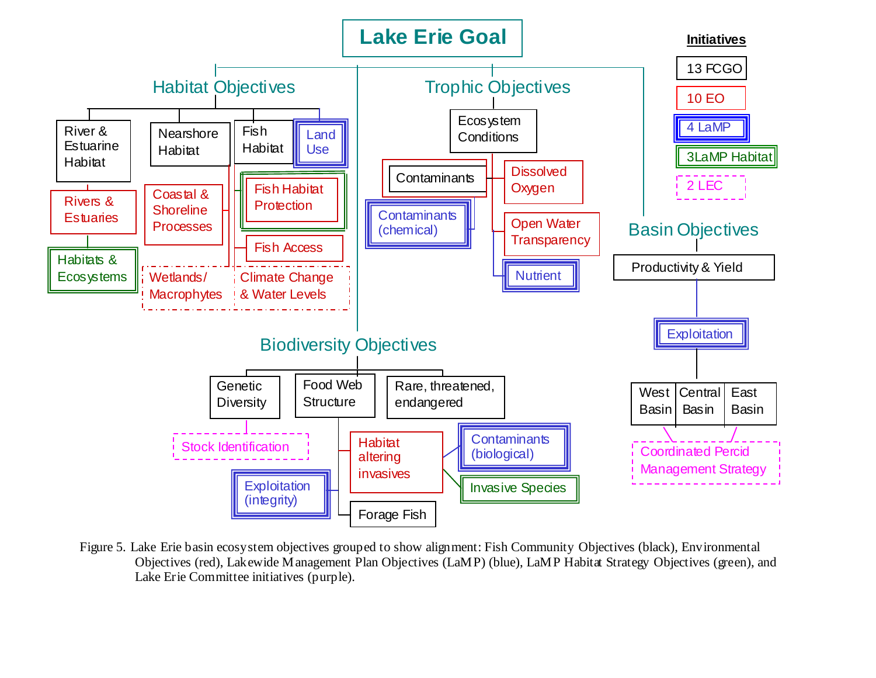

Figure 5. Lake Erie basin ecosystem objectives grouped to show alignment: Fish Community Objectives (black), Environmental Objectives (red), Lakewide Management Plan Objectives (LaMP) (blue), LaMP Habitat Strategy Objectives (green), and Lake Erie Committee initiatives (purple).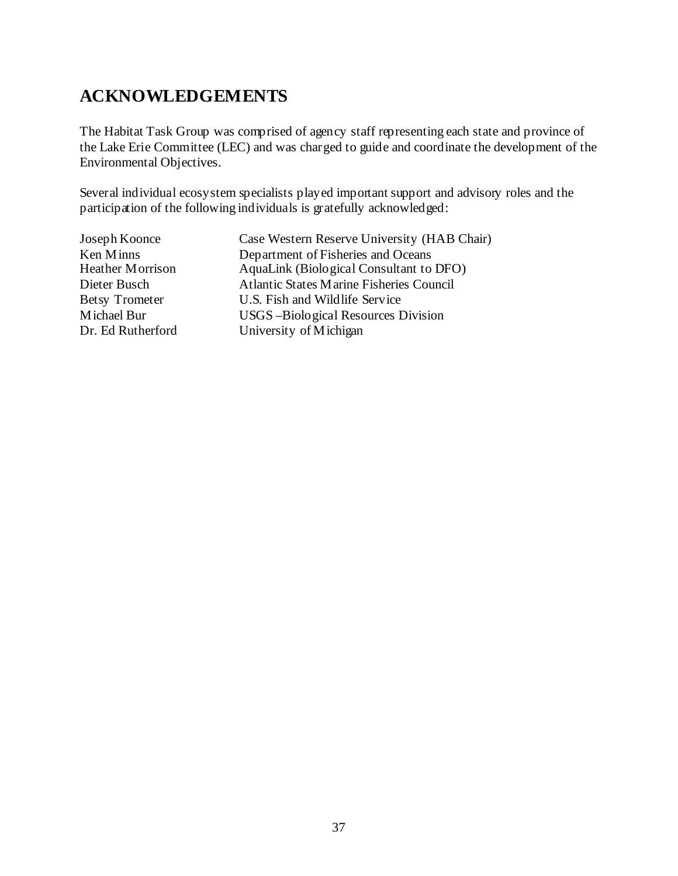# **ACKNOWLEDGEMENTS**

The Habitat Task Group was comprised of agency staff representing each state and province of the Lake Erie Committee (LEC) and was charged to guide and coordinate the development of the Environmental Objectives.

Several individual ecosystem specialists played important support and advisory roles and the participation of the following individuals is gratefully acknowledged:

| Joseph Koonce           | Case Western Reserve University (HAB Chair) |
|-------------------------|---------------------------------------------|
| Ken Minns               | Department of Fisheries and Oceans          |
| <b>Heather Morrison</b> | AquaLink (Biological Consultant to DFO)     |
| Dieter Busch            | Atlantic States Marine Fisheries Council    |
| <b>Betsy Trometer</b>   | U.S. Fish and Wildlife Service              |
| Michael Bur             | USGS-Biological Resources Division          |
| Dr. Ed Rutherford       | University of Michigan                      |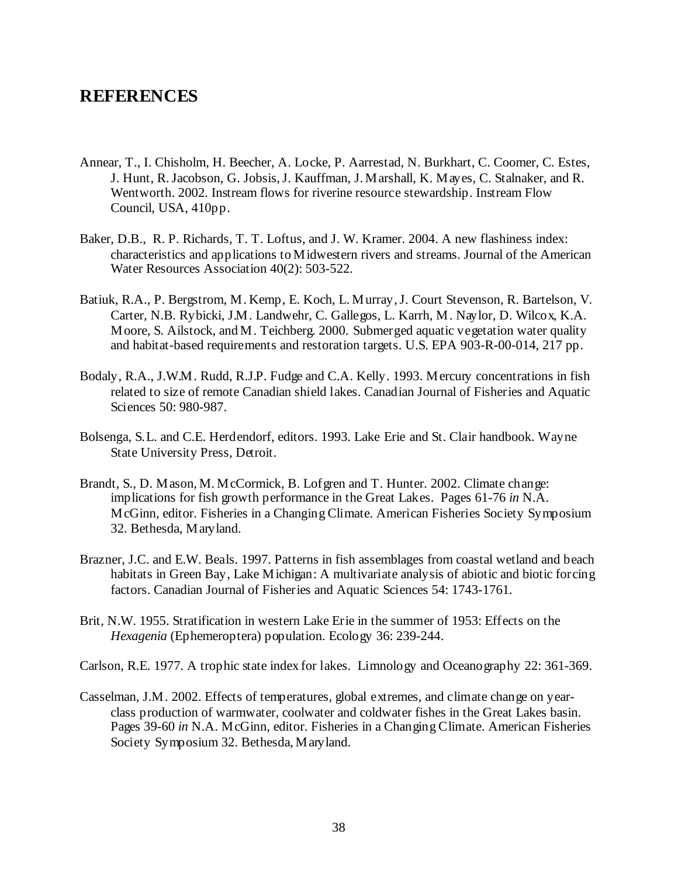# **REFERENCES**

- Annear, T., I. Chisholm, H. Beecher, A. Locke, P. Aarrestad, N. Burkhart, C. Coomer, C. Estes, J. Hunt, R. Jacobson, G. Jobsis, J. Kauffman, J. Marshall, K. Mayes, C. Stalnaker, and R. Wentworth. 2002. Instream flows for riverine resource stewardship. Instream Flow Council, USA, 410pp.
- Baker, D.B., R. P. Richards, T. T. Loftus, and J. W. Kramer. 2004. A new flashiness index: characteristics and applications to Midwestern rivers and streams. Journal of the American Water Resources Association 40(2): 503-522.
- Batiuk, R.A., P. Bergstrom, M. Kemp, E. Koch, L. Murray, J. Court Stevenson, R. Bartelson, V. Carter, N.B. Rybicki, J.M. Landwehr, C. Gallegos, L. Karrh, M. Naylor, D. Wilcox, K.A. Moore, S. Ailstock, and M. Teichberg. 2000. Submerged aquatic vegetation water quality and habitat-based requirements and restoration targets. U.S. EPA 903-R-00-014, 217 pp.
- Bodaly, R.A., J.W.M. Rudd, R.J.P. Fudge and C.A. Kelly. 1993. Mercury concentrations in fish related to size of remote Canadian shield lakes. Canadian Journal of Fisheries and Aquatic Sciences 50: 980-987.
- Bolsenga, S.L. and C.E. Herdendorf, editors. 1993. Lake Erie and St. Clair handbook. Wayne State University Press, Detroit.
- Brandt, S., D. Mason, M. McCormick, B. Lofgren and T. Hunter. 2002. Climate change: implications for fish growth performance in the Great Lakes. Pages 61-76 *in* N.A. McGinn, editor. Fisheries in a Changing Climate. American Fisheries Society Symposium 32. Bethesda, Maryland.
- Brazner, J.C. and E.W. Beals. 1997. Patterns in fish assemblages from coastal wetland and beach habitats in Green Bay, Lake Michigan: A multivariate analysis of abiotic and biotic forcing factors. Canadian Journal of Fisheries and Aquatic Sciences 54: 1743-1761.
- Brit, N.W. 1955. Stratification in western Lake Erie in the summer of 1953: Effects on the *Hexagenia* (Ephemeroptera) population. Ecology 36: 239-244.
- Carlson, R.E. 1977. A trophic state index for lakes. Limnology and Oceanography 22: 361-369.
- Casselman, J.M. 2002. Effects of temperatures, global extremes, and climate change on yearclass production of warmwater, coolwater and coldwater fishes in the Great Lakes basin. Pages 39-60 *in* N.A. McGinn, editor. Fisheries in a Changing Climate. American Fisheries Society Symposium 32. Bethesda, Maryland.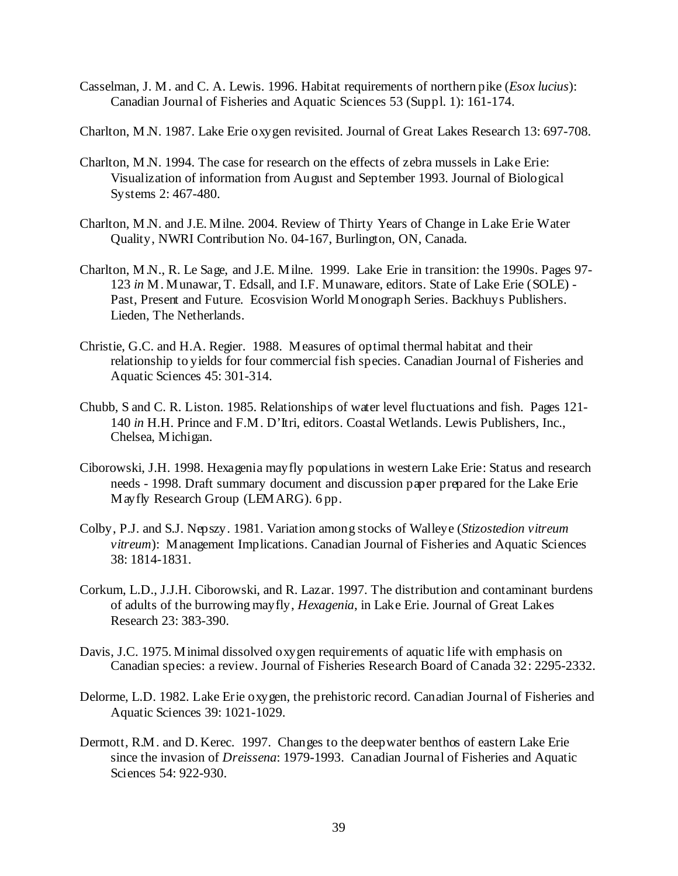- Casselman, J. M. and C. A. Lewis. 1996. Habitat requirements of northern pike (*Esox lucius*): Canadian Journal of Fisheries and Aquatic Sciences 53 (Suppl. 1): 161-174.
- Charlton, M.N. 1987. Lake Erie oxygen revisited. Journal of Great Lakes Research 13: 697-708.
- Charlton, M.N. 1994. The case for research on the effects of zebra mussels in Lake Erie: Visualization of information from August and September 1993. Journal of Biological Systems 2: 467-480.
- Charlton, M.N. and J.E. Milne. 2004. Review of Thirty Years of Change in Lake Erie Water Quality, NWRI Contribution No. 04-167, Burlington, ON, Canada.
- Charlton, M.N., R. Le Sage, and J.E. Milne. 1999. Lake Erie in transition: the 1990s. Pages 97- 123 *in* M. Munawar, T. Edsall, and I.F. Munaware, editors. State of Lake Erie (SOLE) - Past, Present and Future. Ecosvision World Monograph Series. Backhuys Publishers. Lieden, The Netherlands.
- Christie, G.C. and H.A. Regier. 1988. Measures of optimal thermal habitat and their relationship to yields for four commercial fish species. Canadian Journal of Fisheries and Aquatic Sciences 45: 301-314.
- Chubb, S and C. R. Liston. 1985. Relationships of water level fluctuations and fish. Pages 121- 140 *in* H.H. Prince and F.M. D'Itri, editors. Coastal Wetlands. Lewis Publishers, Inc., Chelsea, Michigan.
- Ciborowski, J.H. 1998. Hexagenia mayfly populations in western Lake Erie: Status and research needs - 1998. Draft summary document and discussion paper prepared for the Lake Erie Mayfly Research Group (LEMARG). 6 pp.
- Colby, P.J. and S.J. Nepszy. 1981. Variation among stocks of Walleye (*Stizostedion vitreum vitreum*): Management Implications. Canadian Journal of Fisheries and Aquatic Sciences 38: 1814-1831.
- Corkum, L.D., J.J.H. Ciborowski, and R. Lazar. 1997. The distribution and contaminant burdens of adults of the burrowing mayfly, *Hexagenia*, in Lake Erie. Journal of Great Lakes Research 23: 383-390.
- Davis, J.C. 1975. Minimal dissolved oxygen requirements of aquatic life with emphasis on Canadian species: a review. Journal of Fisheries Research Board of Canada 32: 2295-2332.
- Delorme, L.D. 1982. Lake Erie oxygen, the prehistoric record. Canadian Journal of Fisheries and Aquatic Sciences 39: 1021-1029.
- Dermott, R.M. and D. Kerec. 1997. Changes to the deepwater benthos of eastern Lake Erie since the invasion of *Dreissena*: 1979-1993. Canadian Journal of Fisheries and Aquatic Sciences 54: 922-930.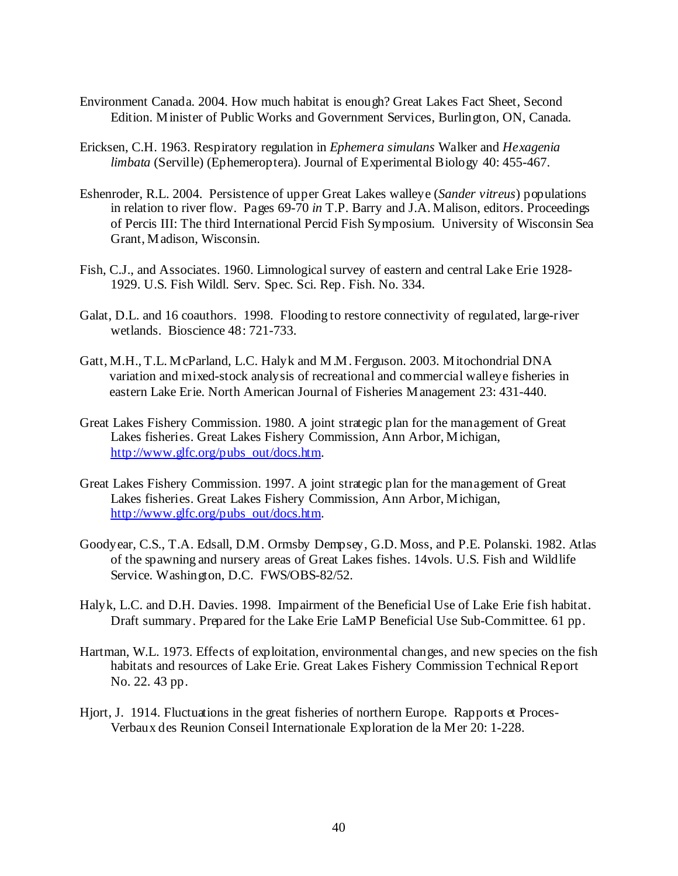- Environment Canada. 2004. How much habitat is enough? Great Lakes Fact Sheet, Second Edition. Minister of Public Works and Government Services, Burlington, ON, Canada.
- Ericksen, C.H. 1963. Respiratory regulation in *Ephemera simulans* Walker and *Hexagenia limbata* (Serville) (Ephemeroptera). Journal of Experimental Biology 40: 455-467.
- Eshenroder, R.L. 2004. Persistence of upper Great Lakes walleye (*Sander vitreus*) populations in relation to river flow. Pages 69-70 *in* T.P. Barry and J.A. Malison, editors. Proceedings of Percis III: The third International Percid Fish Symposium. University of Wisconsin Sea Grant, Madison, Wisconsin.
- Fish, C.J., and Associates. 1960. Limnological survey of eastern and central Lake Erie 1928- 1929. U.S. Fish Wildl. Serv. Spec. Sci. Rep. Fish. No. 334.
- Galat, D.L. and 16 coauthors. 1998. Flooding to restore connectivity of regulated, large-river wetlands. Bioscience 48: 721-733.
- Gatt, M.H., T.L. McParland, L.C. Halyk and M.M. Ferguson. 2003. Mitochondrial DNA variation and mixed-stock analysis of recreational and commercial walleye fisheries in eastern Lake Erie. North American Journal of Fisheries Management 23: 431-440.
- Great Lakes Fishery Commission. 1980. A joint strategic plan for the management of Great Lakes fisheries. Great Lakes Fishery Commission, Ann Arbor, Michigan, http://www.glfc.org/pubs\_out/docs.htm.
- Great Lakes Fishery Commission. 1997. A joint strategic plan for the management of Great Lakes fisheries. Great Lakes Fishery Commission, Ann Arbor, Michigan, http://www.glfc.org/pubs\_out/docs.htm.
- Goodyear, C.S., T.A. Edsall, D.M. Ormsby Dempsey, G.D. Moss, and P.E. Polanski. 1982. Atlas of the spawning and nursery areas of Great Lakes fishes. 14vols. U.S. Fish and Wildlife Service. Washington, D.C. FWS/OBS-82/52.
- Halyk, L.C. and D.H. Davies. 1998. Impairment of the Beneficial Use of Lake Erie fish habitat. Draft summary. Prepared for the Lake Erie LaMP Beneficial Use Sub-Committee. 61 pp.
- Hartman, W.L. 1973. Effects of exploitation, environmental changes, and new species on the fish habitats and resources of Lake Erie. Great Lakes Fishery Commission Technical Report No. 22. 43 pp.
- Hjort, J. 1914. Fluctuations in the great fisheries of northern Europe. Rapports et Proces-Verbaux des Reunion Conseil Internationale Exploration de la Mer 20: 1-228.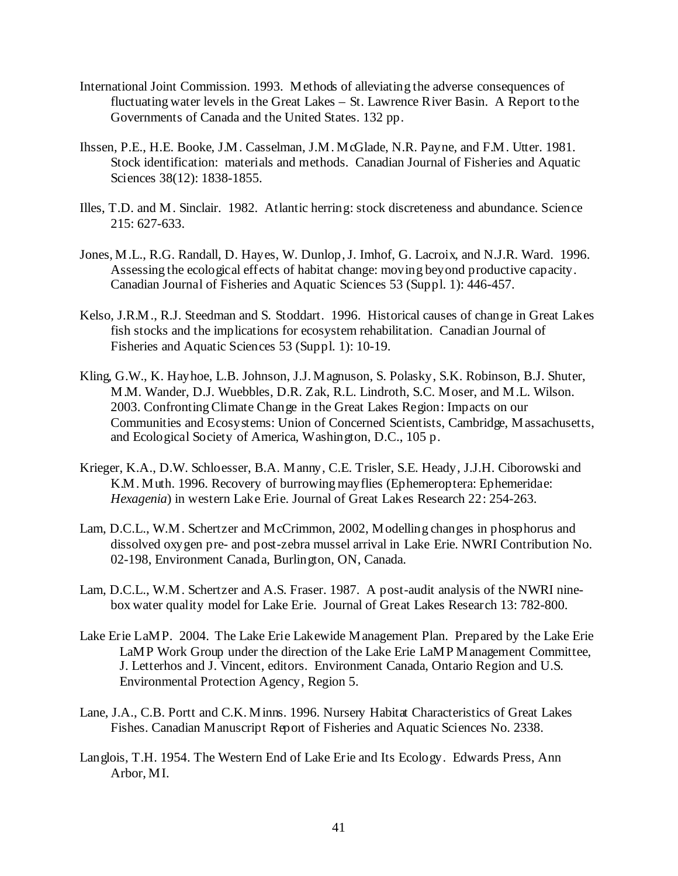- International Joint Commission. 1993. Methods of alleviating the adverse consequences of fluctuating water levels in the Great Lakes – St. Lawrence River Basin. A Report to the Governments of Canada and the United States. 132 pp.
- Ihssen, P.E., H.E. Booke, J.M. Casselman, J.M. McGlade, N.R. Payne, and F.M. Utter. 1981. Stock identification: materials and methods. Canadian Journal of Fisheries and Aquatic Sciences 38(12): 1838-1855.
- Illes, T.D. and M. Sinclair. 1982. Atlantic herring: stock discreteness and abundance. Science 215: 627-633.
- Jones, M.L., R.G. Randall, D. Hayes, W. Dunlop, J. Imhof, G. Lacroix, and N.J.R. Ward. 1996. Assessing the ecological effects of habitat change: moving beyond productive capacity. Canadian Journal of Fisheries and Aquatic Sciences 53 (Suppl. 1): 446-457.
- Kelso, J.R.M., R.J. Steedman and S. Stoddart. 1996. Historical causes of change in Great Lakes fish stocks and the implications for ecosystem rehabilitation. Canadian Journal of Fisheries and Aquatic Sciences 53 (Suppl. 1): 10-19.
- Kling, G.W., K. Hayhoe, L.B. Johnson, J.J. Magnuson, S. Polasky, S.K. Robinson, B.J. Shuter, M.M. Wander, D.J. Wuebbles, D.R. Zak, R.L. Lindroth, S.C. Moser, and M.L. Wilson. 2003. Confronting Climate Change in the Great Lakes Region: Impacts on our Communities and Ecosystems: Union of Concerned Scientists, Cambridge, Massachusetts, and Ecological Society of America, Washington, D.C., 105 p.
- Krieger, K.A., D.W. Schloesser, B.A. Manny, C.E. Trisler, S.E. Heady, J.J.H. Ciborowski and K.M. Muth. 1996. Recovery of burrowing mayflies (Ephemeroptera: Ephemeridae: *Hexagenia*) in western Lake Erie. Journal of Great Lakes Research 22: 254-263.
- Lam, D.C.L., W.M. Schertzer and McCrimmon, 2002, Modelling changes in phosphorus and dissolved oxygen pre- and post-zebra mussel arrival in Lake Erie. NWRI Contribution No. 02-198, Environment Canada, Burlington, ON, Canada.
- Lam, D.C.L., W.M. Schertzer and A.S. Fraser. 1987. A post-audit analysis of the NWRI ninebox water quality model for Lake Erie. Journal of Great Lakes Research 13: 782-800.
- Lake Erie LaMP. 2004. The Lake Erie Lakewide Management Plan. Prepared by the Lake Erie LaMP Work Group under the direction of the Lake Erie LaMP Management Committee, J. Letterhos and J. Vincent, editors. Environment Canada, Ontario Region and U.S. Environmental Protection Agency, Region 5.
- Lane, J.A., C.B. Portt and C.K. Minns. 1996. Nursery Habitat Characteristics of Great Lakes Fishes. Canadian Manuscript Report of Fisheries and Aquatic Sciences No. 2338.
- Langlois, T.H. 1954. The Western End of Lake Erie and Its Ecology. Edwards Press, Ann Arbor, MI.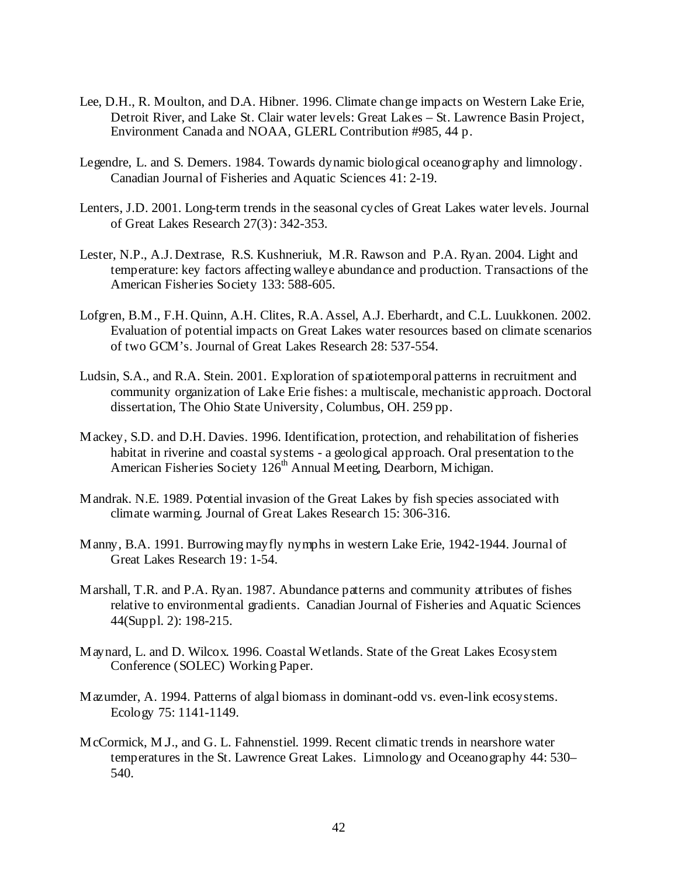- Lee, D.H., R. Moulton, and D.A. Hibner. 1996. Climate change impacts on Western Lake Erie, Detroit River, and Lake St. Clair water levels: Great Lakes – St. Lawrence Basin Project, Environment Canada and NOAA, GLERL Contribution #985, 44 p.
- Legendre, L. and S. Demers. 1984. Towards dynamic biological oceanography and limnology. Canadian Journal of Fisheries and Aquatic Sciences 41: 2-19.
- Lenters, J.D. 2001. Long-term trends in the seasonal cycles of Great Lakes water levels. Journal of Great Lakes Research 27(3): 342-353.
- Lester, N.P., A.J. Dextrase, R.S. Kushneriuk, M.R. Rawson and P.A. Ryan. 2004. Light and temperature: key factors affecting walleye abundance and production. Transactions of the American Fisheries Society 133: 588-605.
- Lofgren, B.M., F.H. Quinn, A.H. Clites, R.A. Assel, A.J. Eberhardt, and C.L. Luukkonen. 2002. Evaluation of potential impacts on Great Lakes water resources based on climate scenarios of two GCM's. Journal of Great Lakes Research 28: 537-554.
- Ludsin, S.A., and R.A. Stein. 2001. Exploration of spatiotemporal patterns in recruitment and community organization of Lake Erie fishes: a multiscale, mechanistic approach. Doctoral dissertation, The Ohio State University, Columbus, OH. 259 pp.
- Mackey, S.D. and D.H. Davies. 1996. Identification, protection, and rehabilitation of fisheries habitat in riverine and coastal systems - a geological approach. Oral presentation to the American Fisheries Society 126<sup>th</sup> Annual Meeting, Dearborn, Michigan.
- Mandrak. N.E. 1989. Potential invasion of the Great Lakes by fish species associated with climate warming. Journal of Great Lakes Research 15: 306-316.
- Manny, B.A. 1991. Burrowing mayfly nymphs in western Lake Erie, 1942-1944. Journal of Great Lakes Research 19: 1-54.
- Marshall, T.R. and P.A. Ryan. 1987. Abundance patterns and community attributes of fishes relative to environmental gradients. Canadian Journal of Fisheries and Aquatic Sciences 44(Suppl. 2): 198-215.
- Maynard, L. and D. Wilcox. 1996. Coastal Wetlands. State of the Great Lakes Ecosystem Conference (SOLEC) Working Paper.
- Mazumder, A. 1994. Patterns of algal biomass in dominant-odd vs. even-link ecosystems. Ecology 75: 1141-1149.
- McCormick, M.J., and G. L. Fahnenstiel. 1999. Recent climatic trends in nearshore water temperatures in the St. Lawrence Great Lakes. Limnology and Oceanography 44: 530– 540.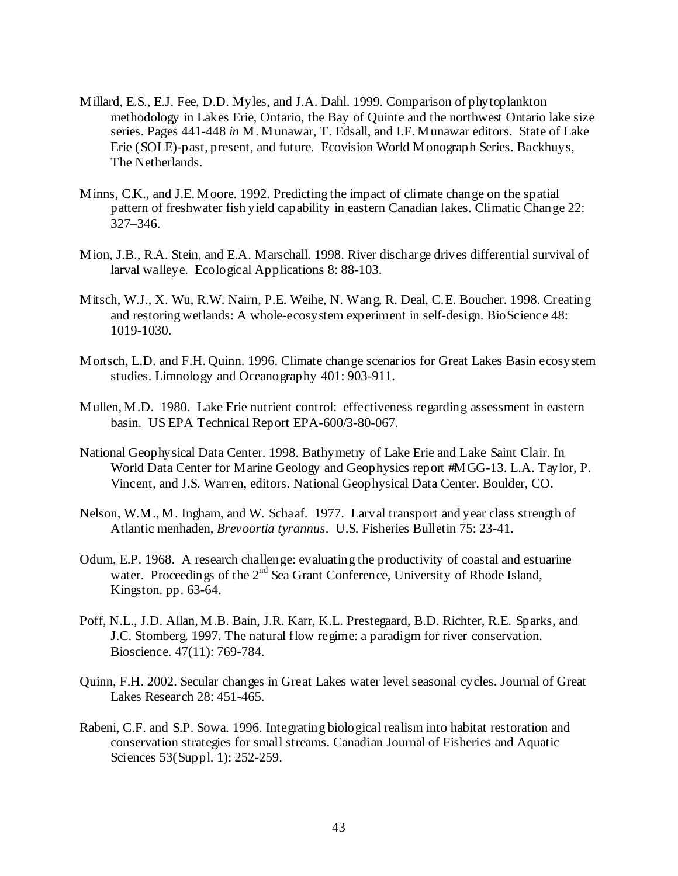- Millard, E.S., E.J. Fee, D.D. Myles, and J.A. Dahl. 1999. Comparison of phytoplankton methodology in Lakes Erie, Ontario, the Bay of Quinte and the northwest Ontario lake size series. Pages 441-448 *in* M. Munawar, T. Edsall, and I.F. Munawar editors. State of Lake Erie (SOLE)-past, present, and future. Ecovision World Monograph Series. Backhuys, The Netherlands.
- Minns, C.K., and J.E. Moore. 1992. Predicting the impact of climate change on the spatial pattern of freshwater fish yield capability in eastern Canadian lakes. Climatic Change 22: 327–346.
- Mion, J.B., R.A. Stein, and E.A. Marschall. 1998. River discharge drives differential survival of larval walleye. Ecological Applications 8: 88-103.
- Mitsch, W.J., X. Wu, R.W. Nairn, P.E. Weihe, N. Wang, R. Deal, C.E. Boucher. 1998. Creating and restoring wetlands: A whole-ecosystem experiment in self-design. BioScience 48: 1019-1030.
- Mortsch, L.D. and F.H. Quinn. 1996. Climate change scenarios for Great Lakes Basin ecosystem studies. Limnology and Oceanography 401: 903-911.
- Mullen, M.D. 1980. Lake Erie nutrient control: effectiveness regarding assessment in eastern basin. US EPA Technical Report EPA-600/3-80-067.
- National Geophysical Data Center. 1998. Bathymetry of Lake Erie and Lake Saint Clair. In World Data Center for Marine Geology and Geophysics report #MGG-13. L.A. Taylor, P. Vincent, and J.S. Warren, editors. National Geophysical Data Center. Boulder, CO.
- Nelson, W.M., M. Ingham, and W. Schaaf. 1977. Larval transport and year class strength of Atlantic menhaden, *Brevoortia tyrannus*. U.S. Fisheries Bulletin 75: 23-41.
- Odum, E.P. 1968. A research challenge: evaluating the productivity of coastal and estuarine water. Proceedings of the 2<sup>nd</sup> Sea Grant Conference, University of Rhode Island, Kingston. pp. 63-64.
- Poff, N.L., J.D. Allan, M.B. Bain, J.R. Karr, K.L. Prestegaard, B.D. Richter, R.E. Sparks, and J.C. Stomberg. 1997. The natural flow regime: a paradigm for river conservation. Bioscience. 47(11): 769-784.
- Quinn, F.H. 2002. Secular changes in Great Lakes water level seasonal cycles. Journal of Great Lakes Research 28: 451-465.
- Rabeni, C.F. and S.P. Sowa. 1996. Integrating biological realism into habitat restoration and conservation strategies for small streams. Canadian Journal of Fisheries and Aquatic Sciences 53(Suppl. 1): 252-259.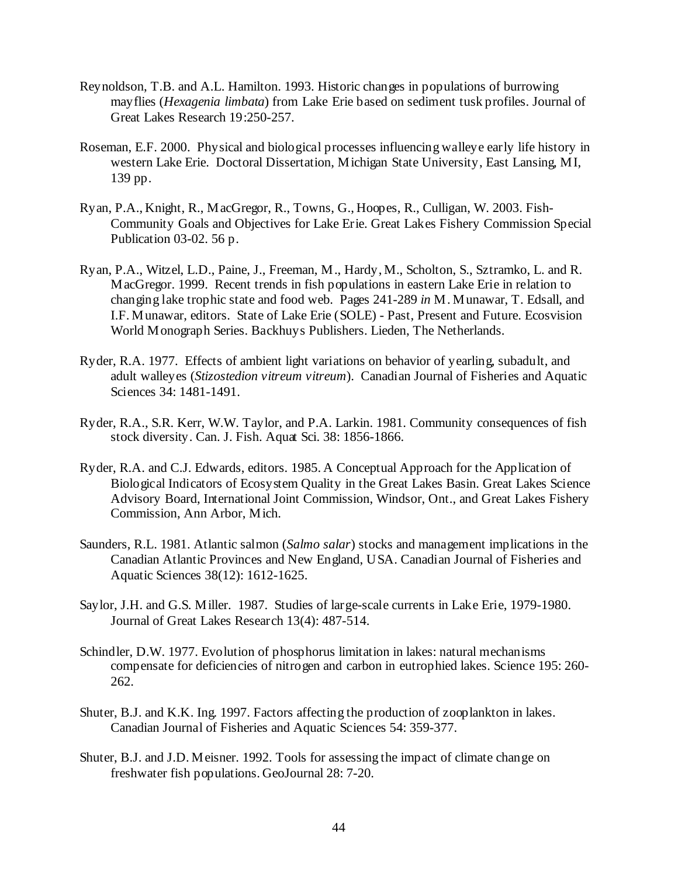- Reynoldson, T.B. and A.L. Hamilton. 1993. Historic changes in populations of burrowing mayflies (*Hexagenia limbata*) from Lake Erie based on sediment tusk profiles. Journal of Great Lakes Research 19:250-257.
- Roseman, E.F. 2000. Physical and biological processes influencing walleye early life history in western Lake Erie. Doctoral Dissertation, Michigan State University, East Lansing, MI, 139 pp.
- Ryan, P.A., Knight, R., MacGregor, R., Towns, G., Hoopes, R., Culligan, W. 2003. Fish-Community Goals and Objectives for Lake Erie. Great Lakes Fishery Commission Special Publication 03-02. 56 p.
- Ryan, P.A., Witzel, L.D., Paine, J., Freeman, M., Hardy, M., Scholton, S., Sztramko, L. and R. MacGregor. 1999. Recent trends in fish populations in eastern Lake Erie in relation to changing lake trophic state and food web. Pages 241-289 *in* M. Munawar, T. Edsall, and I.F. Munawar, editors. State of Lake Erie (SOLE) - Past, Present and Future. Ecosvision World Monograph Series. Backhuys Publishers. Lieden, The Netherlands.
- Ryder, R.A. 1977. Effects of ambient light variations on behavior of yearling, subadult, and adult walleyes (*Stizostedion vitreum vitreum*). Canadian Journal of Fisheries and Aquatic Sciences 34: 1481-1491.
- Ryder, R.A., S.R. Kerr, W.W. Taylor, and P.A. Larkin. 1981. Community consequences of fish stock diversity. Can. J. Fish. Aquat Sci. 38: 1856-1866.
- Ryder, R.A. and C.J. Edwards, editors. 1985. A Conceptual Approach for the Application of Biological Indicators of Ecosystem Quality in the Great Lakes Basin. Great Lakes Science Advisory Board, International Joint Commission, Windsor, Ont., and Great Lakes Fishery Commission, Ann Arbor, Mich.
- Saunders, R.L. 1981. Atlantic salmon (*Salmo salar*) stocks and management implications in the Canadian Atlantic Provinces and New England, USA. Canadian Journal of Fisheries and Aquatic Sciences 38(12): 1612-1625.
- Saylor, J.H. and G.S. Miller. 1987. Studies of large-scale currents in Lake Erie, 1979-1980. Journal of Great Lakes Research 13(4): 487-514.
- Schindler, D.W. 1977. Evolution of phosphorus limitation in lakes: natural mechanisms compensate for deficiencies of nitrogen and carbon in eutrophied lakes. Science 195: 260- 262.
- Shuter, B.J. and K.K. Ing. 1997. Factors affecting the production of zooplankton in lakes. Canadian Journal of Fisheries and Aquatic Sciences 54: 359-377.
- Shuter, B.J. and J.D. Meisner. 1992. Tools for assessing the impact of climate change on freshwater fish populations. GeoJournal 28: 7-20.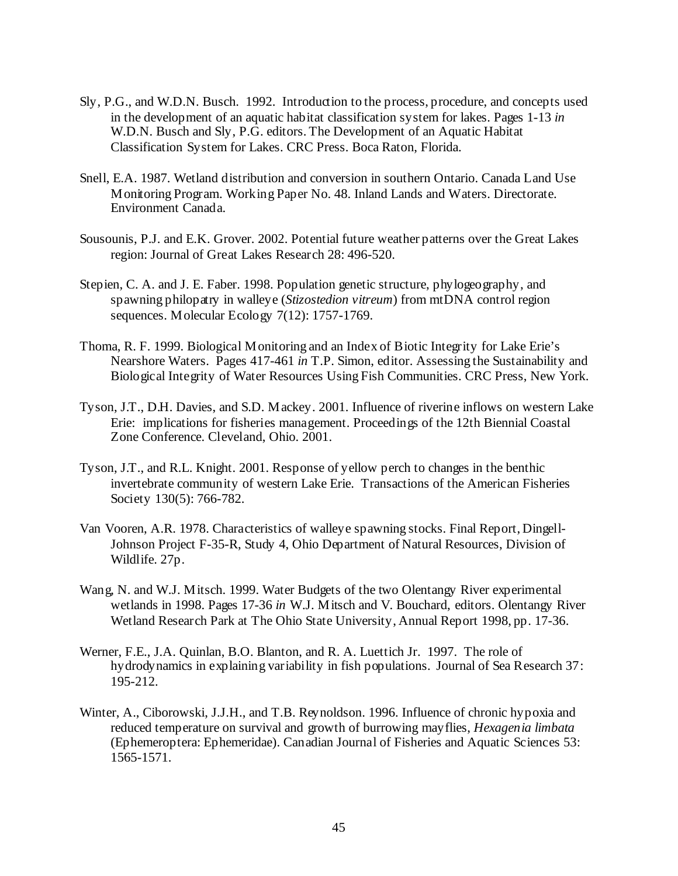- Sly, P.G., and W.D.N. Busch. 1992. Introduction to the process, procedure, and concepts used in the development of an aquatic habitat classification system for lakes. Pages 1-13 *in* W.D.N. Busch and Sly, P.G. editors. The Development of an Aquatic Habitat Classification System for Lakes. CRC Press. Boca Raton, Florida.
- Snell, E.A. 1987. Wetland distribution and conversion in southern Ontario. Canada Land Use Monitoring Program. Working Paper No. 48. Inland Lands and Waters. Directorate. Environment Canada.
- Sousounis, P.J. and E.K. Grover. 2002. Potential future weather patterns over the Great Lakes region: Journal of Great Lakes Research 28: 496-520.
- Stepien, C. A. and J. E. Faber. 1998. Population genetic structure, phylogeography, and spawning philopatry in walleye (*Stizostedion vitreum*) from mtDNA control region sequences. Molecular Ecology 7(12): 1757-1769.
- Thoma, R. F. 1999. Biological Monitoring and an Index of Biotic Integrity for Lake Erie's Nearshore Waters. Pages 417-461 *in* T.P. Simon, editor. Assessing the Sustainability and Biological Integrity of Water Resources Using Fish Communities. CRC Press, New York.
- Tyson, J.T., D.H. Davies, and S.D. Mackey. 2001. Influence of riverine inflows on western Lake Erie: implications for fisheries management. Proceedings of the 12th Biennial Coastal Zone Conference. Cleveland, Ohio. 2001.
- Tyson, J.T., and R.L. Knight. 2001. Response of yellow perch to changes in the benthic invertebrate community of western Lake Erie. Transactions of the American Fisheries Society 130(5): 766-782.
- Van Vooren, A.R. 1978. Characteristics of walleye spawning stocks. Final Report, Dingell-Johnson Project F-35-R, Study 4, Ohio Department of Natural Resources, Division of Wildlife. 27p.
- Wang, N. and W.J. Mitsch. 1999. Water Budgets of the two Olentangy River experimental wetlands in 1998. Pages 17-36 *in* W.J. Mitsch and V. Bouchard, editors. Olentangy River Wetland Research Park at The Ohio State University, Annual Report 1998, pp. 17-36.
- Werner, F.E., J.A. Quinlan, B.O. Blanton, and R. A. Luettich Jr. 1997. The role of hydrodynamics in explaining variability in fish populations. Journal of Sea Research 37: 195-212.
- Winter, A., Ciborowski, J.J.H., and T.B. Reynoldson. 1996. Influence of chronic hypoxia and reduced temperature on survival and growth of burrowing mayflies, *Hexagenia limbata* (Ephemeroptera: Ephemeridae). Canadian Journal of Fisheries and Aquatic Sciences 53: 1565-1571.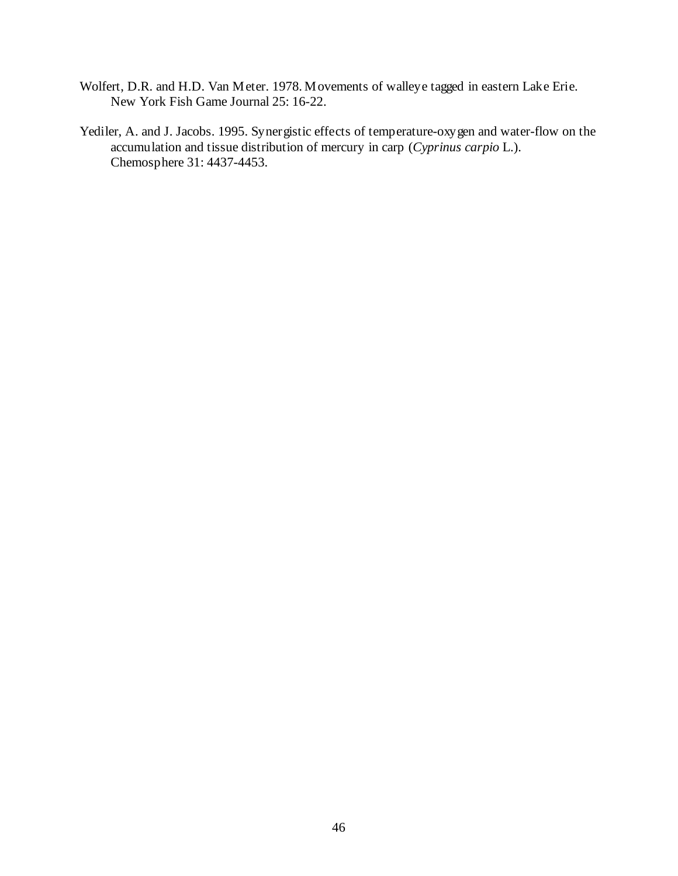- Wolfert, D.R. and H.D. Van Meter. 1978. Movements of walleye tagged in eastern Lake Erie. New York Fish Game Journal 25: 16-22.
- Yediler, A. and J. Jacobs. 1995. Synergistic effects of temperature-oxygen and water-flow on the accumulation and tissue distribution of mercury in carp (*Cyprinus carpio* L.). Chemosphere 31: 4437-4453.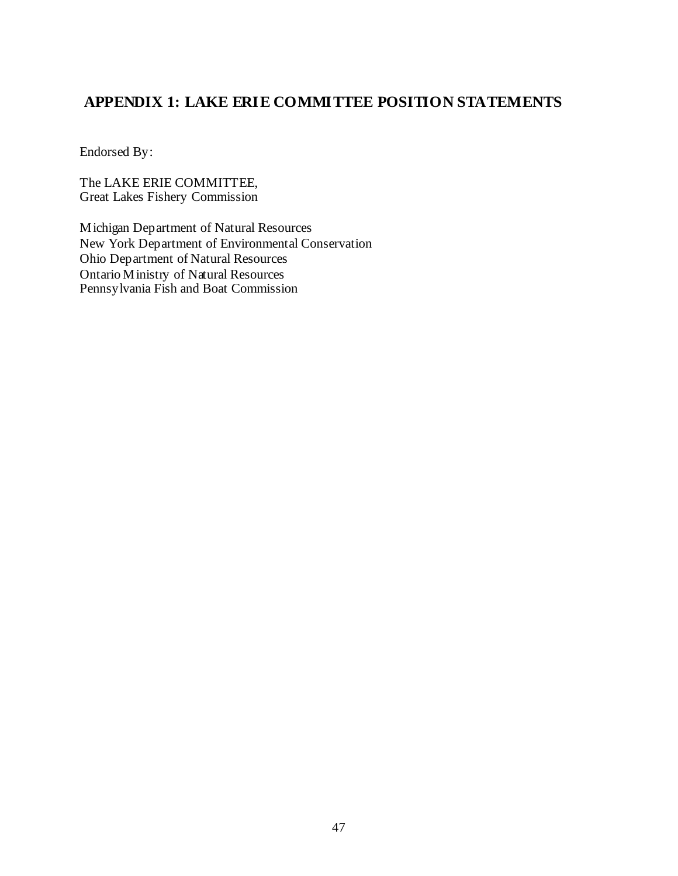# **APPENDIX 1: LAKE ERIE COMMITTEE POSITION STATEMENTS**

Endorsed By:

The LAKE ERIE COMMITTEE, Great Lakes Fishery Commission

Michigan Department of Natural Resources New York Department of Environmental Conservation Ohio Department of Natural Resources Ontario Ministry of Natural Resources Pennsylvania Fish and Boat Commission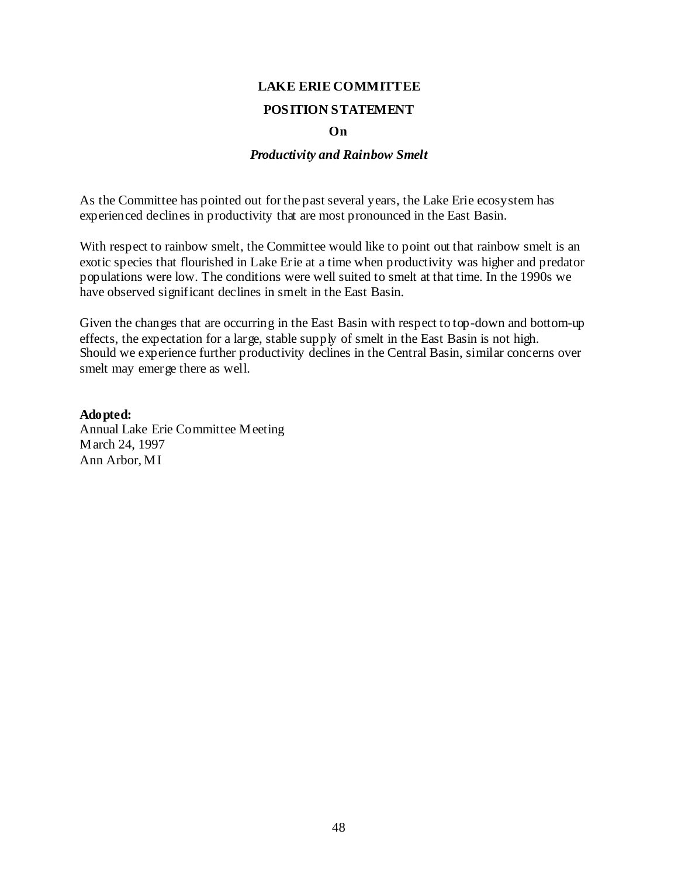#### **POSITION STATEMENT**

#### **On**

#### *Productivity and Rainbow Smelt*

As the Committee has pointed out for the past several years, the Lake Erie ecosystem has experienced declines in productivity that are most pronounced in the East Basin.

With respect to rainbow smelt, the Committee would like to point out that rainbow smelt is an exotic species that flourished in Lake Erie at a time when productivity was higher and predator populations were low. The conditions were well suited to smelt at that time. In the 1990s we have observed significant declines in smelt in the East Basin.

Given the changes that are occurring in the East Basin with respect to top-down and bottom-up effects, the expectation for a large, stable supply of smelt in the East Basin is not high. Should we experience further productivity declines in the Central Basin, similar concerns over smelt may emerge there as well.

**Adopted:**  Annual Lake Erie Committee Meeting March 24, 1997 Ann Arbor, MI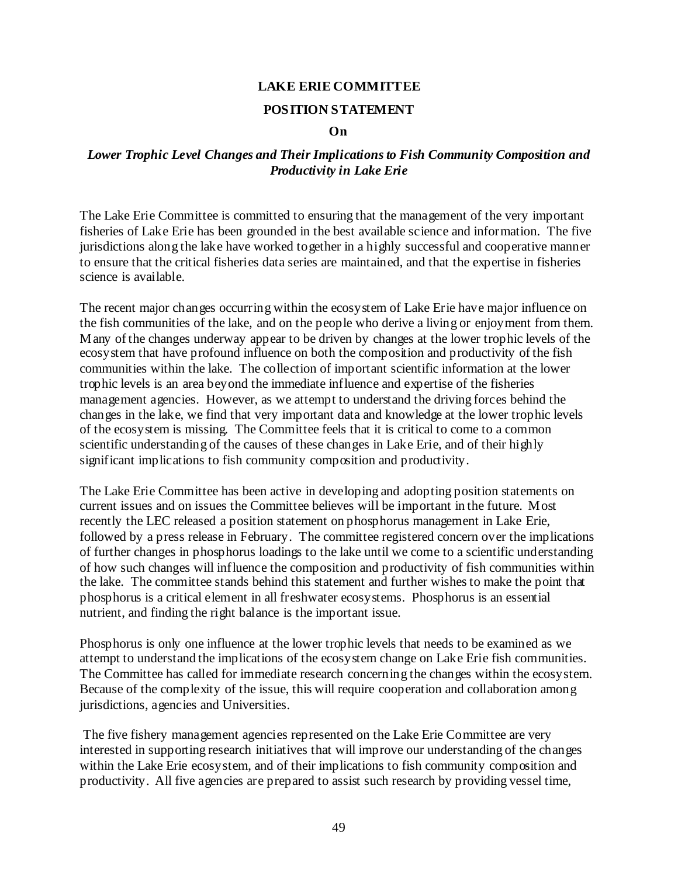#### **POSITION STATEMENT**

#### **On**

#### *Lower Trophic Level Changes and Their Implications to Fish Community Composition and Productivity in Lake Erie*

The Lake Erie Committee is committed to ensuring that the management of the very important fisheries of Lake Erie has been grounded in the best available science and information. The five jurisdictions along the lake have worked together in a highly successful and cooperative manner to ensure that the critical fisheries data series are maintained, and that the expertise in fisheries science is available.

The recent major changes occurring within the ecosystem of Lake Erie have major influence on the fish communities of the lake, and on the people who derive a living or enjoyment from them. Many of the changes underway appear to be driven by changes at the lower trophic levels of the ecosystem that have profound influence on both the composition and productivity of the fish communities within the lake. The collection of important scientific information at the lower trophic levels is an area beyond the immediate influence and expertise of the fisheries management agencies. However, as we attempt to understand the driving forces behind the changes in the lake, we find that very important data and knowledge at the lower trophic levels of the ecosystem is missing. The Committee feels that it is critical to come to a common scientific understanding of the causes of these changes in Lake Erie, and of their highly significant implications to fish community composition and productivity.

The Lake Erie Committee has been active in developing and adopting position statements on current issues and on issues the Committee believes will be important in the future. Most recently the LEC released a position statement on phosphorus management in Lake Erie, followed by a press release in February. The committee registered concern over the implications of further changes in phosphorus loadings to the lake until we come to a scientific understanding of how such changes will influence the composition and productivity of fish communities within the lake. The committee stands behind this statement and further wishes to make the point that phosphorus is a critical element in all freshwater ecosystems. Phosphorus is an essential nutrient, and finding the right balance is the important issue.

Phosphorus is only one influence at the lower trophic levels that needs to be examined as we attempt to understand the implications of the ecosystem change on Lake Erie fish communities. The Committee has called for immediate research concerning the changes within the ecosystem. Because of the complexity of the issue, this will require cooperation and collaboration among jurisdictions, agencies and Universities.

 The five fishery management agencies represented on the Lake Erie Committee are very interested in supporting research initiatives that will improve our understanding of the changes within the Lake Erie ecosystem, and of their implications to fish community composition and productivity. All five agencies are prepared to assist such research by providing vessel time,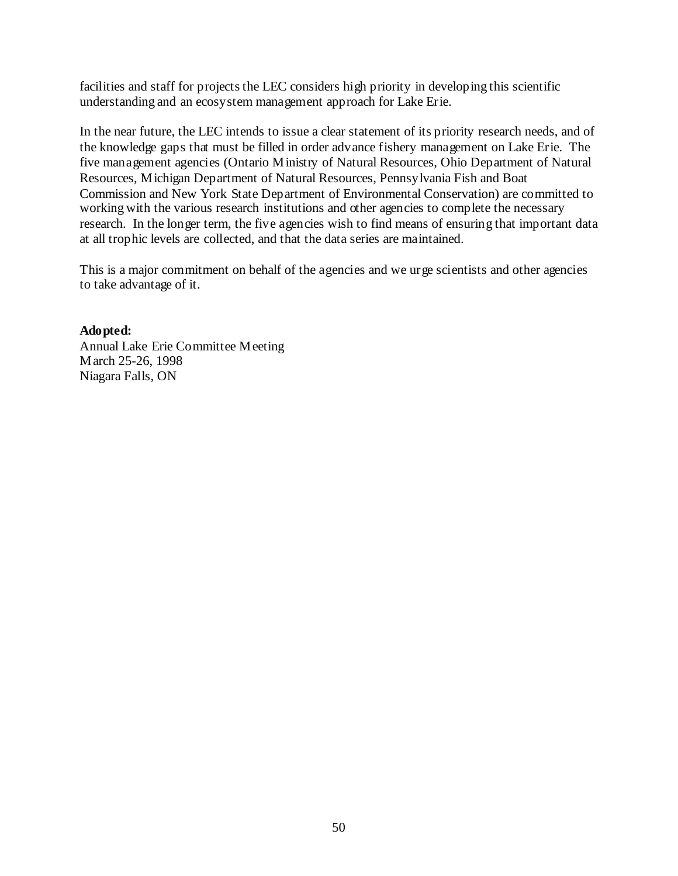facilities and staff for projects the LEC considers high priority in developing this scientific understanding and an ecosystem management approach for Lake Erie.

In the near future, the LEC intends to issue a clear statement of its priority research needs, and of the knowledge gaps that must be filled in order advance fishery management on Lake Erie. The five management agencies (Ontario Ministry of Natural Resources, Ohio Department of Natural Resources, Michigan Department of Natural Resources, Pennsylvania Fish and Boat Commission and New York State Department of Environmental Conservation) are committed to working with the various research institutions and other agencies to complete the necessary research. In the longer term, the five agencies wish to find means of ensuring that important data at all trophic levels are collected, and that the data series are maintained.

This is a major commitment on behalf of the agencies and we urge scientists and other agencies to take advantage of it.

**Adopted:** 

Annual Lake Erie Committee Meeting March 25-26, 1998 Niagara Falls, ON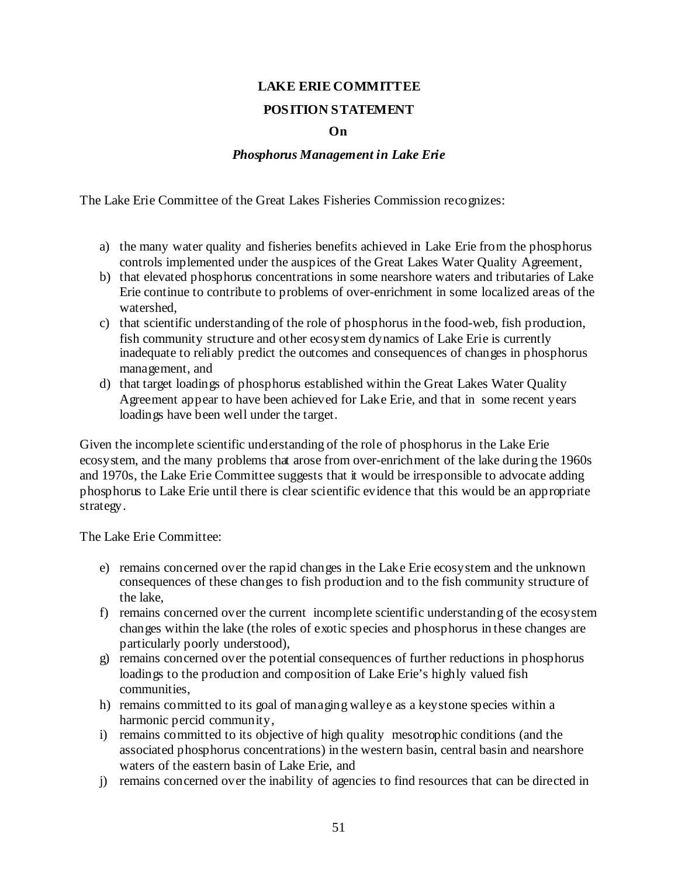## **POSITION STATEMENT**

#### **On**

#### *Phosphorus Management in Lake Erie*

The Lake Erie Committee of the Great Lakes Fisheries Commission recognizes:

- a) the many water quality and fisheries benefits achieved in Lake Erie from the phosphorus controls implemented under the auspices of the Great Lakes Water Quality Agreement,
- b) that elevated phosphorus concentrations in some nearshore waters and tributaries of Lake Erie continue to contribute to problems of over-enrichment in some localized areas of the watershed,
- c) that scientific understanding of the role of phosphorus in the food-web, fish production, fish community structure and other ecosystem dynamics of Lake Erie is currently inadequate to reliably predict the outcomes and consequences of changes in phosphorus management, and
- d) that target loadings of phosphorus established within the Great Lakes Water Quality Agreement appear to have been achieved for Lake Erie, and that in some recent years loadings have been well under the target.

Given the incomplete scientific understanding of the role of phosphorus in the Lake Erie ecosystem, and the many problems that arose from over-enrichment of the lake during the 1960s and 1970s, the Lake Erie Committee suggests that it would be irresponsible to advocate adding phosphorus to Lake Erie until there is clear scientific evidence that this would be an appropriate strategy.

The Lake Erie Committee:

- e) remains concerned over the rapid changes in the Lake Erie ecosystem and the unknown consequences of these changes to fish production and to the fish community structure of the lake,
- f) remains concerned over the current incomplete scientific understanding of the ecosystem changes within the lake (the roles of exotic species and phosphorus in these changes are particularly poorly understood),
- g) remains concerned over the potential consequences of further reductions in phosphorus loadings to the production and composition of Lake Erie's highly valued fish communities,
- h) remains committed to its goal of managing walleye as a keystone species within a harmonic percid community,
- i) remains committed to its objective of high quality mesotrophic conditions (and the associated phosphorus concentrations) in the western basin, central basin and nearshore waters of the eastern basin of Lake Erie, and
- j) remains concerned over the inability of agencies to find resources that can be directed in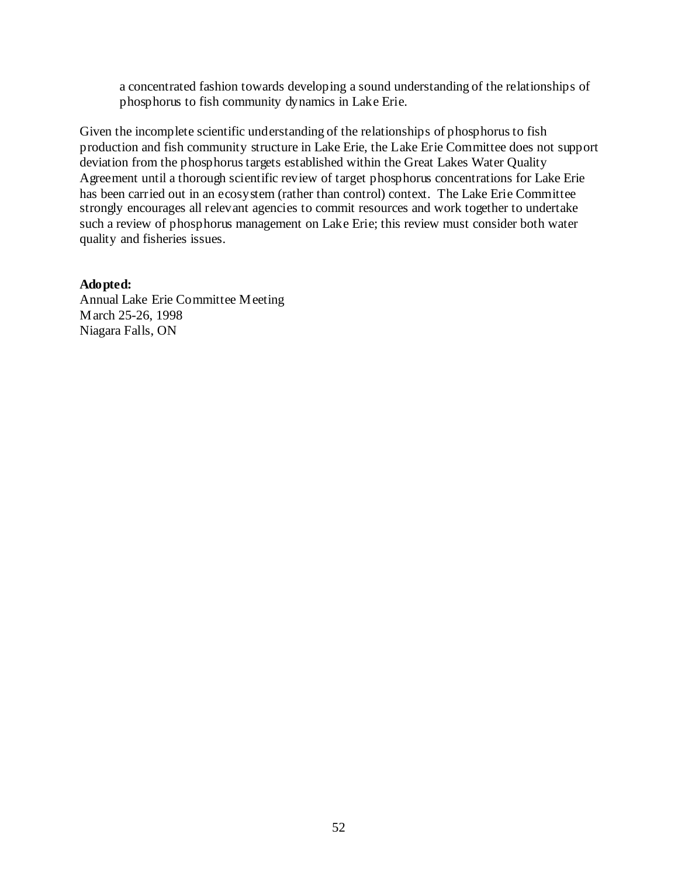a concentrated fashion towards developing a sound understanding of the relationships of phosphorus to fish community dynamics in Lake Erie.

Given the incomplete scientific understanding of the relationships of phosphorus to fish production and fish community structure in Lake Erie, the Lake Erie Committee does not support deviation from the phosphorus targets established within the Great Lakes Water Quality Agreement until a thorough scientific review of target phosphorus concentrations for Lake Erie has been carried out in an ecosystem (rather than control) context. The Lake Erie Committee strongly encourages all relevant agencies to commit resources and work together to undertake such a review of phosphorus management on Lake Erie; this review must consider both water quality and fisheries issues.

#### **Adopted:**

Annual Lake Erie Committee Meeting March 25-26, 1998 Niagara Falls, ON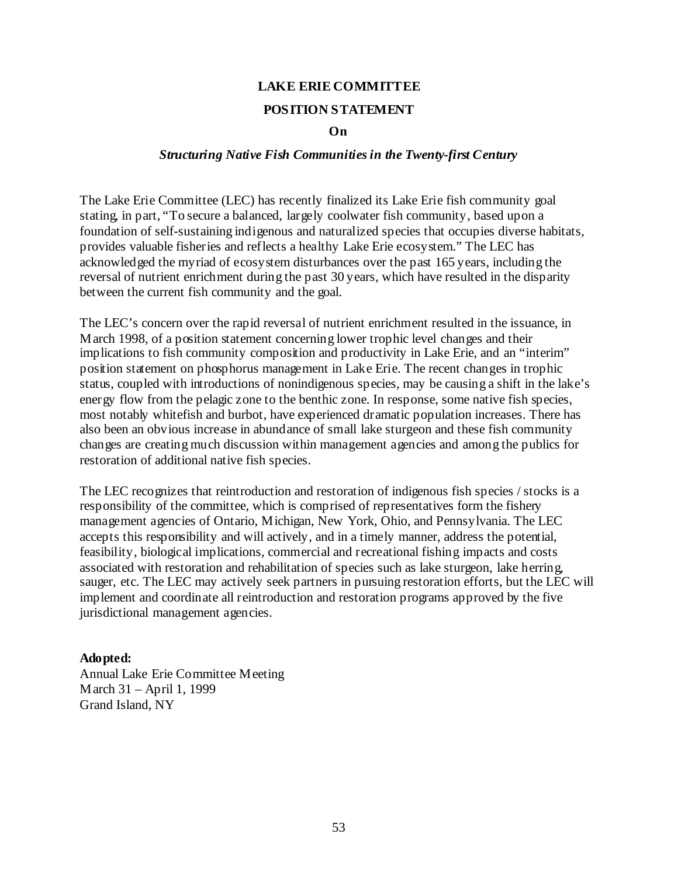#### **POSITION STATEMENT**

#### **On**

#### *Structuring Native Fish Communities in the Twenty-first Century*

The Lake Erie Committee (LEC) has recently finalized its Lake Erie fish community goal stating, in part, "To secure a balanced, largely coolwater fish community, based upon a foundation of self-sustaining indigenous and naturalized species that occupies diverse habitats, provides valuable fisheries and reflects a healthy Lake Erie ecosystem." The LEC has acknowledged the myriad of ecosystem disturbances over the past 165 years, including the reversal of nutrient enrichment during the past 30 years, which have resulted in the disparity between the current fish community and the goal.

The LEC's concern over the rapid reversal of nutrient enrichment resulted in the issuance, in March 1998, of a position statement concerning lower trophic level changes and their implications to fish community composition and productivity in Lake Erie, and an "interim" position statement on phosphorus management in Lake Erie. The recent changes in trophic status, coupled with introductions of nonindigenous species, may be causing a shift in the lake's energy flow from the pelagic zone to the benthic zone. In response, some native fish species, most notably whitefish and burbot, have experienced dramatic population increases. There has also been an obvious increase in abundance of small lake sturgeon and these fish community changes are creating much discussion within management agencies and among the publics for restoration of additional native fish species.

The LEC recognizes that reintroduction and restoration of indigenous fish species / stocks is a responsibility of the committee, which is comprised of representatives form the fishery management agencies of Ontario, Michigan, New York, Ohio, and Pennsylvania. The LEC accepts this responsibility and will actively, and in a timely manner, address the potential, feasibility, biological implications, commercial and recreational fishing impacts and costs associated with restoration and rehabilitation of species such as lake sturgeon, lake herring, sauger, etc. The LEC may actively seek partners in pursuing restoration efforts, but the LEC will implement and coordinate all reintroduction and restoration programs approved by the five jurisdictional management agencies.

#### **Adopted:**

Annual Lake Erie Committee Meeting March 31 – April 1, 1999 Grand Island, NY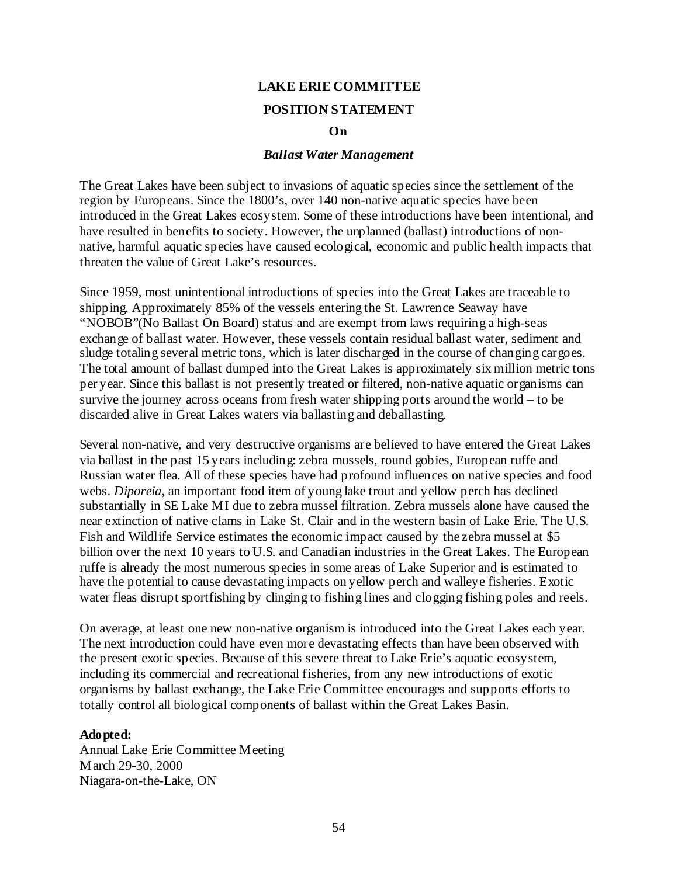#### **POSITION STATEMENT**

#### **On**

#### *Ballast Water Management*

The Great Lakes have been subject to invasions of aquatic species since the settlement of the region by Europeans. Since the 1800's, over 140 non-native aquatic species have been introduced in the Great Lakes ecosystem. Some of these introductions have been intentional, and have resulted in benefits to society. However, the unplanned (ballast) introductions of nonnative, harmful aquatic species have caused ecological, economic and public health impacts that threaten the value of Great Lake's resources.

Since 1959, most unintentional introductions of species into the Great Lakes are traceable to shipping. Approximately 85% of the vessels entering the St. Lawrence Seaway have "NOBOB"(No Ballast On Board) status and are exempt from laws requiring a high-seas exchange of ballast water. However, these vessels contain residual ballast water, sediment and sludge totaling several metric tons, which is later discharged in the course of changing cargoes. The total amount of ballast dumped into the Great Lakes is approximately six million metric tons per year. Since this ballast is not presently treated or filtered, non-native aquatic organisms can survive the journey across oceans from fresh water shipping ports around the world – to be discarded alive in Great Lakes waters via ballasting and deballasting.

Several non-native, and very destructive organisms are believed to have entered the Great Lakes via ballast in the past 15 years including: zebra mussels, round gobies, European ruffe and Russian water flea. All of these species have had profound influences on native species and food webs. *Diporeia*, an important food item of young lake trout and yellow perch has declined substantially in SE Lake MI due to zebra mussel filtration. Zebra mussels alone have caused the near extinction of native clams in Lake St. Clair and in the western basin of Lake Erie. The U.S. Fish and Wildlife Service estimates the economic impact caused by the zebra mussel at \$5 billion over the next 10 years to U.S. and Canadian industries in the Great Lakes. The European ruffe is already the most numerous species in some areas of Lake Superior and is estimated to have the potential to cause devastating impacts on yellow perch and walleye fisheries. Exotic water fleas disrupt sportfishing by clinging to fishing lines and clogging fishing poles and reels.

On average, at least one new non-native organism is introduced into the Great Lakes each year. The next introduction could have even more devastating effects than have been observed with the present exotic species. Because of this severe threat to Lake Erie's aquatic ecosystem, including its commercial and recreational fisheries, from any new introductions of exotic organisms by ballast exchange, the Lake Erie Committee encourages and supports efforts to totally control all biological components of ballast within the Great Lakes Basin.

#### **Adopted:**

Annual Lake Erie Committee Meeting March 29-30, 2000 Niagara-on-the-Lake, ON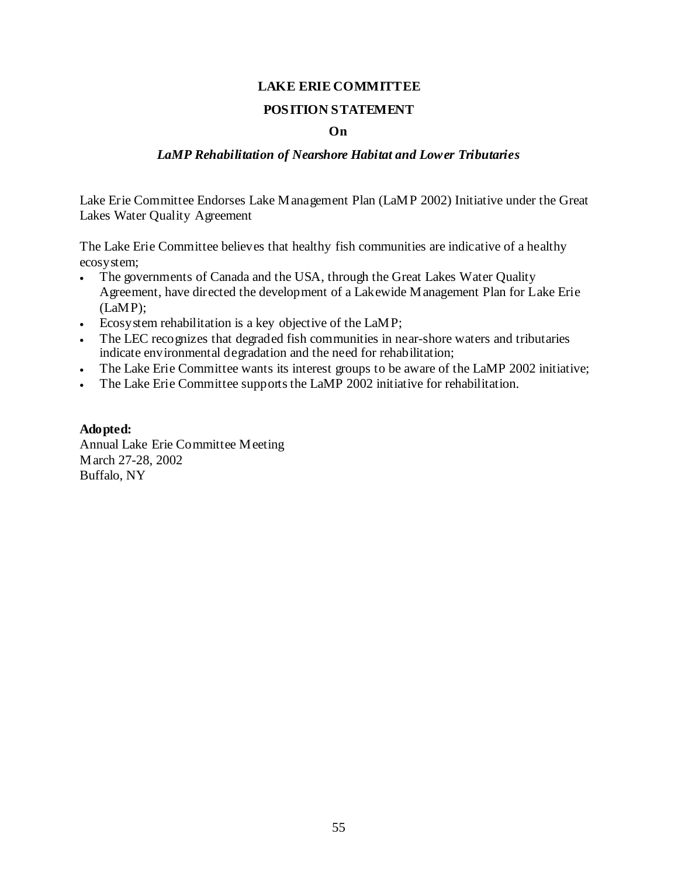#### **POSITION STATEMENT**

#### **On**

#### *LaMP Rehabilitation of Nearshore Habitat and Lower Tributaries*

Lake Erie Committee Endorses Lake Management Plan (LaMP 2002) Initiative under the Great Lakes Water Quality Agreement

The Lake Erie Committee believes that healthy fish communities are indicative of a healthy ecosystem;

- The governments of Canada and the USA, through the Great Lakes Water Quality Agreement, have directed the development of a Lakewide Management Plan for Lake Erie (LaMP);
- Ecosystem rehabilitation is a key objective of the LaMP;
- The LEC recognizes that degraded fish communities in near-shore waters and tributaries indicate environmental degradation and the need for rehabilitation;
- The Lake Erie Committee wants its interest groups to be aware of the LaMP 2002 initiative;
- The Lake Erie Committee supports the LaMP 2002 initiative for rehabilitation.

#### **Adopted:**

Annual Lake Erie Committee Meeting March 27-28, 2002 Buffalo, NY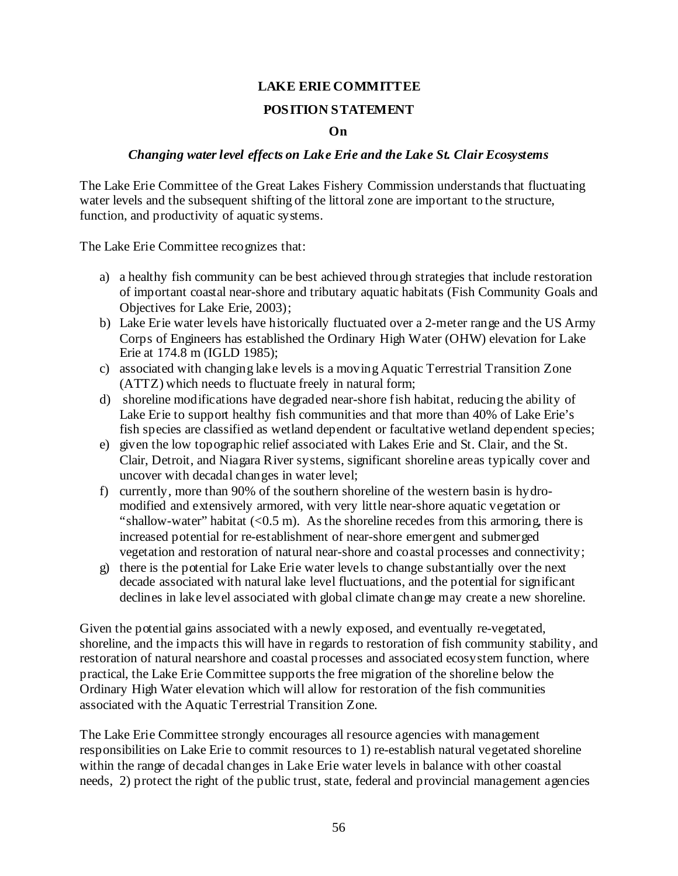#### **POSITION STATEMENT**

#### **On**

#### *Changing water level effects on Lake Erie and the Lake St. Clair Ecosystems*

The Lake Erie Committee of the Great Lakes Fishery Commission understands that fluctuating water levels and the subsequent shifting of the littoral zone are important to the structure, function, and productivity of aquatic systems.

The Lake Erie Committee recognizes that:

- a) a healthy fish community can be best achieved through strategies that include restoration of important coastal near-shore and tributary aquatic habitats (Fish Community Goals and Objectives for Lake Erie, 2003);
- b) Lake Erie water levels have historically fluctuated over a 2-meter range and the US Army Corps of Engineers has established the Ordinary High Water (OHW) elevation for Lake Erie at 174.8 m (IGLD 1985);
- c) associated with changing lake levels is a moving Aquatic Terrestrial Transition Zone (ATTZ) which needs to fluctuate freely in natural form;
- d) shoreline modifications have degraded near-shore fish habitat, reducing the ability of Lake Erie to support healthy fish communities and that more than 40% of Lake Erie's fish species are classified as wetland dependent or facultative wetland dependent species;
- e) given the low topographic relief associated with Lakes Erie and St. Clair, and the St. Clair, Detroit, and Niagara River systems, significant shoreline areas typically cover and uncover with decadal changes in water level;
- f) currently, more than 90% of the southern shoreline of the western basin is hydromodified and extensively armored, with very little near-shore aquatic vegetation or "shallow-water" habitat  $(< 0.5 \text{ m}$ ). As the shoreline recedes from this armoring, there is increased potential for re-establishment of near-shore emergent and submerged vegetation and restoration of natural near-shore and coastal processes and connectivity;
- g) there is the potential for Lake Erie water levels to change substantially over the next decade associated with natural lake level fluctuations, and the potential for significant declines in lake level associated with global climate change may create a new shoreline.

Given the potential gains associated with a newly exposed, and eventually re-vegetated, shoreline, and the impacts this will have in regards to restoration of fish community stability, and restoration of natural nearshore and coastal processes and associated ecosystem function, where practical, the Lake Erie Committee supports the free migration of the shoreline below the Ordinary High Water elevation which will allow for restoration of the fish communities associated with the Aquatic Terrestrial Transition Zone.

The Lake Erie Committee strongly encourages all resource agencies with management responsibilities on Lake Erie to commit resources to 1) re-establish natural vegetated shoreline within the range of decadal changes in Lake Erie water levels in balance with other coastal needs, 2) protect the right of the public trust, state, federal and provincial management agencies